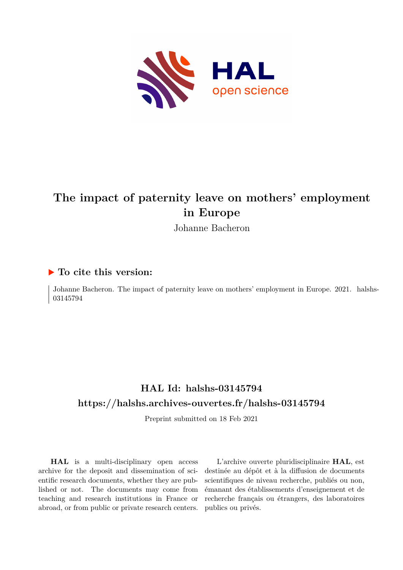

# **The impact of paternity leave on mothers' employment in Europe**

Johanne Bacheron

#### **To cite this version:**

Johanne Bacheron. The impact of paternity leave on mothers' employment in Europe. 2021. halshs-03145794ff

### **HAL Id: halshs-03145794 <https://halshs.archives-ouvertes.fr/halshs-03145794>**

Preprint submitted on 18 Feb 2021

**HAL** is a multi-disciplinary open access archive for the deposit and dissemination of scientific research documents, whether they are published or not. The documents may come from teaching and research institutions in France or abroad, or from public or private research centers.

L'archive ouverte pluridisciplinaire **HAL**, est destinée au dépôt et à la diffusion de documents scientifiques de niveau recherche, publiés ou non, émanant des établissements d'enseignement et de recherche français ou étrangers, des laboratoires publics ou privés.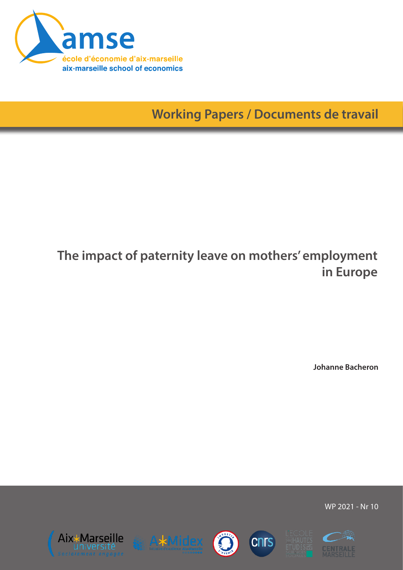

**Working Papers / Documents de travail**

# **The impact of paternity leave on mothers' employment in Europe**

**Johanne Bacheron**

WP 2021 - Nr 10











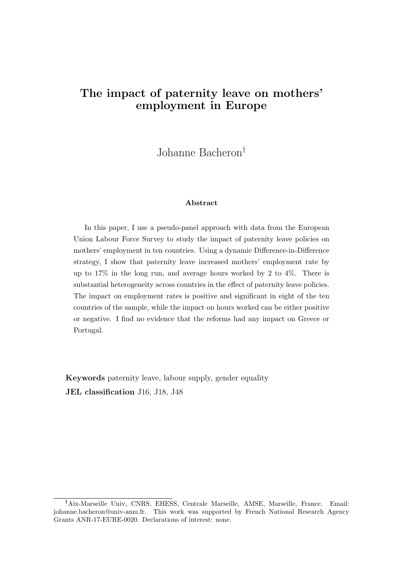### The impact of paternity leave on mothers' employment in Europe

Johanne Bacheron

#### Abstract

In this paper, I use a pseudo-panel approach with data from the European Union Labour Force Survey to study the impact of paternity leave policies on mothers' employment in ten countries. Using a dynamic Difference-in-Difference strategy, I show that paternity leave increased mothers' employment rate by up to 17% in the long run, and average hours worked by 2 to 4%. There is substantial heterogeneity across countries in the effect of paternity leave policies. The impact on employment rates is positive and significant in eight of the ten countries of the sample, while the impact on hours worked can be either positive or negative. I find no evidence that the reforms had any impact on Greece or Portugal.

Keywords paternity leave, labour supply, gender equality JEL classification J16, J18, J48

Aix-Marseille Univ, CNRS, EHESS, Centrale Marseille, AMSE, Marseille, France. Email: johanne.bacheron@univ-amu.fr. This work was supported by French National Research Agency Grants ANR-17-EURE-0020. Declarations of interest: none.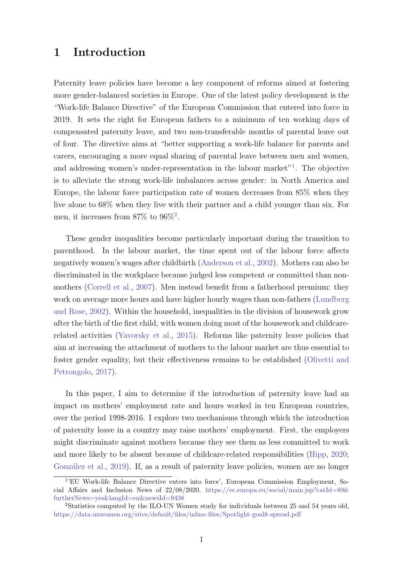### 1 Introduction

Paternity leave policies have become a key component of reforms aimed at fostering more gender-balanced societies in Europe. One of the latest policy development is the "Work-life Balance Directive" of the European Commission that entered into force in 2019. It sets the right for European fathers to a minimum of ten working days of compensated paternity leave, and two non-transferable months of parental leave out of four. The directive aims at "better supporting a work-life balance for parents and carers, encouraging a more equal sharing of parental leave between men and women, and addressing women's under-representation in the labour market"<sup>1</sup>. The objective is to alleviate the strong work-life imbalances across gender: in North America and Europe, the labour force participation rate of women decreases from 85% when they live alone to 68% when they live with their partner and a child younger than six. For men, it increases from  $87\%$  to  $96\%$ <sup>2</sup>.

These gender inequalities become particularly important during the transition to parenthood. In the labour market, the time spent out of the labour force affects negatively women's wages after childbirth (Anderson et al., 2002). Mothers can also be discriminated in the workplace because judged less competent or committed than nonmothers (Correll et al., 2007). Men instead benefit from a fatherhood premium: they work on average more hours and have higher hourly wages than non-fathers (Lundberg and Rose, 2002). Within the household, inequalities in the division of housework grow after the birth of the first child, with women doing most of the housework and childcarerelated activities (Yavorsky et al., 2015). Reforms like paternity leave policies that aim at increasing the attachment of mothers to the labour market are thus essential to foster gender equality, but their effectiveness remains to be established (Olivetti and Petrongolo, 2017).

In this paper, I aim to determine if the introduction of paternity leave had an impact on mothers' employment rate and hours worked in ten European countries, over the period 1998-2016. I explore two mechanisms through which the introduction of paternity leave in a country may raise mothers' employment. First, the employers might discriminate against mothers because they see them as less committed to work and more likely to be absent because of childcare-related responsibilities (Hipp, 2020; González et al., 2019). If, as a result of paternity leave policies, women are no longer

<sup>&</sup>lt;sup>1</sup>'EU Work-life Balance Directive enters into force', European Commission Employment, Social Affairs and Inclusion News of 22/08/2020, [https://ec.europa.eu/social/main.jsp?catId=89&](https://ec.europa.eu/social/main.jsp?catId=89&furtherNews=yes&langId=en&newsId=9438) [furtherNews=yes&langId=en&newsId=9438](https://ec.europa.eu/social/main.jsp?catId=89&furtherNews=yes&langId=en&newsId=9438)

<sup>2</sup>Statistics computed by the ILO-UN Women study for individuals between 25 and 54 years old, <https://data.unwomen.org/sites/default/files/inline-files/Spotlight-goal8-spread.pdf>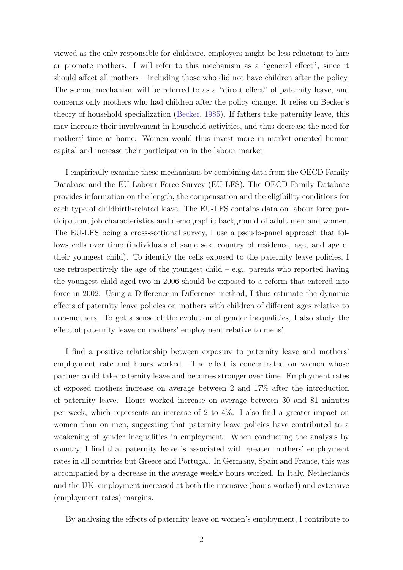viewed as the only responsible for childcare, employers might be less reluctant to hire or promote mothers. I will refer to this mechanism as a "general effect", since it should affect all mothers – including those who did not have children after the policy. The second mechanism will be referred to as a "direct effect" of paternity leave, and concerns only mothers who had children after the policy change. It relies on Becker's theory of household specialization (Becker, 1985). If fathers take paternity leave, this may increase their involvement in household activities, and thus decrease the need for mothers' time at home. Women would thus invest more in market-oriented human capital and increase their participation in the labour market.

I empirically examine these mechanisms by combining data from the OECD Family Database and the EU Labour Force Survey (EU-LFS). The OECD Family Database provides information on the length, the compensation and the eligibility conditions for each type of childbirth-related leave. The EU-LFS contains data on labour force participation, job characteristics and demographic background of adult men and women. The EU-LFS being a cross-sectional survey, I use a pseudo-panel approach that follows cells over time (individuals of same sex, country of residence, age, and age of their youngest child). To identify the cells exposed to the paternity leave policies, I use retrospectively the age of the youngest child  $-$  e.g., parents who reported having the youngest child aged two in 2006 should be exposed to a reform that entered into force in 2002. Using a Difference-in-Difference method, I thus estimate the dynamic effects of paternity leave policies on mothers with children of different ages relative to non-mothers. To get a sense of the evolution of gender inequalities, I also study the effect of paternity leave on mothers' employment relative to mens'.

I find a positive relationship between exposure to paternity leave and mothers' employment rate and hours worked. The effect is concentrated on women whose partner could take paternity leave and becomes stronger over time. Employment rates of exposed mothers increase on average between 2 and 17% after the introduction of paternity leave. Hours worked increase on average between 30 and 81 minutes per week, which represents an increase of 2 to 4%. I also find a greater impact on women than on men, suggesting that paternity leave policies have contributed to a weakening of gender inequalities in employment. When conducting the analysis by country, I find that paternity leave is associated with greater mothers' employment rates in all countries but Greece and Portugal. In Germany, Spain and France, this was accompanied by a decrease in the average weekly hours worked. In Italy, Netherlands and the UK, employment increased at both the intensive (hours worked) and extensive (employment rates) margins.

By analysing the effects of paternity leave on women's employment, I contribute to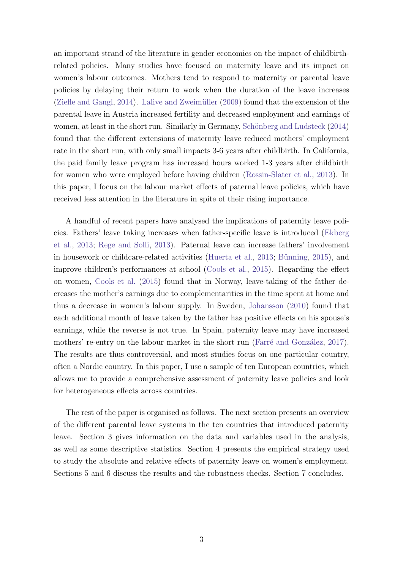an important strand of the literature in gender economics on the impact of childbirthrelated policies. Many studies have focused on maternity leave and its impact on women's labour outcomes. Mothers tend to respond to maternity or parental leave policies by delaying their return to work when the duration of the leave increases (Ziefle and Gangl, 2014). Lalive and Zweimüller  $(2009)$  found that the extension of the parental leave in Austria increased fertility and decreased employment and earnings of women, at least in the short run. Similarly in Germany, Schönberg and Ludsteck (2014) found that the different extensions of maternity leave reduced mothers' employment rate in the short run, with only small impacts 3-6 years after childbirth. In California, the paid family leave program has increased hours worked 1-3 years after childbirth for women who were employed before having children (Rossin-Slater et al., 2013). In this paper, I focus on the labour market effects of paternal leave policies, which have received less attention in the literature in spite of their rising importance.

A handful of recent papers have analysed the implications of paternity leave policies. Fathers' leave taking increases when father-specific leave is introduced (Ekberg et al., 2013; Rege and Solli, 2013). Paternal leave can increase fathers' involvement in housework or childcare-related activities (Huerta et al.,  $2013$ ; Bünning,  $2015$ ), and improve children's performances at school (Cools et al., 2015). Regarding the effect on women, Cools et al. (2015) found that in Norway, leave-taking of the father decreases the mother's earnings due to complementarities in the time spent at home and thus a decrease in women's labour supply. In Sweden, Johansson (2010) found that each additional month of leave taken by the father has positive effects on his spouse's earnings, while the reverse is not true. In Spain, paternity leave may have increased mothers' re-entry on the labour market in the short run (Farré and González, 2017). The results are thus controversial, and most studies focus on one particular country, often a Nordic country. In this paper, I use a sample of ten European countries, which allows me to provide a comprehensive assessment of paternity leave policies and look for heterogeneous effects across countries.

The rest of the paper is organised as follows. The next section presents an overview of the different parental leave systems in the ten countries that introduced paternity leave. Section 3 gives information on the data and variables used in the analysis, as well as some descriptive statistics. Section 4 presents the empirical strategy used to study the absolute and relative effects of paternity leave on women's employment. Sections 5 and 6 discuss the results and the robustness checks. Section 7 concludes.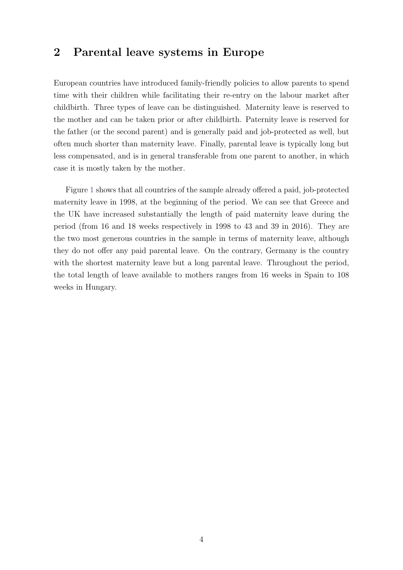### 2 Parental leave systems in Europe

European countries have introduced family-friendly policies to allow parents to spend time with their children while facilitating their re-entry on the labour market after childbirth. Three types of leave can be distinguished. Maternity leave is reserved to the mother and can be taken prior or after childbirth. Paternity leave is reserved for the father (or the second parent) and is generally paid and job-protected as well, but often much shorter than maternity leave. Finally, parental leave is typically long but less compensated, and is in general transferable from one parent to another, in which case it is mostly taken by the mother.

Figure 1 shows that all countries of the sample already offered a paid, job-protected maternity leave in 1998, at the beginning of the period. We can see that Greece and the UK have increased substantially the length of paid maternity leave during the period (from 16 and 18 weeks respectively in 1998 to 43 and 39 in 2016). They are the two most generous countries in the sample in terms of maternity leave, although they do not offer any paid parental leave. On the contrary, Germany is the country with the shortest maternity leave but a long parental leave. Throughout the period, the total length of leave available to mothers ranges from 16 weeks in Spain to 108 weeks in Hungary.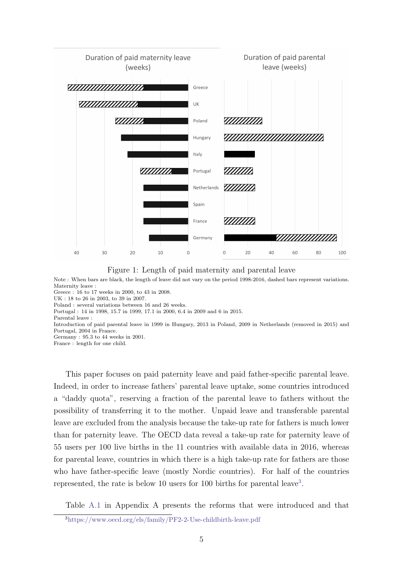

Figure 1: Length of paid maternity and parental leave

Note : When bars are black, the length of leave did not vary on the period 1998-2016, dashed bars represent variations. Maternity leave :

Greece : 16 to 17 weeks in 2000, to 43 in 2008.

UK : 18 to 26 in 2003, to 39 in 2007.

Poland : several variations between 16 and 26 weeks.

Portugal : 14 in 1998, 15.7 in 1999, 17.1 in 2000, 6.4 in 2009 and 6 in 2015.

Parental leave :

Introduction of paid parental leave in 1999 in Hungary, 2013 in Poland, 2009 in Netherlands (removed in 2015) and Portugal, 2004 in France.

Germany : 95.3 to 44 weeks in 2001.

France : length for one child.

This paper focuses on paid paternity leave and paid father-specific parental leave. Indeed, in order to increase fathers' parental leave uptake, some countries introduced a "daddy quota", reserving a fraction of the parental leave to fathers without the possibility of transferring it to the mother. Unpaid leave and transferable parental leave are excluded from the analysis because the take-up rate for fathers is much lower than for paternity leave. The OECD data reveal a take-up rate for paternity leave of 55 users per 100 live births in the 11 countries with available data in 2016, whereas for parental leave, countries in which there is a high take-up rate for fathers are those who have father-specific leave (mostly Nordic countries). For half of the countries represented, the rate is below 10 users for 100 births for parental leave<sup>3</sup>.

Table A.1 in Appendix A presents the reforms that were introduced and that

<sup>3</sup><https://www.oecd.org/els/family/PF2-2-Use-childbirth-leave.pdf>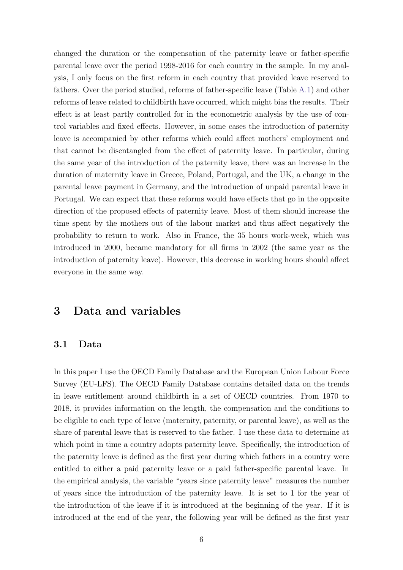changed the duration or the compensation of the paternity leave or father-specific parental leave over the period 1998-2016 for each country in the sample. In my analysis, I only focus on the first reform in each country that provided leave reserved to fathers. Over the period studied, reforms of father-specific leave (Table A.1) and other reforms of leave related to childbirth have occurred, which might bias the results. Their effect is at least partly controlled for in the econometric analysis by the use of control variables and fixed effects. However, in some cases the introduction of paternity leave is accompanied by other reforms which could affect mothers' employment and that cannot be disentangled from the effect of paternity leave. In particular, during the same year of the introduction of the paternity leave, there was an increase in the duration of maternity leave in Greece, Poland, Portugal, and the UK, a change in the parental leave payment in Germany, and the introduction of unpaid parental leave in Portugal. We can expect that these reforms would have effects that go in the opposite direction of the proposed effects of paternity leave. Most of them should increase the time spent by the mothers out of the labour market and thus affect negatively the probability to return to work. Also in France, the 35 hours work-week, which was introduced in 2000, became mandatory for all firms in 2002 (the same year as the introduction of paternity leave). However, this decrease in working hours should affect everyone in the same way.

### 3 Data and variables

#### 3.1 Data

In this paper I use the OECD Family Database and the European Union Labour Force Survey (EU-LFS). The OECD Family Database contains detailed data on the trends in leave entitlement around childbirth in a set of OECD countries. From 1970 to 2018, it provides information on the length, the compensation and the conditions to be eligible to each type of leave (maternity, paternity, or parental leave), as well as the share of parental leave that is reserved to the father. I use these data to determine at which point in time a country adopts paternity leave. Specifically, the introduction of the paternity leave is defined as the first year during which fathers in a country were entitled to either a paid paternity leave or a paid father-specific parental leave. In the empirical analysis, the variable "years since paternity leave" measures the number of years since the introduction of the paternity leave. It is set to 1 for the year of the introduction of the leave if it is introduced at the beginning of the year. If it is introduced at the end of the year, the following year will be defined as the first year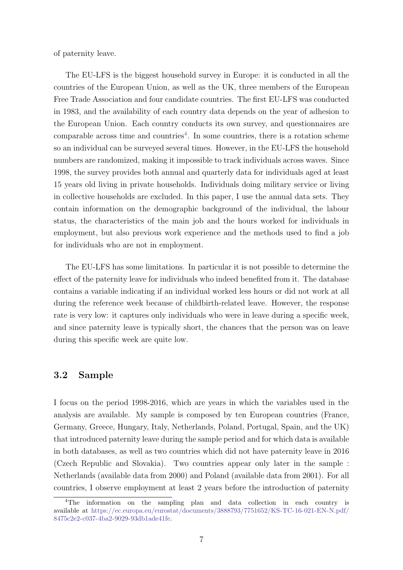of paternity leave.

The EU-LFS is the biggest household survey in Europe: it is conducted in all the countries of the European Union, as well as the UK, three members of the European Free Trade Association and four candidate countries. The first EU-LFS was conducted in 1983, and the availability of each country data depends on the year of adhesion to the European Union. Each country conducts its own survey, and questionnaires are comparable across time and countries<sup>4</sup>. In some countries, there is a rotation scheme so an individual can be surveyed several times. However, in the EU-LFS the household numbers are randomized, making it impossible to track individuals across waves. Since 1998, the survey provides both annual and quarterly data for individuals aged at least 15 years old living in private households. Individuals doing military service or living in collective households are excluded. In this paper, I use the annual data sets. They contain information on the demographic background of the individual, the labour status, the characteristics of the main job and the hours worked for individuals in employment, but also previous work experience and the methods used to find a job for individuals who are not in employment.

The EU-LFS has some limitations. In particular it is not possible to determine the effect of the paternity leave for individuals who indeed benefited from it. The database contains a variable indicating if an individual worked less hours or did not work at all during the reference week because of childbirth-related leave. However, the response rate is very low: it captures only individuals who were in leave during a specific week, and since paternity leave is typically short, the chances that the person was on leave during this specific week are quite low.

#### 3.2 Sample

I focus on the period 1998-2016, which are years in which the variables used in the analysis are available. My sample is composed by ten European countries (France, Germany, Greece, Hungary, Italy, Netherlands, Poland, Portugal, Spain, and the UK) that introduced paternity leave during the sample period and for which data is available in both databases, as well as two countries which did not have paternity leave in 2016 (Czech Republic and Slovakia). Two countries appear only later in the sample : Netherlands (available data from 2000) and Poland (available data from 2001). For all countries, I observe employment at least 2 years before the introduction of paternity

<sup>4</sup>The information on the sampling plan and data collection in each country is available at [https://ec.europa.eu/eurostat/documents/3888793/7751652/KS-TC-16-021-EN-N.pdf/](https://ec.europa.eu/eurostat/documents/3888793/7751652/KS-TC-16-021-EN-N.pdf/8475c2e2-c037-4ba2-9029-93db1ade41fe) [8475c2e2-c037-4ba2-9029-93db1ade41fe.](https://ec.europa.eu/eurostat/documents/3888793/7751652/KS-TC-16-021-EN-N.pdf/8475c2e2-c037-4ba2-9029-93db1ade41fe)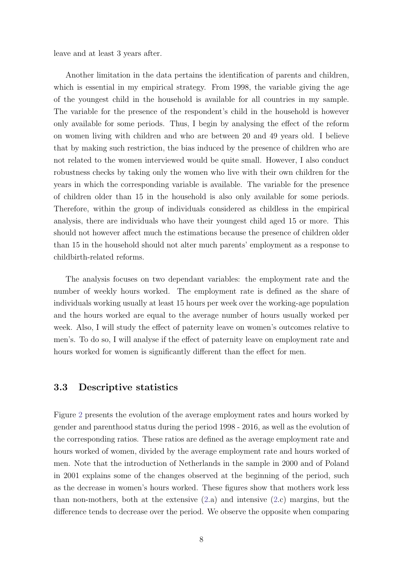leave and at least 3 years after.

Another limitation in the data pertains the identification of parents and children, which is essential in my empirical strategy. From 1998, the variable giving the age of the youngest child in the household is available for all countries in my sample. The variable for the presence of the respondent's child in the household is however only available for some periods. Thus, I begin by analysing the effect of the reform on women living with children and who are between 20 and 49 years old. I believe that by making such restriction, the bias induced by the presence of children who are not related to the women interviewed would be quite small. However, I also conduct robustness checks by taking only the women who live with their own children for the years in which the corresponding variable is available. The variable for the presence of children older than 15 in the household is also only available for some periods. Therefore, within the group of individuals considered as childless in the empirical analysis, there are individuals who have their youngest child aged 15 or more. This should not however affect much the estimations because the presence of children older than 15 in the household should not alter much parents' employment as a response to childbirth-related reforms.

The analysis focuses on two dependant variables: the employment rate and the number of weekly hours worked. The employment rate is defined as the share of individuals working usually at least 15 hours per week over the working-age population and the hours worked are equal to the average number of hours usually worked per week. Also, I will study the effect of paternity leave on women's outcomes relative to men's. To do so, I will analyse if the effect of paternity leave on employment rate and hours worked for women is significantly different than the effect for men.

#### 3.3 Descriptive statistics

Figure 2 presents the evolution of the average employment rates and hours worked by gender and parenthood status during the period 1998 - 2016, as well as the evolution of the corresponding ratios. These ratios are defined as the average employment rate and hours worked of women, divided by the average employment rate and hours worked of men. Note that the introduction of Netherlands in the sample in 2000 and of Poland in 2001 explains some of the changes observed at the beginning of the period, such as the decrease in women's hours worked. These figures show that mothers work less than non-mothers, both at the extensive  $(2.a)$  and intensive  $(2.c)$  margins, but the difference tends to decrease over the period. We observe the opposite when comparing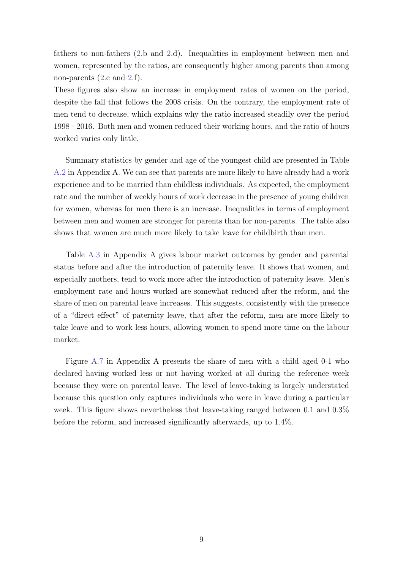fathers to non-fathers (2.b and 2.d). Inequalities in employment between men and women, represented by the ratios, are consequently higher among parents than among non-parents (2.e and 2.f).

These figures also show an increase in employment rates of women on the period, despite the fall that follows the 2008 crisis. On the contrary, the employment rate of men tend to decrease, which explains why the ratio increased steadily over the period 1998 - 2016. Both men and women reduced their working hours, and the ratio of hours worked varies only little.

Summary statistics by gender and age of the youngest child are presented in Table A.2 in Appendix A. We can see that parents are more likely to have already had a work experience and to be married than childless individuals. As expected, the employment rate and the number of weekly hours of work decrease in the presence of young children for women, whereas for men there is an increase. Inequalities in terms of employment between men and women are stronger for parents than for non-parents. The table also shows that women are much more likely to take leave for childbirth than men.

Table A.3 in Appendix A gives labour market outcomes by gender and parental status before and after the introduction of paternity leave. It shows that women, and especially mothers, tend to work more after the introduction of paternity leave. Men's employment rate and hours worked are somewhat reduced after the reform, and the share of men on parental leave increases. This suggests, consistently with the presence of a "direct effect" of paternity leave, that after the reform, men are more likely to take leave and to work less hours, allowing women to spend more time on the labour market.

Figure A.7 in Appendix A presents the share of men with a child aged 0-1 who declared having worked less or not having worked at all during the reference week because they were on parental leave. The level of leave-taking is largely understated because this question only captures individuals who were in leave during a particular week. This figure shows nevertheless that leave-taking ranged between 0.1 and 0.3% before the reform, and increased significantly afterwards, up to 1.4%.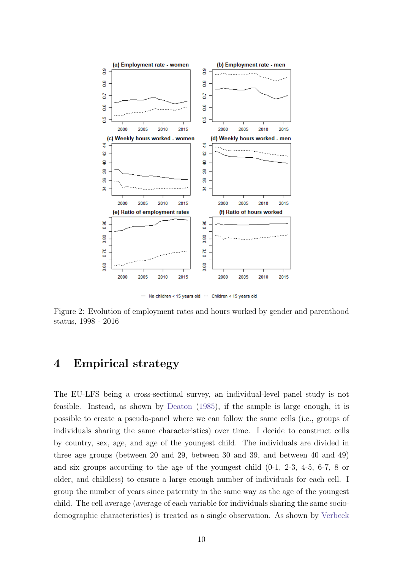

- No children < 15 years old ... Children < 15 years old

Figure 2: Evolution of employment rates and hours worked by gender and parenthood status, 1998 - 2016

### 4 Empirical strategy

The EU-LFS being a cross-sectional survey, an individual-level panel study is not feasible. Instead, as shown by Deaton (1985), if the sample is large enough, it is possible to create a pseudo-panel where we can follow the same cells (i.e., groups of individuals sharing the same characteristics) over time. I decide to construct cells by country, sex, age, and age of the youngest child. The individuals are divided in three age groups (between 20 and 29, between 30 and 39, and between 40 and 49) and six groups according to the age of the youngest child (0-1, 2-3, 4-5, 6-7, 8 or older, and childless) to ensure a large enough number of individuals for each cell. I group the number of years since paternity in the same way as the age of the youngest child. The cell average (average of each variable for individuals sharing the same sociodemographic characteristics) is treated as a single observation. As shown by Verbeek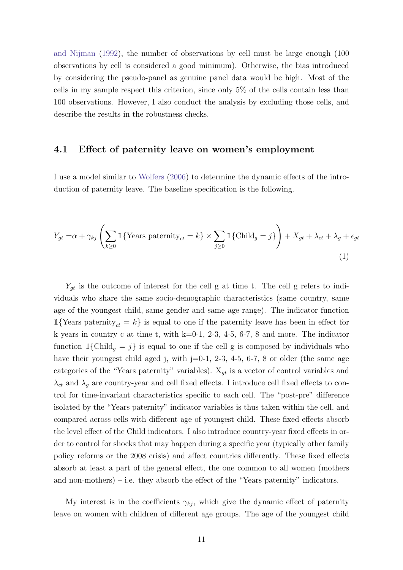and Nijman (1992), the number of observations by cell must be large enough (100 observations by cell is considered a good minimum). Otherwise, the bias introduced by considering the pseudo-panel as genuine panel data would be high. Most of the cells in my sample respect this criterion, since only 5% of the cells contain less than 100 observations. However, I also conduct the analysis by excluding those cells, and describe the results in the robustness checks.

#### 4.1 Effect of paternity leave on women's employment

I use a model similar to Wolfers (2006) to determine the dynamic effects of the introduction of paternity leave. The baseline specification is the following.

$$
Y_{gt} = \alpha + \gamma_{kj} \left( \sum_{k \ge 0} \mathbb{1} \{ \text{Years paternity}_{ct} = k \} \times \sum_{j \ge 0} \mathbb{1} \{ \text{Child}_{g} = j \} \right) + X_{gt} + \lambda_{ct} + \lambda_{g} + \epsilon_{gt}
$$
\n
$$
\tag{1}
$$

 $Y_{gt}$  is the outcome of interest for the cell g at time t. The cell g refers to individuals who share the same socio-demographic characteristics (same country, same age of the youngest child, same gender and same age range). The indicator function  $\mathbb{1}\{\text{Yearinity}_{ct} = k\}$  is equal to one if the paternity leave has been in effect for k years in country c at time t, with  $k=0-1$ , 2-3, 4-5, 6-7, 8 and more. The indicator function  $\mathbb{1}\{\text{Child}_g = j\}$  is equal to one if the cell g is composed by individuals who have their youngest child aged j, with  $j=0-1$ , 2-3, 4-5, 6-7, 8 or older (the same age categories of the "Years paternity" variables).  $X_{gt}$  is a vector of control variables and  $\lambda_{ct}$  and  $\lambda_g$  are country-year and cell fixed effects. I introduce cell fixed effects to control for time-invariant characteristics specific to each cell. The "post-pre" difference isolated by the "Years paternity" indicator variables is thus taken within the cell, and compared across cells with different age of youngest child. These fixed effects absorb the level effect of the Child indicators. I also introduce country-year fixed effects in order to control for shocks that may happen during a specific year (typically other family policy reforms or the 2008 crisis) and affect countries differently. These fixed effects absorb at least a part of the general effect, the one common to all women (mothers and non-mothers) – i.e. they absorb the effect of the "Years paternity" indicators.

My interest is in the coefficients  $\gamma_{kj}$ , which give the dynamic effect of paternity leave on women with children of different age groups. The age of the youngest child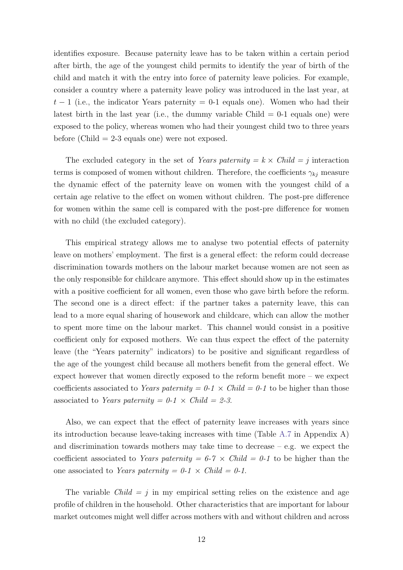identifies exposure. Because paternity leave has to be taken within a certain period after birth, the age of the youngest child permits to identify the year of birth of the child and match it with the entry into force of paternity leave policies. For example, consider a country where a paternity leave policy was introduced in the last year, at  $t-1$  (i.e., the indicator Years paternity = 0-1 equals one). Women who had their latest birth in the last year (i.e., the dummy variable Child  $= 0-1$  equals one) were exposed to the policy, whereas women who had their youngest child two to three years before (Child  $= 2-3$  equals one) were not exposed.

The excluded category in the set of *Years paternity*  $= k \times Child = j$  interaction terms is composed of women without children. Therefore, the coefficients  $\gamma_{kj}$  measure the dynamic effect of the paternity leave on women with the youngest child of a certain age relative to the effect on women without children. The post-pre difference for women within the same cell is compared with the post-pre difference for women with no child (the excluded category).

This empirical strategy allows me to analyse two potential effects of paternity leave on mothers' employment. The first is a general effect: the reform could decrease discrimination towards mothers on the labour market because women are not seen as the only responsible for childcare anymore. This effect should show up in the estimates with a positive coefficient for all women, even those who gave birth before the reform. The second one is a direct effect: if the partner takes a paternity leave, this can lead to a more equal sharing of housework and childcare, which can allow the mother to spent more time on the labour market. This channel would consist in a positive coefficient only for exposed mothers. We can thus expect the effect of the paternity leave (the "Years paternity" indicators) to be positive and significant regardless of the age of the youngest child because all mothers benefit from the general effect. We expect however that women directly exposed to the reform benefit more – we expect coefficients associated to Years paternity =  $0-1 \times Child = 0-1$  to be higher than those associated to Years paternity =  $0-1 \times Child = 2-3$ .

Also, we can expect that the effect of paternity leave increases with years since its introduction because leave-taking increases with time (Table A.7 in Appendix A) and discrimination towards mothers may take time to decrease – e.g. we expect the coefficient associated to Years paternity =  $6-7 \times Child = 0-1$  to be higher than the one associated to Years paternity =  $0-1 \times Child = 0-1$ .

The variable  $Child = j$  in my empirical setting relies on the existence and age profile of children in the household. Other characteristics that are important for labour market outcomes might well differ across mothers with and without children and across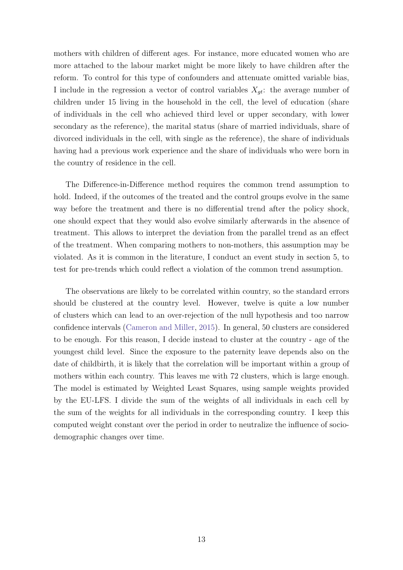mothers with children of different ages. For instance, more educated women who are more attached to the labour market might be more likely to have children after the reform. To control for this type of confounders and attenuate omitted variable bias, I include in the regression a vector of control variables  $X_{qt}$ : the average number of children under 15 living in the household in the cell, the level of education (share of individuals in the cell who achieved third level or upper secondary, with lower secondary as the reference), the marital status (share of married individuals, share of divorced individuals in the cell, with single as the reference), the share of individuals having had a previous work experience and the share of individuals who were born in the country of residence in the cell.

The Difference-in-Difference method requires the common trend assumption to hold. Indeed, if the outcomes of the treated and the control groups evolve in the same way before the treatment and there is no differential trend after the policy shock, one should expect that they would also evolve similarly afterwards in the absence of treatment. This allows to interpret the deviation from the parallel trend as an effect of the treatment. When comparing mothers to non-mothers, this assumption may be violated. As it is common in the literature, I conduct an event study in section 5, to test for pre-trends which could reflect a violation of the common trend assumption.

The observations are likely to be correlated within country, so the standard errors should be clustered at the country level. However, twelve is quite a low number of clusters which can lead to an over-rejection of the null hypothesis and too narrow confidence intervals (Cameron and Miller, 2015). In general, 50 clusters are considered to be enough. For this reason, I decide instead to cluster at the country - age of the youngest child level. Since the exposure to the paternity leave depends also on the date of childbirth, it is likely that the correlation will be important within a group of mothers within each country. This leaves me with 72 clusters, which is large enough. The model is estimated by Weighted Least Squares, using sample weights provided by the EU-LFS. I divide the sum of the weights of all individuals in each cell by the sum of the weights for all individuals in the corresponding country. I keep this computed weight constant over the period in order to neutralize the influence of sociodemographic changes over time.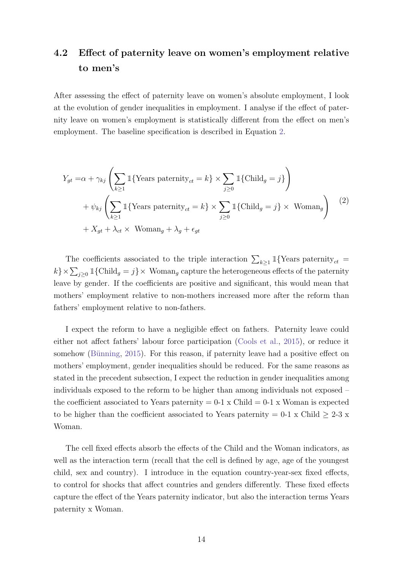### 4.2 Effect of paternity leave on women's employment relative to men's

After assessing the effect of paternity leave on women's absolute employment, I look at the evolution of gender inequalities in employment. I analyse if the effect of paternity leave on women's employment is statistically different from the effect on men's employment. The baseline specification is described in Equation 2.

$$
Y_{gt} = \alpha + \gamma_{kj} \left( \sum_{k \ge 1} \mathbb{1} \{ \text{Years paternity}_{ct} = k \} \times \sum_{j \ge 0} \mathbb{1} \{ \text{Child}_{g} = j \} \right)
$$
  
+ 
$$
\psi_{kj} \left( \sum_{k \ge 1} \mathbb{1} \{ \text{Years paternity}_{ct} = k \} \times \sum_{j \ge 0} \mathbb{1} \{ \text{Child}_{g} = j \} \times \text{ Woman}_{g} \right) \tag{2}
$$
  
+ 
$$
X_{gt} + \lambda_{ct} \times \text{ Woman}_{g} + \lambda_{g} + \epsilon_{gt}
$$

The coefficients associated to the triple interaction  $\sum_{k\geq 1} \mathbb{1}\{\text{Years paternity}_{ct} =$  $k$   $\{K\}\times\sum_{j\geq 0} \mathbb{1}\{\text{Child}_g=j\}$   $\times$  Woman<sub>g</sub> capture the heterogeneous effects of the paternity leave by gender. If the coefficients are positive and significant, this would mean that mothers' employment relative to non-mothers increased more after the reform than fathers' employment relative to non-fathers.

I expect the reform to have a negligible effect on fathers. Paternity leave could either not affect fathers' labour force participation (Cools et al., 2015), or reduce it somehow (Bünning,  $2015$ ). For this reason, if paternity leave had a positive effect on mothers' employment, gender inequalities should be reduced. For the same reasons as stated in the precedent subsection, I expect the reduction in gender inequalities among individuals exposed to the reform to be higher than among individuals not exposed – the coefficient associated to Years paternity  $= 0.1 \times$  Child  $= 0.1 \times$  Woman is expected to be higher than the coefficient associated to Years paternity =  $0-1 \times$  Child  $\geq 2-3 \times$ Woman.

The cell fixed effects absorb the effects of the Child and the Woman indicators, as well as the interaction term (recall that the cell is defined by age, age of the youngest child, sex and country). I introduce in the equation country-year-sex fixed effects, to control for shocks that affect countries and genders differently. These fixed effects capture the effect of the Years paternity indicator, but also the interaction terms Years paternity x Woman.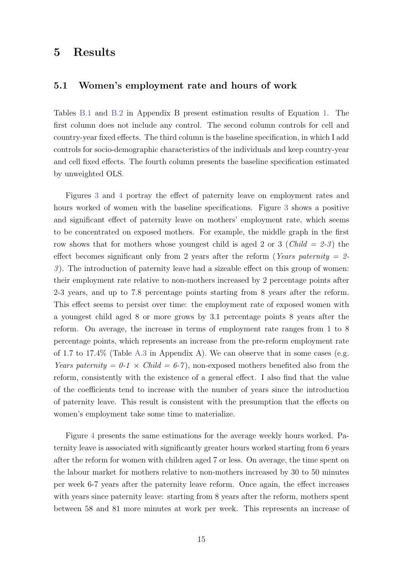### 5 Results

#### 5.1 Women's employment rate and hours of work

Tables B.1 and B.2 in Appendix B present estimation results of Equation 1. The first column does not include any control. The second column controls for cell and country-year fixed effects. The third column is the baseline specification, in which I add controls for socio-demographic characteristics of the individuals and keep country-year and cell fixed effects. The fourth column presents the baseline specification estimated by unweighted OLS.

Figures 3 and 4 portray the effect of paternity leave on employment rates and hours worked of women with the baseline specifications. Figure 3 shows a positive and significant effect of paternity leave on mothers' employment rate, which seems to be concentrated on exposed mothers. For example, the middle graph in the first row shows that for mothers whose youngest child is aged 2 or 3 (Child  $= 2-3$ ) the effect becomes significant only from 2 years after the reform (Years paternity =  $2$ - $3$ ). The introduction of paternity leave had a sizeable effect on this group of women: their employment rate relative to non-mothers increased by 2 percentage points after 2-3 years, and up to 7.8 percentage points starting from 8 years after the reform. This effect seems to persist over time: the employment rate of exposed women with a youngest child aged 8 or more grows by 3.1 percentage points 8 years after the reform. On average, the increase in terms of employment rate ranges from 1 to 8 percentage points, which represents an increase from the pre-reform employment rate of 1.7 to 17.4% (Table A.3 in Appendix A). We can observe that in some cases (e.g. Years paternity =  $0-1 \times Child = 6-7$ , non-exposed mothers benefited also from the reform, consistently with the existence of a general effect. I also find that the value of the coefficients tend to increase with the number of years since the introduction of paternity leave. This result is consistent with the presumption that the effects on women's employment take some time to materialize.

Figure 4 presents the same estimations for the average weekly hours worked. Paternity leave is associated with significantly greater hours worked starting from 6 years after the reform for women with children aged 7 or less. On average, the time spent on the labour market for mothers relative to non-mothers increased by 30 to 50 minutes per week 6-7 years after the paternity leave reform. Once again, the effect increases with years since paternity leave: starting from 8 years after the reform, mothers spent between 58 and 81 more minutes at work per week. This represents an increase of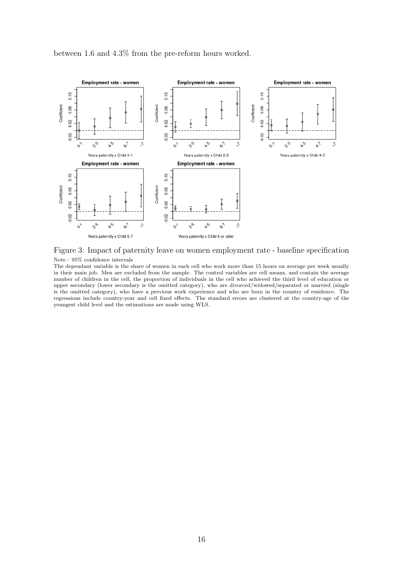



Figure 3: Impact of paternity leave on women employment rate - baseline specification Note : 95% confidence intervals

The dependant variable is the share of women in each cell who work more than 15 hours on average per week usually in their main job. Men are excluded from the sample. The control variables are cell means, and contain the average number of children in the cell, the proportion of individuals in the cell who achieved the third level of education or upper secondary (lower secondary is the omitted category), who are divorced/widowed/separated or married (single is the omitted category), who have a previous work experience and who are born in the country of residence. The regressions include country-year and cell fixed effects. The standard errors are clustered at the country-age of the youngest child level and the estimations are made using WLS.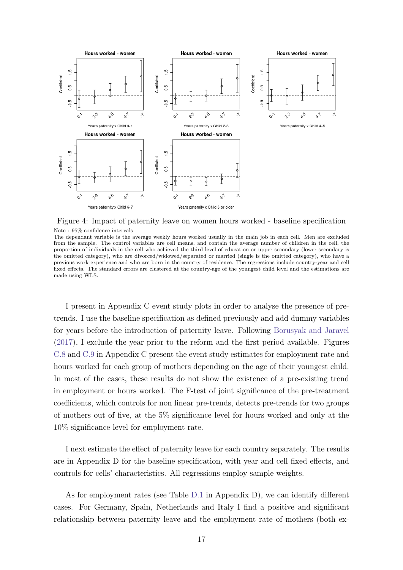

Figure 4: Impact of paternity leave on women hours worked - baseline specification Note : 95% confidence intervals

The dependant variable is the average weekly hours worked usually in the main job in each cell. Men are excluded from the sample. The control variables are cell means, and contain the average number of children in the cell, the proportion of individuals in the cell who achieved the third level of education or upper secondary (lower secondary is the omitted category), who are divorced/widowed/separated or married (single is the omitted category), who have a previous work experience and who are born in the country of residence. The regressions include country-year and cell fixed effects. The standard errors are clustered at the country-age of the youngest child level and the estimations are made using WLS.

I present in Appendix C event study plots in order to analyse the presence of pretrends. I use the baseline specification as defined previously and add dummy variables for years before the introduction of paternity leave. Following Borusyak and Jaravel (2017), I exclude the year prior to the reform and the first period available. Figures C.8 and C.9 in Appendix C present the event study estimates for employment rate and hours worked for each group of mothers depending on the age of their youngest child. In most of the cases, these results do not show the existence of a pre-existing trend in employment or hours worked. The F-test of joint significance of the pre-treatment coefficients, which controls for non linear pre-trends, detects pre-trends for two groups of mothers out of five, at the 5% significance level for hours worked and only at the 10% significance level for employment rate.

I next estimate the effect of paternity leave for each country separately. The results are in Appendix D for the baseline specification, with year and cell fixed effects, and controls for cells' characteristics. All regressions employ sample weights.

As for employment rates (see Table D.1 in Appendix D), we can identify different cases. For Germany, Spain, Netherlands and Italy I find a positive and significant relationship between paternity leave and the employment rate of mothers (both ex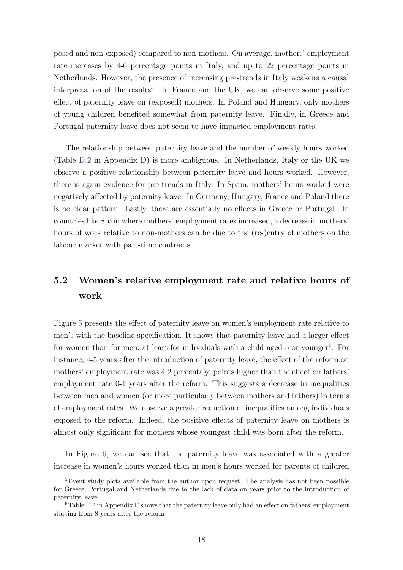posed and non-exposed) compared to non-mothers. On average, mothers' employment rate increases by 4-6 percentage points in Italy, and up to 22 percentage points in Netherlands. However, the presence of increasing pre-trends in Italy weakens a causal interpretation of the results<sup>5</sup>. In France and the UK, we can observe some positive effect of paternity leave on (exposed) mothers. In Poland and Hungary, only mothers of young children benefited somewhat from paternity leave. Finally, in Greece and Portugal paternity leave does not seem to have impacted employment rates.

The relationship between paternity leave and the number of weekly hours worked (Table D.2 in Appendix D) is more ambiguous. In Netherlands, Italy or the UK we observe a positive relationship between paternity leave and hours worked. However, there is again evidence for pre-trends in Italy. In Spain, mothers' hours worked were negatively affected by paternity leave. In Germany, Hungary, France and Poland there is no clear pattern. Lastly, there are essentially no effects in Greece or Portugal. In countries like Spain where mothers' employment rates increased, a decrease in mothers' hours of work relative to non-mothers can be due to the (re-)entry of mothers on the labour market with part-time contracts.

### 5.2 Women's relative employment rate and relative hours of work

Figure 5 presents the effect of paternity leave on women's employment rate relative to men's with the baseline specification. It shows that paternity leave had a larger effect for women than for men, at least for individuals with a child aged 5 or younger<sup>6</sup>. For instance, 4-5 years after the introduction of paternity leave, the effect of the reform on mothers' employment rate was 4.2 percentage points higher than the effect on fathers' employment rate 0-1 years after the reform. This suggests a decrease in inequalities between men and women (or more particularly between mothers and fathers) in terms of employment rates. We observe a greater reduction of inequalities among individuals exposed to the reform. Indeed, the positive effects of paternity leave on mothers is almost only significant for mothers whose youngest child was born after the reform.

In Figure 6, we can see that the paternity leave was associated with a greater increase in women's hours worked than in men's hours worked for parents of children

<sup>&</sup>lt;sup>5</sup>Event study plots available from the author upon request. The analysis has not been possible for Greece, Portugal and Netherlands due to the lack of data on years prior to the introduction of paternity leave.

 $6$ Table F.2 in Appendix F shows that the paternity leave only had an effect on fathers' employment starting from 8 years after the reform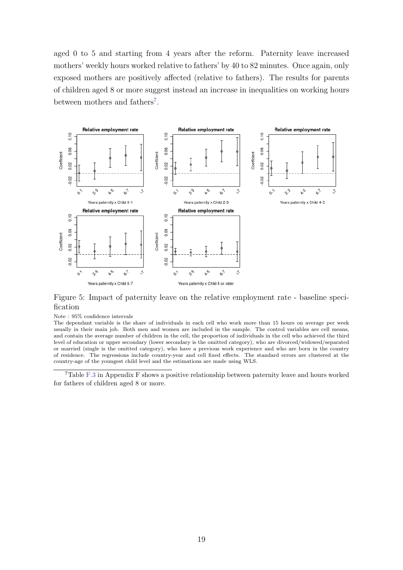aged 0 to 5 and starting from 4 years after the reform. Paternity leave increased mothers' weekly hours worked relative to fathers' by 40 to 82 minutes. Once again, only exposed mothers are positively affected (relative to fathers). The results for parents of children aged 8 or more suggest instead an increase in inequalities on working hours between mothers and fathers<sup>7</sup>.



Figure 5: Impact of paternity leave on the relative employment rate - baseline specification

#### Note : 95% confidence intervals

The dependant variable is the share of individuals in each cell who work more than 15 hours on average per week usually in their main job. Both men and women are included in the sample. The control variables are cell means, and contain the average number of children in the cell, the proportion of individuals in the cell who achieved the third level of education or upper secondary (lower secondary is the omitted category), who are divorced/widowed/separated or married (single is the omitted category), who have a previous work experience and who are born in the country of residence. The regressions include country-year and cell fixed effects. The standard errors are clustered at the country-age of the youngest child level and the estimations are made using WLS.

<sup>7</sup>Table F.3 in Appendix F shows a positive relationship between paternity leave and hours worked for fathers of children aged 8 or more.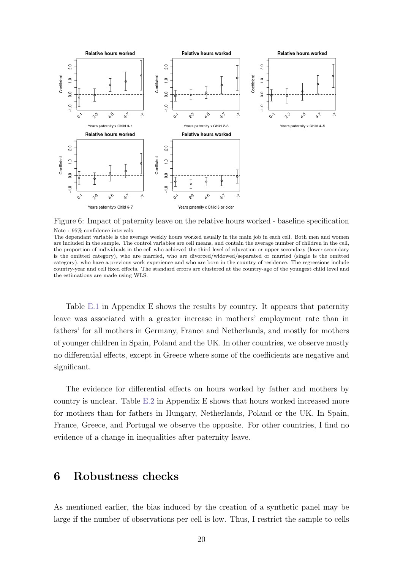

Figure 6: Impact of paternity leave on the relative hours worked - baseline specification Note : 95% confidence intervals

Table E.1 in Appendix E shows the results by country. It appears that paternity leave was associated with a greater increase in mothers' employment rate than in fathers' for all mothers in Germany, France and Netherlands, and mostly for mothers of younger children in Spain, Poland and the UK. In other countries, we observe mostly no differential effects, except in Greece where some of the coefficients are negative and significant.

The evidence for differential effects on hours worked by father and mothers by country is unclear. Table E.2 in Appendix E shows that hours worked increased more for mothers than for fathers in Hungary, Netherlands, Poland or the UK. In Spain, France, Greece, and Portugal we observe the opposite. For other countries, I find no evidence of a change in inequalities after paternity leave.

### 6 Robustness checks

As mentioned earlier, the bias induced by the creation of a synthetic panel may be large if the number of observations per cell is low. Thus, I restrict the sample to cells

The dependant variable is the average weekly hours worked usually in the main job in each cell. Both men and women are included in the sample. The control variables are cell means, and contain the average number of children in the cell, the proportion of individuals in the cell who achieved the third level of education or upper secondary (lower secondary is the omitted category), who are married, who are divorced/widowed/separated or married (single is the omitted category), who have a previous work experience and who are born in the country of residence. The regressions include country-year and cell fixed effects. The standard errors are clustered at the country-age of the youngest child level and the estimations are made using WLS.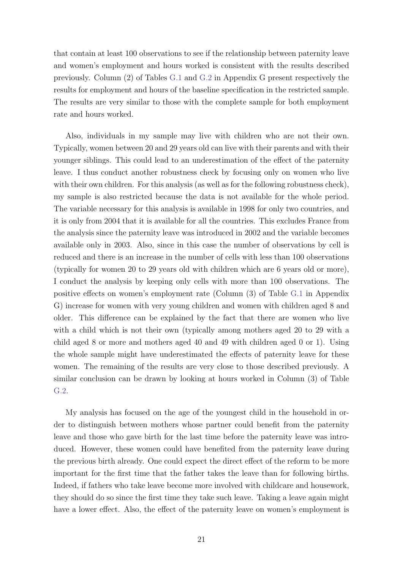that contain at least 100 observations to see if the relationship between paternity leave and women's employment and hours worked is consistent with the results described previously. Column (2) of Tables G.1 and G.2 in Appendix G present respectively the results for employment and hours of the baseline specification in the restricted sample. The results are very similar to those with the complete sample for both employment rate and hours worked.

Also, individuals in my sample may live with children who are not their own. Typically, women between 20 and 29 years old can live with their parents and with their younger siblings. This could lead to an underestimation of the effect of the paternity leave. I thus conduct another robustness check by focusing only on women who live with their own children. For this analysis (as well as for the following robustness check), my sample is also restricted because the data is not available for the whole period. The variable necessary for this analysis is available in 1998 for only two countries, and it is only from 2004 that it is available for all the countries. This excludes France from the analysis since the paternity leave was introduced in 2002 and the variable becomes available only in 2003. Also, since in this case the number of observations by cell is reduced and there is an increase in the number of cells with less than 100 observations (typically for women 20 to 29 years old with children which are 6 years old or more), I conduct the analysis by keeping only cells with more than 100 observations. The positive effects on women's employment rate (Column (3) of Table G.1 in Appendix G) increase for women with very young children and women with children aged 8 and older. This difference can be explained by the fact that there are women who live with a child which is not their own (typically among mothers aged 20 to 29 with a child aged 8 or more and mothers aged 40 and 49 with children aged 0 or 1). Using the whole sample might have underestimated the effects of paternity leave for these women. The remaining of the results are very close to those described previously. A similar conclusion can be drawn by looking at hours worked in Column (3) of Table G.2.

My analysis has focused on the age of the youngest child in the household in order to distinguish between mothers whose partner could benefit from the paternity leave and those who gave birth for the last time before the paternity leave was introduced. However, these women could have benefited from the paternity leave during the previous birth already. One could expect the direct effect of the reform to be more important for the first time that the father takes the leave than for following births. Indeed, if fathers who take leave become more involved with childcare and housework, they should do so since the first time they take such leave. Taking a leave again might have a lower effect. Also, the effect of the paternity leave on women's employment is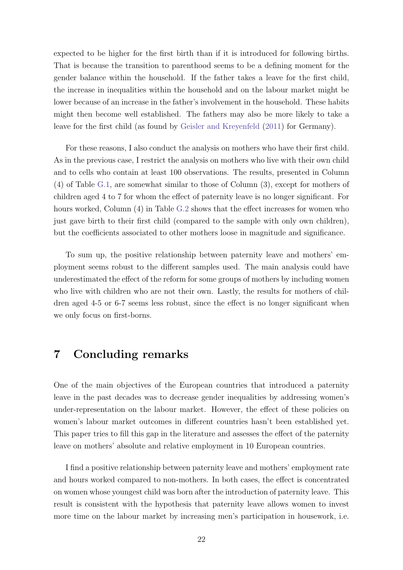expected to be higher for the first birth than if it is introduced for following births. That is because the transition to parenthood seems to be a defining moment for the gender balance within the household. If the father takes a leave for the first child, the increase in inequalities within the household and on the labour market might be lower because of an increase in the father's involvement in the household. These habits might then become well established. The fathers may also be more likely to take a leave for the first child (as found by Geisler and Kreyenfeld (2011) for Germany).

For these reasons, I also conduct the analysis on mothers who have their first child. As in the previous case, I restrict the analysis on mothers who live with their own child and to cells who contain at least 100 observations. The results, presented in Column (4) of Table G.1, are somewhat similar to those of Column (3), except for mothers of children aged 4 to 7 for whom the effect of paternity leave is no longer significant. For hours worked, Column (4) in Table G.2 shows that the effect increases for women who just gave birth to their first child (compared to the sample with only own children), but the coefficients associated to other mothers loose in magnitude and significance.

To sum up, the positive relationship between paternity leave and mothers' employment seems robust to the different samples used. The main analysis could have underestimated the effect of the reform for some groups of mothers by including women who live with children who are not their own. Lastly, the results for mothers of children aged 4-5 or 6-7 seems less robust, since the effect is no longer significant when we only focus on first-borns.

### 7 Concluding remarks

One of the main objectives of the European countries that introduced a paternity leave in the past decades was to decrease gender inequalities by addressing women's under-representation on the labour market. However, the effect of these policies on women's labour market outcomes in different countries hasn't been established yet. This paper tries to fill this gap in the literature and assesses the effect of the paternity leave on mothers' absolute and relative employment in 10 European countries.

I find a positive relationship between paternity leave and mothers' employment rate and hours worked compared to non-mothers. In both cases, the effect is concentrated on women whose youngest child was born after the introduction of paternity leave. This result is consistent with the hypothesis that paternity leave allows women to invest more time on the labour market by increasing men's participation in housework, i.e.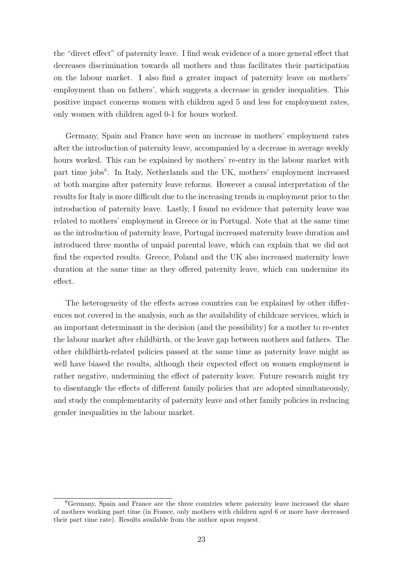the "direct effect" of paternity leave. I find weak evidence of a more general effect that decreases discrimination towards all mothers and thus facilitates their participation on the labour market. I also find a greater impact of paternity leave on mothers' employment than on fathers', which suggests a decrease in gender inequalities. This positive impact concerns women with children aged 5 and less for employment rates, only women with children aged 0-1 for hours worked.

Germany, Spain and France have seen an increase in mothers' employment rates after the introduction of paternity leave, accompanied by a decrease in average weekly hours worked. This can be explained by mothers' re-entry in the labour market with part time jobs<sup>8</sup>. In Italy, Netherlands and the UK, mothers' employment increased at both margins after paternity leave reforms. However a causal interpretation of the results for Italy is more difficult due to the increasing trends in employment prior to the introduction of paternity leave. Lastly, I found no evidence that paternity leave was related to mothers' employment in Greece or in Portugal. Note that at the same time as the introduction of paternity leave, Portugal increased maternity leave duration and introduced three months of unpaid parental leave, which can explain that we did not find the expected results. Greece, Poland and the UK also increased maternity leave duration at the same time as they offered paternity leave, which can undermine its effect.

The heterogeneity of the effects across countries can be explained by other differences not covered in the analysis, such as the availability of childcare services, which is an important determinant in the decision (and the possibility) for a mother to re-enter the labour market after childbirth, or the leave gap between mothers and fathers. The other childbirth-related policies passed at the same time as paternity leave might as well have biased the results, although their expected effect on women employment is rather negative, undermining the effect of paternity leave. Future research might try to disentangle the effects of different family policies that are adopted simultaneously, and study the complementarity of paternity leave and other family policies in reducing gender inequalities in the labour market.

<sup>8</sup>Germany, Spain and France are the three countries where paternity leave increased the share of mothers working part time (in France, only mothers with children aged 6 or more have decreased their part time rate). Results available from the author upon request.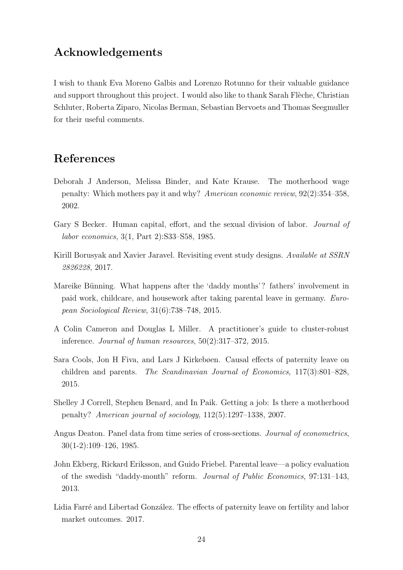### Acknowledgements

I wish to thank Eva Moreno Galbis and Lorenzo Rotunno for their valuable guidance and support throughout this project. I would also like to thank Sarah Flèche, Christian Schluter, Roberta Ziparo, Nicolas Berman, Sebastian Bervoets and Thomas Seegmuller for their useful comments.

### References

- Deborah J Anderson, Melissa Binder, and Kate Krause. The motherhood wage penalty: Which mothers pay it and why? American economic review, 92(2):354–358, 2002.
- Gary S Becker. Human capital, effort, and the sexual division of labor. *Journal of* labor economics, 3(1, Part 2):S33–S58, 1985.
- Kirill Borusyak and Xavier Jaravel. Revisiting event study designs. Available at SSRN 2826228, 2017.
- Mareike Bünning. What happens after the 'daddy months'? fathers' involvement in paid work, childcare, and housework after taking parental leave in germany. European Sociological Review, 31(6):738–748, 2015.
- A Colin Cameron and Douglas L Miller. A practitioner's guide to cluster-robust inference. Journal of human resources, 50(2):317–372, 2015.
- Sara Cools, Jon H Fiva, and Lars J Kirkebøen. Causal effects of paternity leave on children and parents. The Scandinavian Journal of Economics,  $117(3):801-828$ , 2015.
- Shelley J Correll, Stephen Benard, and In Paik. Getting a job: Is there a motherhood penalty? American journal of sociology, 112(5):1297–1338, 2007.
- Angus Deaton. Panel data from time series of cross-sections. *Journal of econometrics*, 30(1-2):109–126, 1985.
- John Ekberg, Rickard Eriksson, and Guido Friebel. Parental leave—a policy evaluation of the swedish "daddy-month" reform. Journal of Public Economics, 97:131–143, 2013.
- Lidia Farré and Libertad González. The effects of paternity leave on fertility and labor market outcomes. 2017.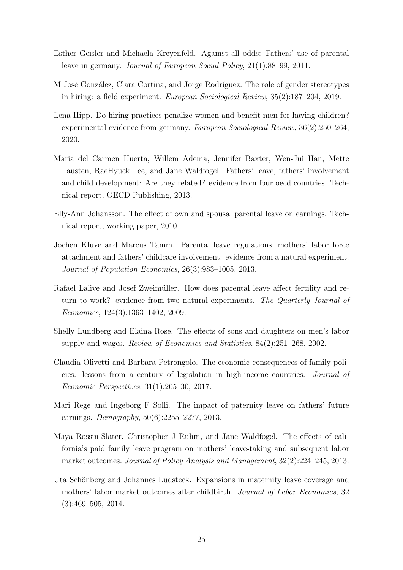- Esther Geisler and Michaela Kreyenfeld. Against all odds: Fathers' use of parental leave in germany. Journal of European Social Policy, 21(1):88–99, 2011.
- M José González, Clara Cortina, and Jorge Rodríguez. The role of gender stereotypes in hiring: a field experiment. European Sociological Review, 35(2):187–204, 2019.
- Lena Hipp. Do hiring practices penalize women and benefit men for having children? experimental evidence from germany. European Sociological Review, 36(2):250–264, 2020.
- Maria del Carmen Huerta, Willem Adema, Jennifer Baxter, Wen-Jui Han, Mette Lausten, RaeHyuck Lee, and Jane Waldfogel. Fathers' leave, fathers' involvement and child development: Are they related? evidence from four oecd countries. Technical report, OECD Publishing, 2013.
- Elly-Ann Johansson. The effect of own and spousal parental leave on earnings. Technical report, working paper, 2010.
- Jochen Kluve and Marcus Tamm. Parental leave regulations, mothers' labor force attachment and fathers' childcare involvement: evidence from a natural experiment. Journal of Population Economics, 26(3):983–1005, 2013.
- Rafael Lalive and Josef Zweimüller. How does parental leave affect fertility and return to work? evidence from two natural experiments. The Quarterly Journal of Economics, 124(3):1363–1402, 2009.
- Shelly Lundberg and Elaina Rose. The effects of sons and daughters on men's labor supply and wages. Review of Economics and Statistics, 84(2):251–268, 2002.
- Claudia Olivetti and Barbara Petrongolo. The economic consequences of family policies: lessons from a century of legislation in high-income countries. Journal of Economic Perspectives, 31(1):205–30, 2017.
- Mari Rege and Ingeborg F Solli. The impact of paternity leave on fathers' future earnings. Demography, 50(6):2255–2277, 2013.
- Maya Rossin-Slater, Christopher J Ruhm, and Jane Waldfogel. The effects of california's paid family leave program on mothers' leave-taking and subsequent labor market outcomes. Journal of Policy Analysis and Management, 32(2):224–245, 2013.
- Uta Schönberg and Johannes Ludsteck. Expansions in maternity leave coverage and mothers' labor market outcomes after childbirth. Journal of Labor Economics, 32 (3):469–505, 2014.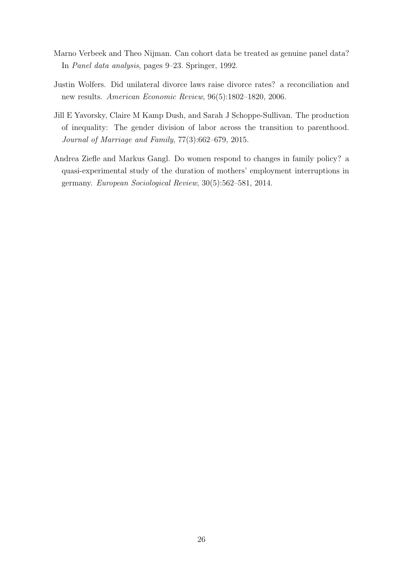- Marno Verbeek and Theo Nijman. Can cohort data be treated as genuine panel data? In Panel data analysis, pages 9–23. Springer, 1992.
- Justin Wolfers. Did unilateral divorce laws raise divorce rates? a reconciliation and new results. American Economic Review, 96(5):1802–1820, 2006.
- Jill E Yavorsky, Claire M Kamp Dush, and Sarah J Schoppe-Sullivan. The production of inequality: The gender division of labor across the transition to parenthood. Journal of Marriage and Family, 77(3):662–679, 2015.
- Andrea Ziefle and Markus Gangl. Do women respond to changes in family policy? a quasi-experimental study of the duration of mothers' employment interruptions in germany. European Sociological Review, 30(5):562–581, 2014.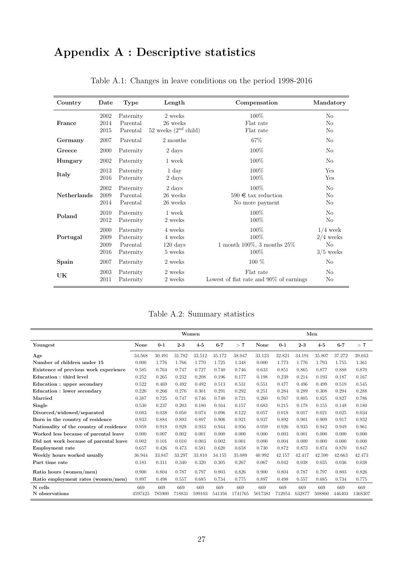# Appendix A : Descriptive statistics

| Country            | Date | <b>Type</b> | Length                    | Compensation                            | Mandatory      |
|--------------------|------|-------------|---------------------------|-----------------------------------------|----------------|
| France             | 2002 | Paternity   | 2 weeks                   | 100%                                    | N <sub>o</sub> |
|                    | 2014 | Parental    | 26 weeks                  | Flat rate                               | N <sub>o</sub> |
|                    | 2015 | Parental    | 52 weeks $(2^{nd}$ child) | Flat rate                               | N <sub>0</sub> |
| Germany            | 2007 | Parental    | 2 months                  | 67\%                                    | N <sub>0</sub> |
| Greece             | 2000 | Paternity   | 2 days                    | 100%                                    | N <sub>0</sub> |
| Hungary            | 2002 | Paternity   | 1 week                    | 100%                                    | N <sub>o</sub> |
| Italy              | 2013 | Paternity   | $1 \mathrm{day}$          | 100%                                    | Yes            |
|                    | 2016 | Paternity   | 2 days                    | 100\%                                   | Yes            |
| <b>Netherlands</b> | 2002 | Paternity   | 2 days                    | 100\%                                   | No             |
|                    | 2009 | Parental    | 26 weeks                  | $590 \in \text{tax reduction}$          | No             |
|                    | 2014 | Parental    | 26 weeks                  | No more payment                         | N <sub>0</sub> |
| Poland             | 2010 | Paternity   | 1 week                    | 100%                                    | No             |
|                    | 2012 | Paternity   | 2 weeks                   | 100%                                    | N <sub>o</sub> |
| Portugal           | 2000 | Paternity   | 4 weeks                   | 100%                                    | $1/4$ week     |
|                    | 2009 | Paternity   | 4 weeks                   | 100%                                    | $2/4$ weeks    |
|                    | 2009 | Parental    | $120 \text{ days}$        | 1 month $100\%$ , 3 months $25\%$       | N <sub>o</sub> |
|                    | 2016 | Paternity   | 5 weeks                   | 100\%                                   | $3/5$ weeks    |
| Spain              | 2007 | Paternity   | 2 weeks                   | $100\%$                                 | N <sub>o</sub> |
| UK                 | 2003 | Paternity   | 2 weeks                   | Flat rate                               | N <sub>0</sub> |
|                    | 2011 | Paternity   | 2 weeks                   | Lowest of flat rate and 90% of earnings | N <sub>o</sub> |

### Table A.1: Changes in leave conditions on the period 1998-2016

Table A.2: Summary statistics

|                                         | Women          |               |               |               | Men           |                |                |               |               |               |               |                |
|-----------------------------------------|----------------|---------------|---------------|---------------|---------------|----------------|----------------|---------------|---------------|---------------|---------------|----------------|
| Youngest                                | None           | $0 - 1$       | $2 - 3$       | $4-5$         | $6 - 7$       | > 7            | None           | $0 - 1$       | $2 - 3$       | $4-5$         | $6 - 7$       | > 7            |
| Age                                     | 34.568         | 30.491        | 31.782        | 33.512        | 35.172        | 38.047         | 33.123         | 32.821        | 34.191        | 35.807        | 37.272        | 39.043         |
| Number of children under 15             | 0.000          | 1.776         | 1.766         | 1.770         | 1.725         | 1.348          | 0.000          | 1.773         | 1.776         | 1.793         | 1.755         | 1.361          |
| Existence of previous work experience   | 0.585          | 0.764         | 0.747         | 0.727         | 0.740         | 0.746          | 0.633          | 0.851         | 0.865         | 0.877         | 0.888         | 0.870          |
| Education : third level                 | 0.252          | 0.265         | 0.232         | 0.208         | 0.196         | 0.177          | 0.198          | 0.239         | 0.214         | 0.193         | 0.187         | 0.167          |
| Education : upper secondary             | 0.522          | 0.469         | 0.492         | 0.492         | 0.513         | 0.531          | 0.551          | 0.477         | 0.496         | 0.499         | 0.519         | 0.545          |
| Education : lower secondary             | 0.226          | 0.266         | 0.276         | 0.301         | 0.291         | 0.292          | 0.251          | 0.284         | 0.289         | 0.308         | 0.294         | 0.288          |
| Married                                 | 0.387          | 0.725         | 0.747         | 0.746         | 0.740         | 0.721          | 0.260          | 0.767         | 0.805         | 0.825         | 0.827         | 0.786          |
| Single                                  | 0.530          | 0.237         | 0.203         | 0.180         | 0.164         | 0.157          | 0.683          | 0.215         | 0.178         | 0.155         | 0.148         | 0.180          |
| Divorced/widowed/separated              | 0.083          | 0.038         | 0.050         | 0.074         | 0.096         | 0.122          | 0.057          | 0.018         | 0.017         | 0.021         | 0.025         | 0.034          |
| Born in the country of residence        | 0.933          | 0.884         | 0.893         | 0.897         | 0.906         | 0.921          | 0.937          | 0.892         | 0.901         | 0.909         | 0.917         | 0.932          |
| Nationality of the country of residence | 0.959          | 0.918         | 0.928         | 0.933         | 0.944         | 0.956          | 0.959          | 0.926         | 0.935         | 0.942         | 0.949         | 0.961          |
| Worked less because of parental leave   | 0.000          | 0.007         | 0.002         | 0.001         | 0.000         | 0.000          | 0.000          | 0.003         | 0.001         | 0.000         | 0.000         | 0.000          |
| Did not work because of parental leave  | 0.002          | 0.101         | 0.010         | 0.003         | 0.002         | 0.001          | 0.000          | 0.004         | 0.000         | 0.000         | 0.000         | 0.000          |
| Employment rate                         | 0.657          | 0.426         | 0.473         | 0.581         | 0.620         | 0.658          | 0.730          | 0.872         | 0.873         | 0.874         | 0.870         | 0.847          |
| Weekly hours worked usually             | 36.944         | 33.847        | 33.297        | 33.810        | 34.155        | 35.089         | 40.992         | 42.157        | 42.417        | 42.590        | 42.663        | 42.473         |
| Part time rate                          | 0.181          | 0.311         | 0.340         | 0.320         | 0.305         | 0.267          | 0.067          | 0.042         | 0.038         | 0.035         | 0.036         | 0.038          |
| Ratio hours (women/men)                 | 0.900          | 0.804         | 0.787         | 0.797         | 0.803         | 0.826          | 0.900          | 0.804         | 0.787         | 0.797         | 0.803         | 0.826          |
| Ratio employment rates (women/men)      | 0.897          | 0.498         | 0.557         | 0.685         | 0.734         | 0.775          | 0.897          | 0.498         | 0.557         | 0.685         | 0.734         | 0.775          |
| N cells<br>N observations               | 669<br>4597423 | 669<br>785900 | 669<br>718831 | 669<br>599103 | 669<br>541356 | 669<br>1741765 | 669<br>5017381 | 669<br>712054 | 669<br>632877 | 669<br>508860 | 669<br>446403 | 669<br>1368307 |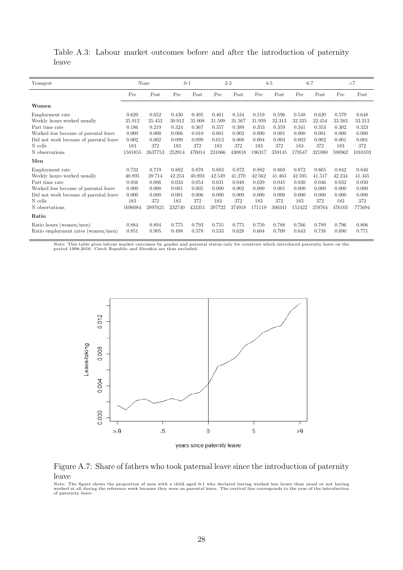| Youngest                                                                                                                                                                                  |                                                              | None                                                         | $0 - 1$                                                     |                                                             | $2 - 3$                                                     |                                                             |                                                             | $4 - 5$                                                     | $6 - 7$                                                     |                                                             |                                                             | >7                                                           |
|-------------------------------------------------------------------------------------------------------------------------------------------------------------------------------------------|--------------------------------------------------------------|--------------------------------------------------------------|-------------------------------------------------------------|-------------------------------------------------------------|-------------------------------------------------------------|-------------------------------------------------------------|-------------------------------------------------------------|-------------------------------------------------------------|-------------------------------------------------------------|-------------------------------------------------------------|-------------------------------------------------------------|--------------------------------------------------------------|
|                                                                                                                                                                                           | Pre                                                          | Post                                                         | Pre                                                         | Post                                                        | Pre                                                         | Post                                                        | Pre                                                         | Post                                                        | Pre                                                         | Post                                                        | Pre                                                         | Post                                                         |
| Women                                                                                                                                                                                     |                                                              |                                                              |                                                             |                                                             |                                                             |                                                             |                                                             |                                                             |                                                             |                                                             |                                                             |                                                              |
| Employment rate<br>Weekly hours worked usually<br>Part time rate<br>Worked less because of parental leave<br>Did not work because of parental leave<br>N cells<br>N observations<br>Men   | 0.620<br>35.912<br>0.186<br>0.000<br>0.002<br>183<br>1581855 | 0.652<br>35.453<br>0.219<br>0.000<br>0.002<br>372<br>2637753 | 0.430<br>30.912<br>0.324<br>0.006<br>0.099<br>183<br>252914 | 0.495<br>31.008<br>0.367<br>0.010<br>0.099<br>372<br>470014 | 0.461<br>31.509<br>0.357<br>0.001<br>0.013<br>183<br>231066 | 0.534<br>31.567<br>0.389<br>0.002<br>0.008<br>372<br>430818 | 0.519<br>31.959<br>0.353<br>0.000<br>0.004<br>183<br>196317 | 0.596<br>32.313<br>0.359<br>0.001<br>0.003<br>372<br>359145 | 0.548<br>32.335<br>0.341<br>0.000<br>0.002<br>183<br>179547 | 0.620<br>32.454<br>0.353<br>0.001<br>0.002<br>372<br>321080 | 0.579<br>33.383<br>0.302<br>0.000<br>0.001<br>183<br>590962 | 0.648<br>33.213<br>0.323<br>0.000<br>0.001<br>372<br>1010103 |
| Employment rate<br>Weekly hours worked usually<br>Part time rate<br>Worked less because of parental leave<br>Did not work because of parental leave<br>N cells<br>N observations<br>Ratio | 0.732<br>40.895<br>0.056<br>0.000<br>0.000<br>183<br>1696084 | 0.719<br>39.714<br>0.086<br>0.000<br>0.000<br>372<br>2897621 | 0.882<br>42.254<br>0.033<br>0.001<br>0.001<br>183<br>232740 | 0.870<br>40.893<br>0.054<br>0.005<br>0.006<br>372<br>423351 | 0.883<br>42.549<br>0.031<br>0.000<br>0.000<br>183<br>207722 | 0.872<br>41.270<br>0.049<br>0.002<br>0.000<br>372<br>374918 | 0.882<br>42.562<br>0.029<br>0.000<br>0.000<br>183<br>171119 | 0.869<br>41.463<br>0.045<br>0.001<br>0.000<br>372<br>300341 | 0.872<br>42.595<br>0.030<br>0.000<br>0.000<br>183<br>152422 | 0.865<br>41.517<br>0.046<br>0.000<br>0.000<br>372<br>259764 | 0.842<br>42.234<br>0.032<br>0.000<br>0.000<br>183<br>476105 | 0.840<br>41.345<br>0.050<br>0.000<br>0.000<br>372<br>775694  |
| Ratio hours (women/men)<br>Ratio employment rates (women/men)                                                                                                                             | 0.884<br>0.851                                               | 0.894<br>0.905                                               | 0.775<br>0.498                                              | 0.793<br>0.578                                              | 0.755<br>0.533                                              | 0.775<br>0.628                                              | 0.759<br>0.604                                              | 0.788<br>0.709                                              | 0.766<br>0.643                                              | 0.789<br>0.738                                              | 0.796<br>0.690                                              | 0.806<br>0.771                                               |

Table A.3: Labour market outcomes before and after the introduction of paternity leave

Note: This table gives labour market outcomes by gender and parental status only for countries which introduced paternity leave on the period 1998-2016. Czech Republic and Slovakia are thus excluded.



Figure A.7: Share of fathers who took paternal leave since the introduction of paternity leave

Note: The figure shows the proportion of men with a child aged 0-1 who declared having worked less hours than usual or not having<br>worked at all during the reference week because they were on parental leave. The vertical li of paternity leave.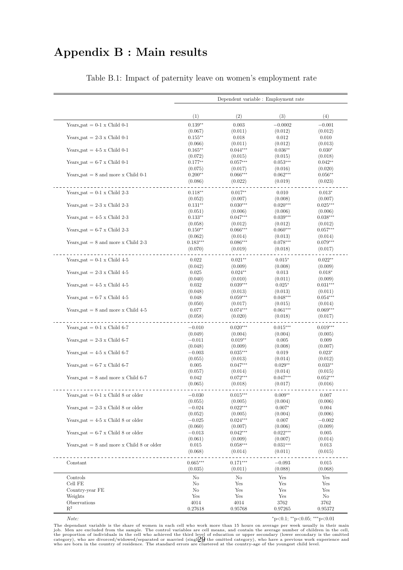# Appendix B : Main results

|                                             |                      |                       | Dependent variable : Employment rate |                       |
|---------------------------------------------|----------------------|-----------------------|--------------------------------------|-----------------------|
|                                             |                      |                       |                                      |                       |
|                                             | (1)                  | (2)                   | (3)                                  | (4)                   |
| Years_pat = $0-1 \times$ Child $0-1$        | $0.139**$            | 0.003                 | $-0.0002$                            | $-0.001$              |
|                                             | (0.067)              | (0.011)               | (0.012)                              | (0.012)               |
| Years_pat = $2-3 \times$ Child 0-1          | $0.155**$            | 0.018                 | 0.012                                | 0.010                 |
|                                             | (0.066)              | (0.011)               | (0.012)                              | (0.013)               |
| Years_pat = $4-5 \times$ Child 0-1          | $0.165***$           | $0.044***$            | $0.036**$                            | $0.030*$              |
| Years_pat = $6-7 \times$ Child 0-1          | (0.072)<br>$0.177**$ | (0.015)<br>$0.057***$ | (0.015)<br>$0.053***$                | (0.018)<br>$0.042**$  |
|                                             | (0.075)              | (0.017)               | (0.016)                              | (0.020)               |
| Years_pat = $8$ and more x Child 0-1        | $0.200**$            | $0.066***$            | $0.062***$                           | $0.056**$             |
|                                             | (0.086)              | (0.022)               | (0.019)                              | (0.023)               |
| Years_pat = $0-1 \times$ Child 2-3          | $0.118**$            | $0.017**$             | 0.010                                | $0.013*$              |
|                                             | (0.052)              | (0.007)               | (0.008)                              | (0.007)               |
| Years_pat = $2-3 \times$ Child 2-3          | $0.131**$            | $0.030***$            | $0.020***$                           | $0.025***$            |
|                                             | (0.051)              | (0.006)               | (0.006)                              | (0.006)               |
| Years_pat = $4-5 \times$ Child 2-3          | $0.133**$            | $0.047***$            | $0.039***$                           | $0.038***$            |
|                                             | (0.058)              | (0.012)               | (0.012)                              | (0.012)               |
| Years_pat = $6-7 \times$ Child 2-3          | $0.150**$<br>(0.062) | $0.066***$<br>(0.014) | $0.060***$<br>(0.013)                | $0.057***$<br>(0.014) |
| Years_pat $= 8$ and more x Child 2-3        | $0.183***$           | $0.086***$            | $0.078***$                           | $0.079***$            |
|                                             | (0.070)              | (0.019)               | (0.018)                              | (0.017)               |
| Years_pat = $0-1 \times$ Child 4-5          | 0.022                | $0.021**$             | $0.015*$                             | $0.022**$             |
|                                             | (0.042)              | (0.009)               | (0.008)                              | (0.009)               |
| Years_pat = $2-3 \times$ Child 4-5          | 0.025                | $0.024**$             | 0.013                                | $0.018*$              |
|                                             | (0.040)              | (0.010)               | (0.011)                              | (0.009)               |
| Years_pat = $4-5 \times$ Child $4-5$        | 0.032                | $0.039***$            | $0.025*$                             | $0.031***$            |
|                                             | (0.048)              | (0.013)               | (0.013)                              | (0.011)               |
| Years_pat = $6-7 \times$ Child 4-5          | 0.048                | $0.059***$            | $0.048***$                           | $0.054***$            |
|                                             | (0.050)<br>0.077     | (0.017)<br>$0.074***$ | (0.015)<br>$0.061***$                | (0.014)<br>$0.069***$ |
| Years_pat $= 8$ and more x Child 4-5        | (0.058)              | (0.020)               | (0.018)                              | (0.017)               |
|                                             |                      |                       |                                      |                       |
| Years_pat = $0-1 \times$ Child 6-7          | $-0.010$<br>(0.049)  | $0.020***$<br>(0.004) | $0.015***$<br>(0.004)                | $0.019***$<br>(0.005) |
| Years_pat = $2-3 \times$ Child 6-7          | $-0.011$             | $0.019**$             | 0.005                                | 0.009                 |
|                                             | (0.048)              | (0.009)               | (0.008)                              | (0.007)               |
| Years_pat = $4-5 \times$ Child 6-7          | $-0.003$             | $0.035***$            | 0.019                                | $0.023*$              |
|                                             | (0.055)              | (0.013)               | (0.014)                              | (0.012)               |
| Years_pat = $6-7 \times$ Child 6-7          | 0.005                | $0.047***$            | $0.029**$                            | $0.033**$             |
|                                             | (0.057)              | (0.014)               | (0.014)                              | (0.015)               |
| Years_pat $= 8$ and more x Child 6-7        | 0.042                | $0.072***$            | $0.047***$                           | $0.052***$            |
|                                             | (0.065)              | (0.018)               | (0.017)                              | (0.016)               |
| Years_pat $= 0.1$ x Child 8 or older        | $-0.030$             | $0.015***$            | $0.009**$                            | 0.007                 |
|                                             | (0.055)              | (0.005)               | (0.004)                              | (0.006)               |
| Years_pat $= 2-3$ x Child 8 or older        | $-0.024$             | $0.022***$            | $0.007*$                             | 0.004                 |
|                                             | (0.052)              | (0.005)               | (0.004)                              | (0.006)               |
| Years_pat $=$ 4-5 x Child 8 or older        | $-0.025$             | $0.024***$            | 0.007                                | $-0.002$              |
| Years_pat = $6-7 \times$ Child 8 or older   | (0.060)<br>$-0.013$  | (0.007)<br>$0.042***$ | (0.006)<br>$0.022***$                | (0.009)<br>0.005      |
|                                             | (0.061)              | (0.009)               | (0.007)                              | (0.014)               |
| Years_pat $= 8$ and more x Child 8 or older | 0.015                | $0.058***$            | $0.031***$                           | 0.013                 |
|                                             | (0.068)              | (0.014)               | (0.011)                              | (0.015)               |
| Constant                                    | $0.665***$           | $0.171***$            | $-0.093$                             | 0.015                 |
|                                             | (0.035)              | (0.011)               | (0.088)                              | (0.068)               |
| Controls                                    | No                   | No                    | Yes                                  | Yes                   |
| Cell FE                                     | No                   | Yes                   | Yes                                  | Yes                   |
| Country-year FE                             | No                   | Yes                   | Yes                                  | Yes                   |
| Weights<br>Observations                     | Yes                  | Yes                   | Yes                                  | No                    |
| $R^2$                                       | 4014<br>0.27618      | 4014<br>0.95768       | 3762<br>0.97265                      | 3762<br>0.95372       |
|                                             |                      |                       |                                      |                       |

Table B.1: Impact of paternity leave on women's employment rate

Note: \* p<0.05; \*\*\*p<0.05; \*\*\*p<0.05}

The dependant variable is the share of women in each cell who work more than 15 hours on average per week usually in their main<br>job. Men are excluded from the sample. The control variables are cell means, and contain the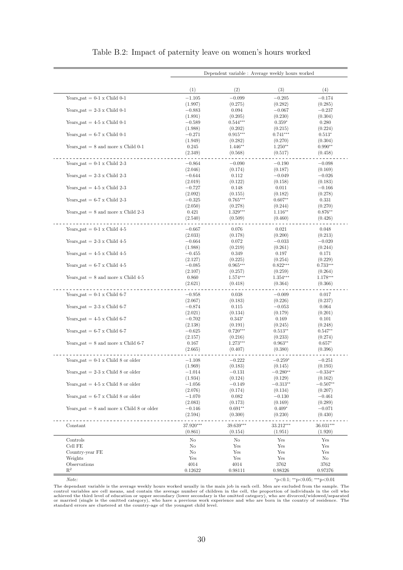|                                             | Dependent variable : Average weekly hours worked |            |            |            |  |  |
|---------------------------------------------|--------------------------------------------------|------------|------------|------------|--|--|
|                                             | (1)                                              | (2)        | (3)        | (4)        |  |  |
| Years_pat = $0-1 \times$ Child $0-1$        | $-1.105$                                         | $-0.099$   | $-0.205$   | $-0.174$   |  |  |
| Years_pat = $2-3 \times$ Child 0-1          | (1.997)                                          | (0.275)    | (0.282)    | (0.285)    |  |  |
|                                             | $-0.883$                                         | 0.094      | $-0.067$   | $-0.237$   |  |  |
| Years_pat $=$ 4-5 x Child 0-1               | (1.891)                                          | (0.205)    | (0.230)    | (0.304)    |  |  |
|                                             | $-0.589$                                         | $0.544***$ | $0.359*$   | 0.280      |  |  |
| Years_pat = $6-7 \times$ Child 0-1          | (1.988)                                          | (0.202)    | (0.215)    | (0.224)    |  |  |
|                                             | $-0.271$                                         | $0.915***$ | $0.741***$ | $0.513*$   |  |  |
| Years_pat $= 8$ and more x Child 0-1        | (1.949)                                          | (0.282)    | (0.270)    | (0.304)    |  |  |
|                                             | 0.245                                            | $1.446**$  | $1.250**$  | $0.990**$  |  |  |
|                                             | (2.349)                                          | (0.568)    | (0.517)    | (0.458)    |  |  |
| Years_pat = $0-1 \times$ Child 2-3          | $-0.864$                                         | $-0.090$   | $-0.190$   | $-0.098$   |  |  |
|                                             | (2.046)                                          | (0.174)    | (0.187)    | (0.169)    |  |  |
| Years_pat $= 2-3$ x Child 2-3               | $-0.644$                                         | 0.112      | $-0.049$   | $-0.026$   |  |  |
|                                             | (2.019)                                          | (0.122)    | (0.158)    | (0.183)    |  |  |
| Years_pat $=$ 4-5 x Child 2-3               | $-0.727$                                         | 0.148      | 0.011      | $-0.166$   |  |  |
|                                             | (2.092)                                          | (0.155)    | (0.182)    | (0.278)    |  |  |
| Years_pat = $6-7 \times$ Child 2-3          | $-0.325$                                         | $0.765***$ | $0.607**$  | 0.331      |  |  |
|                                             | (2.050)                                          | (0.278)    | (0.244)    | (0.270)    |  |  |
| Years_pat = $8$ and more x Child 2-3        | 0.421                                            | $1.329***$ | $1.116**$  | $0.876**$  |  |  |
|                                             | (2.540)                                          | (0.509)    | (0.460)    | (0.426)    |  |  |
| Years_pat = $0-1 \times$ Child 4-5          | $-0.667$                                         | 0.076      | 0.021      | 0.048      |  |  |
|                                             | (2.033)                                          | (0.178)    | (0.200)    | (0.213)    |  |  |
| Years_pat $= 2-3$ x Child 4-5               | $-0.664$                                         | 0.072      | $-0.033$   | $-0.020$   |  |  |
|                                             | (1.988)                                          | (0.219)    | (0.261)    | (0.244)    |  |  |
| Years_pat $=$ 4-5 x Child 4-5               | $-0.455$                                         | 0.349      | 0.197      | 0.171      |  |  |
|                                             | (2.127)                                          | (0.225)    | (0.254)    | (0.229)    |  |  |
| Years_pat = $6-7 \times$ Child 4-5          | $-0.085$                                         | $0.965***$ | $0.822***$ | $0.733***$ |  |  |
|                                             | (2.107)                                          | (0.257)    | (0.259)    | (0.264)    |  |  |
| Years_pat = $8$ and more x Child 4-5        | 0.860                                            | $1.574***$ | 1.354***   | $1.178***$ |  |  |
|                                             | (2.621)                                          | (0.418)    | (0.364)    | (0.366)    |  |  |
| Years_pat $= 0.1$ x Child 6-7               | $-0.958$                                         | 0.038      | $-0.009$   | 0.017      |  |  |
| Years_pat = $2-3 \times$ Child 6-7          | (2.067)                                          | (0.183)    | (0.226)    | (0.237)    |  |  |
|                                             | $-0.874$                                         | 0.115      | $-0.053$   | 0.064      |  |  |
| Years_pat $=$ 4-5 x Child 6-7               | (2.021)                                          | (0.134)    | (0.179)    | (0.201)    |  |  |
|                                             | $-0.702$                                         | $0.343*$   | 0.169      | 0.101      |  |  |
| Years_pat = $6-7 \times$ Child 6-7          | (2.138)                                          | (0.191)    | (0.245)    | (0.248)    |  |  |
|                                             | $-0.625$                                         | $0.720***$ | $0.513**$  | $0.547**$  |  |  |
| Years_pat $= 8$ and more x Child 6-7        | (2.157)                                          | (0.216)    | (0.233)    | (0.274)    |  |  |
|                                             | 0.167                                            | $1.273***$ | $0.963**$  | $0.657*$   |  |  |
|                                             | (2.665)                                          | (0.407)    | (0.380)    | (0.396)    |  |  |
| Years_pat = $0-1 \times$ Child 8 or older   | $-1.108$                                         | $-0.222$   | $-0.259^*$ | $-0.251$   |  |  |
|                                             | (1.969)                                          | (0.183)    | (0.145)    | (0.193)    |  |  |
| Years_pat = $2-3 \times$ Child 8 or older   | $-1.014$                                         | $-0.131$   | $-0.280**$ | $-0.334**$ |  |  |
|                                             | (1.934)                                          | (0.124)    | (0.129)    | (0.162)    |  |  |
| Years_pat $=$ 4-5 x Child 8 or older        | $-1.056$                                         | $-0.149$   | $-0.313**$ | $-0.507**$ |  |  |
|                                             | (2.076)                                          | (0.174)    | (0.134)    | (0.207)    |  |  |
| Years_pat = $6-7 \times$ Child 8 or older   | $-1.070$                                         | 0.082      | $-0.130$   | $-0.461$   |  |  |
|                                             | (2.083)                                          | (0.173)    | (0.169)    | (0.289)    |  |  |
| Years_pat $= 8$ and more x Child 8 or older | $-0.146$                                         | $0.691**$  | $0.409*$   | $-0.071$   |  |  |
|                                             | (2.594)                                          | (0.300)    | (0.230)    | (0.430)    |  |  |
| Constant                                    | 37.920***                                        | 39.639***  | 33.212***  | 36.031***  |  |  |
|                                             | (0.861)                                          | (0.154)    | (1.951)    | (1.920)    |  |  |
| Controls                                    | No                                               | No         | Yes        | Yes        |  |  |
| $\operatorname{Cell}$ FE                    | No                                               | Yes        | Yes        | Yes        |  |  |
| Country-year FE                             | No                                               | Yes        | Yes        | Yes        |  |  |
| Weights                                     | Yes                                              | Yes        | Yes        | No         |  |  |
| Observations                                | 4014                                             | 4014       | 3762       | 3762       |  |  |
| $\mathbf{R}^2$                              | 0.12622                                          | 0.98111    | 0.98326    | 0.97376    |  |  |

#### Table B.2: Impact of paternity leave on women's hours worked

The dependant variable is the average weekly hours worked usually in the main job in each cell. Men are excluded from the sample. The control variables are cell means, and contain the average number of children in the cell

Note: \*p<0.05; \*\*p<0.05; \*\*\*p<0.05}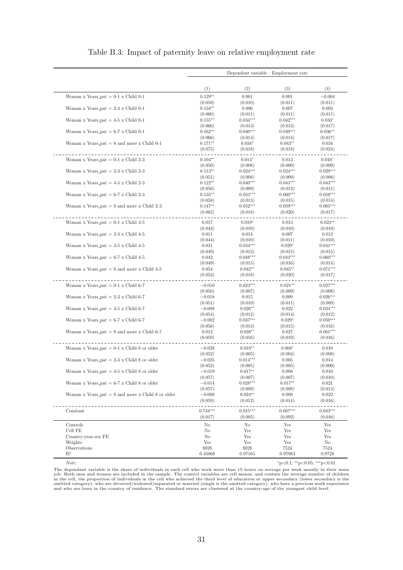|                                                     |                                 |                                  | Dependent variable : Employment rate |                                  |
|-----------------------------------------------------|---------------------------------|----------------------------------|--------------------------------------|----------------------------------|
|                                                     | (1)                             | (2)                              | (3)                                  | (4)                              |
| Woman x Years_pat = $0-1$ x Child $0-1$             | $0.129**$                       | 0.001                            | 0.001                                | $-0.004$                         |
|                                                     | (0.059)                         | (0.010)                          | (0.011)                              | (0.011)                          |
| Woman x Years_pat $= 2-3$ x Child 0-1               | $0.134**$                       | 0.006                            | 0.007                                | 0.003                            |
|                                                     | (0.060)                         | (0.011)                          | (0.011)                              | (0.011)                          |
| Woman x Years_pat $=$ 4-5 x Child 0-1               | $0.155***$                      | $0.034***$                       | $0.042***$                           | $0.033*$                         |
|                                                     | (0.066)                         | (0.013)                          | (0.013)                              | (0.017)                          |
| Woman x Years_pat = $6-7$ x Child 0-1               | $0.162**$                       | $0.040***$                       | $0.049***$                           | $0.036**$                        |
|                                                     | (0.066)                         | (0.013)                          | (0.014)                              | (0.017)                          |
| Woman x Years_pat $= 8$ and more x Child 0-1        | $0.171**$                       | $0.034*$                         | $0.043**$                            | 0.034                            |
|                                                     | (0.075)                         | (0.018)                          | (0.018)                              | (0.024)                          |
| Woman x Years_pat = $0-1$ x Child 2-3               | $0.104**$                       | $0.014*$                         | 0.013<br>(0.009)                     | $0.016*$                         |
| Woman x Years_pat $= 2-3$ x Child 2-3               | (0.050)<br>$0.113**$<br>(0.051) | (0.008)<br>$0.024***$<br>(0.008) | $0.024***$<br>(0.009)                | (0.009)<br>$0.029***$<br>(0.008) |
| Woman x Years_pat $=$ 4-5 x Child 2-3               | $0.122**$                       | $0.040***$                       | $0.043***$                           | $0.043***$                       |
|                                                     | (0.056)                         | (0.009)                          | (0.012)                              | (0.011)                          |
| Woman x Years_pat = $6-7$ x Child 2-3               | $0.135**$                       | $0.053***$                       | $0.060***$                           | $0.058***$                       |
|                                                     | (0.058)                         | (0.013)                          | (0.015)                              | (0.014)                          |
| Woman x Years_pat $= 8$ and more x Child 2-3        | $0.147**$                       | $0.052***$                       | $0.059***$                           | $0.065***$                       |
|                                                     | (0.062)                         | (0.018)                          | (0.020)                              | (0.017)                          |
| Woman x Years_pat = $0-1$ x Child 4-5               | 0.017                           | $0.019*$                         | 0.013                                | $0.023**$                        |
|                                                     | (0.043)                         | (0.010)                          | (0.010)                              | (0.010)                          |
| Woman x Years_pat $= 2-3$ x Child 4-5               | 0.011                           | 0.014                            | 0.007                                | 0.012                            |
|                                                     | (0.044)                         | (0.010)                          | (0.011)                              | (0.010)                          |
| Woman x Years_pat = $4-5$ x Child $4-5$             | 0.031                           | $0.034***$                       | $0.029*$                             | $0.041***$                       |
|                                                     | (0.049)                         | (0.013)                          | (0.015)                              | (0.015)                          |
| Woman x Years_pat = $6-7$ x Child 4-5               | 0.042                           | $0.048***$                       | $0.044***$                           | $0.060***$                       |
|                                                     | (0.049)                         | (0.015)                          | (0.016)                              | (0.014)                          |
| Woman x Years_pat $= 8$ and more x Child 4-5        | 0.054                           | $0.042**$                        | $0.045**$                            | $0.071***$                       |
|                                                     | (0.053)                         | (0.018)                          | (0.020)                              | (0.017)                          |
| Woman x Years_pat = $0-1$ x Child 6-7               | $-0.010$                        | $0.023***$                       | $0.021**$                            | $0.027***$                       |
|                                                     | (0.050)                         | (0.007)                          | (0.009)                              | (0.008)                          |
| Woman x Years_pat $= 2-3$ x Child 6-7               | $-0.018$                        | 0.015                            | 0.009                                | $0.026***$                       |
|                                                     | (0.051)                         | (0.010)                          | (0.011)                              | (0.009)                          |
| Woman x Years_pat $=$ 4-5 x Child 6-7               | $-0.008$                        | $0.026**$                        | 0.022                                | $0.034***$                       |
|                                                     | (0.054)                         | (0.012)                          | (0.014)                              | (0.012)                          |
| Woman x Years_pat $= 6-7$ x Child 6-7               | $-0.002$                        | $0.037***$                       | $0.029*$                             | $0.050***$                       |
|                                                     | (0.056)                         | (0.013)                          | (0.015)                              | (0.016)                          |
| Woman x Years_pat = $8$ and more x Child 6-7        | 0.012                           | $0.038**$                        | 0.027                                | $0.061***$                       |
|                                                     | (0.059)                         | (0.016)                          | (0.019)                              | (0.016)                          |
| Woman x Years_pat = $0-1$ x Child 8 or older        | $-0.028$                        | $0.010**$                        | $0.008*$                             | 0.010                            |
| Woman x Years_pat = $2-3$ x Child 8 or older        | (0.052)<br>$-0.025$             | (0.005)<br>$0.014***$            | (0.004)<br>0.005<br>(0.005)          | (0.008)<br>0.014                 |
| Woman x Years_pat = $4-5$ x Child 8 or older        | (0.052)<br>$-0.019$<br>(0.057)  | (0.005)<br>$0.017**$<br>(0.007)  | 0.008<br>(0.007)                     | (0.009)<br>0.010<br>(0.010)      |
| Woman x Years_pat = $6-7$ x Child 8 or older        | $-0.014$                        | $0.028***$                       | $0.017**$                            | 0.021                            |
|                                                     | (0.057)                         | (0.008)                          | (0.008)                              | (0.013)                          |
| Woman x Years_pat $= 8$ and more x Child 8 or older | $-0.008$                        | $0.024**$                        | 0.008                                | 0.022                            |
|                                                     | (0.059)                         | (0.012)                          | (0.014)                              | (0.016)                          |
| Constant                                            | $0.744***$                      | $0.915***$                       | $0.667***$                           | $0.683***$                       |
|                                                     | (0.017)                         | (0.005)                          | (0.092)                              | (0.048)                          |
| Controls                                            | No                              | No                               | Yes                                  | Yes                              |
| Cell FE                                             | No                              | Yes                              | Yes                                  | Yes                              |
| Country-year-sex FE                                 | No                              | Yes                              | Yes                                  | Yes                              |
| Weights                                             | Yes                             | Yes                              | Yes                                  | No                               |
| Observations                                        | 8028                            | 8028                             | 7524                                 | 7524                             |
| $\mathbf{R}^2$                                      | 0.45068                         | 0.97165                          | 0.97983                              | 0.9728                           |

#### Table B.3: Impact of paternity leave on relative employment rate

Note:  $*{\bf p} < 0.1; **{\bf p} < 0.05; **{\bf p} < 0.01$ 

The dependant variable is the share of individuals in each cell who work more than 15 hours on average per week usually in their main<br>job. Both men and women are included in the sample. The control variables are cell mean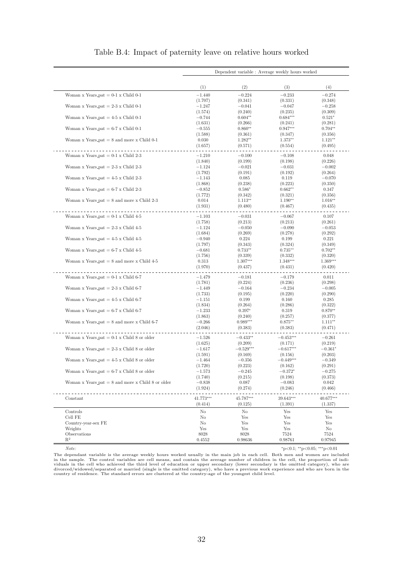|                                                     |                     | Dependent variable : Average weekly hours worked |                        |                       |
|-----------------------------------------------------|---------------------|--------------------------------------------------|------------------------|-----------------------|
|                                                     |                     |                                                  |                        |                       |
|                                                     | (1)                 | (2)                                              | (3)                    | (4)                   |
| Woman x Years_pat $= 0-1$ x Child 0-1               | $-1.440$            | $-0.224$                                         | $-0.233$               | $-0.274$              |
| Woman x Years_pat $= 2-3$ x Child 0-1               | (1.707)<br>$-1.247$ | (0.341)<br>$-0.041$                              | (0.331)<br>$-0.047$    | (0.348)<br>$-0.258$   |
|                                                     | (1.574)             | (0.240)                                          | (0.235)                | (0.309)               |
| Woman x Years_pat $=$ 4-5 x Child 0-1               | $-0.744$            | $0.604**$                                        | $0.684***$             | $0.521*$              |
| Woman x Years_pat $= 6-7$ x Child 0-1               | (1.631)<br>$-0.555$ | (0.266)<br>$0.860**$                             | (0.241)<br>$0.947***$  | (0.281)<br>$0.704**$  |
|                                                     | (1.588)             | (0.361)                                          | (0.347)                | (0.356)               |
| Woman x Years_pat $= 8$ and more x Child 0-1        | 0.030<br>(1.657)    | $1.282**$<br>(0.571)                             | $1.373**$<br>(0.554)   | $1.121**$<br>(0.495)  |
|                                                     |                     |                                                  |                        |                       |
| Woman x Years_pat = $0-1$ x Child 2-3               | $-1.210$<br>(1.840) | $-0.100$<br>(0.199)                              | $-0.108$<br>(0.198)    | 0.048<br>(0.226)      |
| Woman x Years_pat $= 2-3$ x Child 2-3               | $-1.124$            | $-0.021$                                         | $-0.031$               | $-0.002$              |
|                                                     | (1.792)             | (0.191)                                          | (0.192)                | (0.264)               |
| Woman x Years_pat $= 4-5$ x Child 2-3               | $-1.143$<br>(1.868) | 0.085<br>(0.238)                                 | 0.119<br>(0.223)       | $-0.070$<br>(0.350)   |
| Woman x Years_pat $= 6-7$ x Child 2-3               | $-0.852$            | $0.586*$                                         | $0.662**$              | 0.347                 |
|                                                     | (1.772)             | (0.342)                                          | (0.321)                | (0.356)               |
| Woman x Years_pat $= 8$ and more x Child 2-3        | 0.014<br>(1.931)    | $1.113**$<br>(0.480)                             | $1.190**$<br>(0.467)   | $1.016**$<br>(0.435)  |
|                                                     |                     |                                                  |                        |                       |
| Woman x Years_pat $= 0-1$ x Child 4-5               | $-1.103$<br>(1.758) | $-0.031$<br>(0.213)                              | $-0.067$<br>(0.213)    | 0.107<br>(0.261)      |
| Woman x Years_pat $= 2-3$ x Child 4-5               | $-1.124$            | $-0.050$                                         | $-0.090$               | $-0.053$              |
|                                                     | (1.684)             | (0.269)                                          | (0.278)                | (0.292)               |
| Woman x Years_pat $= 4.5$ x Child 4-5               | $-0.940$<br>(1.797) | 0.224<br>(0.343)                                 | 0.199<br>(0.324)       | 0.221<br>(0.349)      |
| Woman x Years_pat = $6-7$ x Child 4-5               | $-0.681$            | $0.733**$                                        | $0.735**$              | $0.702**$             |
|                                                     | (1.756)             | (0.339)                                          | (0.332)                | (0.320)               |
| Woman x Years_pat $= 8$ and more x Child 4-5        | 0.313<br>(1.970)    | $1.307***$<br>(0.437)                            | $1.348***$<br>(0.431)  | $1.369***$<br>(0.420) |
|                                                     |                     |                                                  |                        |                       |
| Woman x Years_pat $= 0.1$ x Child 6-7               | $-1.479$<br>(1.781) | $-0.181$<br>(0.224)                              | $-0.179$<br>(0.236)    | 0.011<br>(0.298)      |
| Woman x Years_pat $= 2-3$ x Child 6-7               | $-1.449$            | $-0.164$                                         | $-0.234$               | $-0.005$              |
|                                                     | (1.733)             | (0.195)                                          | (0.220)                | (0.290)               |
| Woman x Years_pat $= 4-5$ x Child 6-7               | $-1.151$<br>(1.834) | 0.199<br>(0.264)                                 | 0.160<br>(0.286)       | 0.285<br>(0.322)      |
| Woman x Years_pat $= 6-7$ x Child 6-7               | $-1.233$            | $0.397*$                                         | 0.319                  | $0.870**$             |
|                                                     | (1.863)             | (0.240)                                          | (0.257)                | (0.377)               |
| Woman x Years_pat $= 8$ and more x Child 6-7        | $-0.266$<br>(2.046) | $0.989***$<br>(0.383)                            | $0.875**$<br>(0.383)   | $1.111**$<br>(0.471)  |
|                                                     |                     |                                                  |                        |                       |
| Woman x Years_pat $= 0.1$ x Child 8 or older        | $-1.526$<br>(1.625) | $-0.433^{\ast\ast}$<br>(0.209)                   | $-0.453***$<br>(0.171) | $-0.261$<br>(0.219)   |
| Woman x Years_pat $= 2-3$ x Child 8 or older        | $-1.617$            | $-0.529***$                                      | $-0.617***$            | $-0.361*$             |
| Woman x Years_pat $= 4.5$ x Child 8 or older        | (1.591)             | (0.169)                                          | (0.156)                | (0.203)               |
|                                                     | $-1.464$<br>(1.720) | $-0.356$<br>(0.223)                              | $-0.449***$<br>(0.162) | $-0.349$<br>(0.291)   |
| Woman x Years_pat $= 6-7$ x Child 8 or older        | $-1.573$            | $-0.245$                                         | $-0.372*$              | $-0.275$              |
| Woman x Years_pat $= 8$ and more x Child 8 or older | (1.740)<br>$-0.838$ | (0.215)<br>0.087                                 | (0.198)<br>$-0.083$    | (0.373)<br>0.042      |
|                                                     | (1.924)             | (0.274)                                          | (0.246)                | (0.466)               |
| Constant                                            | $41.773***$         | 45.787***                                        | $39.643***$            | 40.677***             |
|                                                     | (0.414)             | (0.125)                                          | (1.391)                | (1.337)               |
| Controls                                            | No                  | No                                               | Yes                    | Yes                   |
| Cell FE                                             | No                  | Yes                                              | Yes                    | Yes                   |
| Country-year-sex FE<br>Weights                      | No<br>Yes           | Yes<br>Yes                                       | Yes<br>Yes             | Yes<br>No             |
| Observations                                        | 8028                | 8028                                             | 7524                   | 7524                  |
| $\mathbb{R}^2$                                      | 0.4552              | 0.98636                                          | 0.98761                | 0.97945               |

#### Table B.4: Impact of paternity leave on relative hours worked

 $Note:$   $*_{p<0.1; *_{p<0.05;} *_{p<0.05;} *_{p<0.01;}}$ 

The dependant variable is the average weekly hours worked usually in the main job in each cell. Both men and women are included<br>in the sample. The control variables are cell means, and contain the average number of childre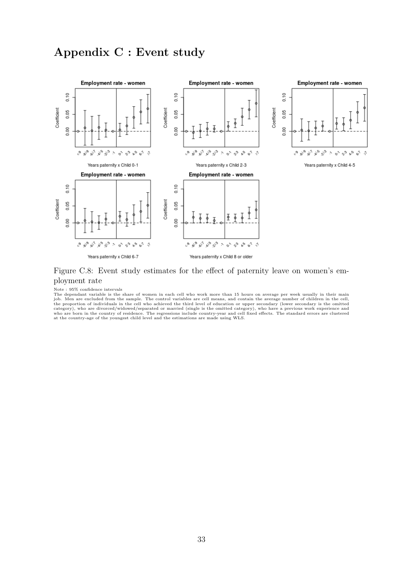

## Appendix C : Event study

Figure C.8: Event study estimates for the effect of paternity leave on women's employment rate

Note : 95% confidence intervals<br>The dependant variable is the share of women in each cell who work more than 15 hours on average per week usually in their main<br>The dependant variable is the share of women in each cell who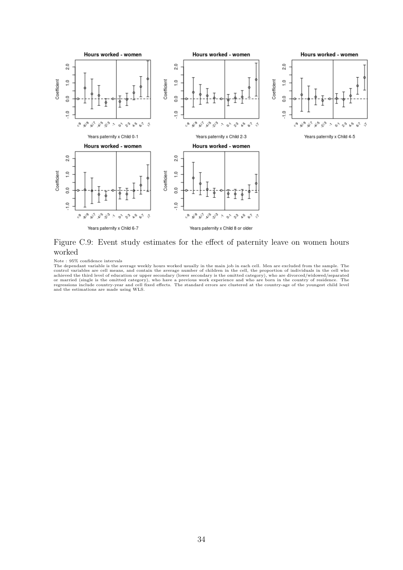

Figure C.9: Event study estimates for the effect of paternity leave on women hours worked

Note : 95% confidence intervals<br>The dependant variable is the average weekly hours worked usually in the main job in each cell. Men are excluded from the sample. The<br>Computed variables is the average weekly hours worked us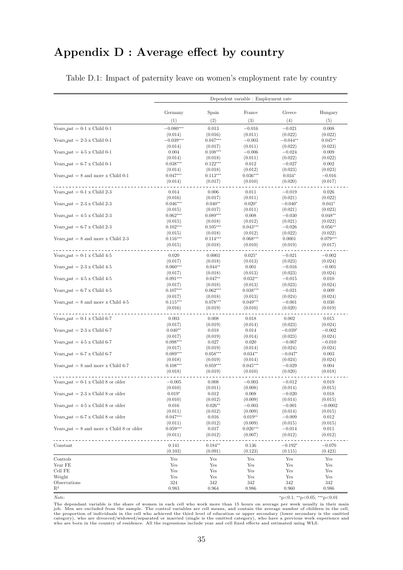# Appendix D : Average effect by country

|                                             | Dependent variable : Employment rate |                       |                       |                      |                  |  |  |
|---------------------------------------------|--------------------------------------|-----------------------|-----------------------|----------------------|------------------|--|--|
|                                             | Germany                              | Spain                 | France                | Greece               | Hungary          |  |  |
|                                             | (1)                                  | (2)                   | (3)                   | (4)                  | (5)              |  |  |
| Years_pat = $0-1 \times$ Child $0-1$        | $-0.080***$                          | 0.013                 | $-0.016$              | $-0.021$             | 0.008            |  |  |
|                                             | (0.014)                              | (0.016)               | (0.011)               | (0.022)              | (0.022)          |  |  |
| Years_pat = $2-3 \times$ Child 0-1          | $-0.039***$                          | $0.047***$            | $-0.003$              | $-0.044**$           | $0.045**$        |  |  |
|                                             | (0.014)                              | (0.017)               | (0.011)               | (0.022)              | (0.023)          |  |  |
| Years_pat = $4-5 \times$ Child 0-1          | 0.004<br>(0.014)                     | $0.108***$            | $-0.006$              | $-0.024$             | 0.009            |  |  |
| Years_pat = $6-7 \times$ Child 0-1          | $0.038***$                           | (0.018)<br>$0.122***$ | (0.011)<br>0.012      | (0.022)<br>$-0.027$  | (0.022)<br>0.002 |  |  |
|                                             | (0.014)                              | (0.018)               | (0.012)               | (0.023)              | (0.023)          |  |  |
| Years_pat $= 8$ and more x Child 0-1        | $0.047***$                           | $0.113***$            | $0.036***$            | $0.034*$             | $-0.016$         |  |  |
|                                             | (0.014)                              | (0.017)               | (0.010)               | (0.020)              | (0.017)          |  |  |
| Years_pat = 0-1 $\ge$ Child 2-3             | 0.014                                | 0.006                 | 0.011                 | $-0.019$             | 0.026            |  |  |
|                                             | (0.016)                              | (0.017)               | (0.011)               | (0.021)              | (0.022)          |  |  |
| Years_pat = $2-3 \times$ Child 2-3          | $0.046***$                           | $0.040**$             | $0.020*$              | $-0.040*$            | $0.041*$         |  |  |
|                                             | (0.015)                              | (0.017)               | (0.011)               | (0.021)              | (0.023)          |  |  |
| Years_pat = $4-5 \times$ Child 2-3          | $0.062***$                           | $0.089***$            | 0.008                 | $-0.030$             | $0.048**$        |  |  |
|                                             | (0.015)                              | (0.018)               | (0.012)               | (0.021)              | (0.022)          |  |  |
| Years_pat = $6-7 \times$ Child 2-3          | $0.102***$                           | $0.105***$            | $0.043***$            | $-0.026$             | $0.056**$        |  |  |
|                                             | (0.015)                              | (0.018)               | (0.012)               | (0.022)              | (0.022)          |  |  |
| Years_pat $= 8$ and more x Child 2-3        | $0.116***$                           | $0.114***$            | $0.068***$            | 0.0001               | $0.079***$       |  |  |
|                                             | (0.015)                              | (0.018)               | (0.010)               | (0.019)              | (0.017)          |  |  |
| Years_pat = $0-1 \times$ Child 4-5          | 0.020                                | 0.0003                | $0.025*$              | $-0.021$             | $-0.002$         |  |  |
|                                             | (0.017)                              | (0.018)               | (0.013)               | (0.023)              | (0.024)          |  |  |
| Years_pat = $2-3 \times$ Child 4-5          | $0.060***$                           | $0.044**$             | 0.001                 | $-0.016$             | $-0.001$         |  |  |
|                                             | (0.017)                              | (0.018)               | (0.013)               | (0.023)              | (0.024)          |  |  |
| Years_pat = $4-5 \times$ Child $4-5$        | $0.091***$                           | $0.047**$             | $0.032**$             | $-0.015$             | 0.010            |  |  |
| Years_pat = $6-7 \times$ Child 4-5          | (0.017)<br>$0.107***$                | (0.018)<br>$0.062***$ | (0.013)<br>$0.038***$ | (0.023)              | (0.024)          |  |  |
|                                             | (0.017)                              | (0.018)               | (0.013)               | $-0.021$<br>(0.024)  | 0.009<br>(0.024) |  |  |
| Years_pat = $8$ and more x Child 4-5        | $0.115***$                           | $0.078***$            | $0.049***$            | $-0.001$             | 0.030            |  |  |
|                                             | (0.016)                              | (0.019)               | (0.010)               | (0.020)              | (0.019)          |  |  |
| Years_pat = $0-1 \times$ Child 6-7          | 0.003                                | 0.008                 | 0.018                 | 0.002                | 0.015            |  |  |
|                                             | (0.017)                              | (0.019)               | (0.014)               | (0.023)              | (0.024)          |  |  |
| Years_pat = $2-3 \times$ Child 6-7          | $0.040**$                            | 0.018                 | 0.014                 | $-0.039*$            | $-0.002$         |  |  |
|                                             | (0.017)                              | (0.019)               | (0.014)               | (0.023)              | (0.024)          |  |  |
| Years_pat = $4-5 \times$ Child 6-7          | $0.098***$                           | 0.027                 | 0.020                 | $-0.007$             | $-0.010$         |  |  |
|                                             | (0.017)                              | (0.019)               | (0.014)               | (0.024)              | (0.024)          |  |  |
| Years_pat = $6-7 \times$ Child 6-7          | $0.089***$                           | $0.058***$            | $0.034**$             | $-0.047*$            | 0.003            |  |  |
|                                             | (0.018)                              | (0.019)               | (0.014)               | (0.024)              | (0.024)          |  |  |
| Years_pat $= 8$ and more x Child 6-7        | $0.108***$                           | $0.059***$            | $0.045***$            | $-0.029$             | 0.004            |  |  |
|                                             | (0.018)                              | (0.019)               | (0.010)               | (0.020)              | (0.018)          |  |  |
| Years_pat = $0-1 \times$ Child 8 or older   | $-0.005$                             | 0.008                 | $-0.003$              | $-0.012$             | 0.019            |  |  |
|                                             | (0.010)                              | (0.011)               | (0.008)               | (0.014)              | (0.015)          |  |  |
| Years_pat = $2-3 \times$ Child 8 or older   | $0.019^{\ast}$                       | 0.012                 | 0.008                 | $-0.020$             | 0.018            |  |  |
|                                             | (0.010)                              | (0.012)               | (0.009)               | (0.014)              | (0.015)          |  |  |
| Years_pat = $4-5 \times$ Child 8 or older   | 0.016                                | $0.026**$             | $-0.003$              | $-0.001$             | $-0.0002$        |  |  |
| Years_pat = $6-7 \times$ Child 8 or older   | (0.011)<br>$0.047***$                | (0.012)<br>0.016      | (0.009)<br>$0.019**$  | (0.014)              | (0.015)          |  |  |
|                                             | (0.011)                              | (0.012)               | (0.009)               | $-0.009$<br>(0.015)  | 0.012<br>(0.015) |  |  |
| Years_pat $= 8$ and more x Child 8 or older | $0.059***$                           | 0.017                 | $0.026***$            | $-0.014$             | 0.011            |  |  |
|                                             | (0.011)                              | (0.012)               | (0.007)               | (0.012)              | (0.012)          |  |  |
|                                             |                                      |                       |                       |                      | $-0.070$         |  |  |
| Constant                                    | 0.141<br>(0.103)                     | $0.184**$<br>(0.091)  | 0.136<br>(0.123)      | $-0.192*$<br>(0.115) | (0.423)          |  |  |
| Controls                                    | Yes                                  | Yes                   | Yes                   | Yes                  | Yes              |  |  |
| Year FE                                     | Yes                                  | Yes                   | Yes                   | Yes                  | Yes              |  |  |
| Cell FE                                     | Yes                                  | Yes                   | Yes                   | Yes                  | Yes              |  |  |
| Weight                                      | Yes                                  | Yes                   | Yes                   | Yes                  | Yes              |  |  |
| Observations                                | 324                                  | 342                   | 342                   | 342                  | 342              |  |  |
| $\mathbf{R}^2$                              | 0.983                                | 0.964                 | 0.986                 | 0.960                | 0.986            |  |  |

Table D.1: Impact of paternity leave on women's employment rate by country

Note: ∗p<0.05; \*\*p<0.05; \*\*p<0.05; \*\*p<0.05

The dependant variable is the share of women in each cell who work more than 15 hours on average per week usually in their main<br>job. Men are excluded from the sample. The control variables are cell means, and contain the a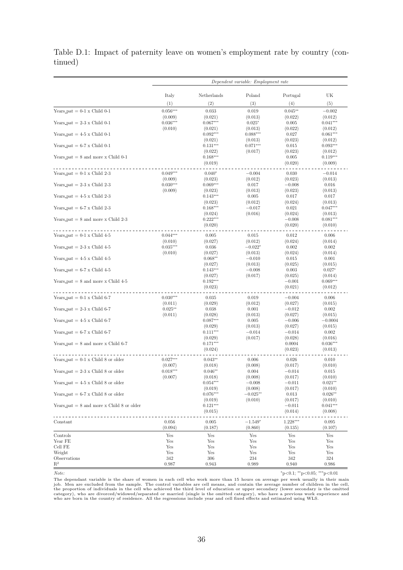|                                             | Dependent variable: Employment rate |                                  |                                  |                                |                                  |  |  |
|---------------------------------------------|-------------------------------------|----------------------------------|----------------------------------|--------------------------------|----------------------------------|--|--|
|                                             | Italy                               | Netherlands                      | Poland                           | Portugal                       | UK                               |  |  |
|                                             | (1)                                 | (2)                              | (3)                              | (4)                            | (5)                              |  |  |
| Years_pat = $0-1 \times$ Child $0-1$        | $0.056***$                          | 0.033                            | 0.019                            | $0.045**$                      | $-0.002$                         |  |  |
| Years_pat = $2-3 \times$ Child 0-1          | (0.009)<br>$0.036***$               | (0.021)<br>$0.067***$            | (0.013)<br>$0.025*$              | (0.022)<br>0.005               | (0.012)<br>$0.041***$            |  |  |
| Years_pat = $4-5 \times$ Child 0-1          | (0.010)                             | (0.021)<br>$0.092***$<br>(0.021) | (0.013)<br>$0.088***$<br>(0.013) | (0.022)<br>0.027<br>(0.023)    | (0.012)<br>$0.061***$<br>(0.012) |  |  |
| Years_pat = $6-7 \times$ Child 0-1          |                                     | $0.131***$<br>(0.022)            | $0.071***$<br>(0.017)            | 0.015<br>(0.023)               | $0.093***$<br>(0.012)            |  |  |
| Years_pat = $8$ and more x Child 0-1        |                                     | $0.168***$<br>(0.019)            |                                  | 0.005<br>(0.020)               | $0.119***$<br>(0.009)            |  |  |
| Years_pat = $0-1 \times$ Child 2-3          | $0.049***$<br>(0.009)               | $0.040*$<br>(0.023)              | $-0.004$<br>(0.012)              | 0.030<br>(0.023)               | $-0.014$<br>(0.013)              |  |  |
| Years_pat = $2-3 \times$ Child 2-3          | $0.030***$<br>(0.009)               | $0.069***$<br>(0.023)            | 0.017<br>(0.013)                 | $-0.008$<br>(0.023)            | 0.016<br>(0.013)                 |  |  |
| Years_pat = $4-5 \times$ Child 2-3          |                                     | $0.143***$<br>(0.023)            | 0.005<br>(0.012)                 | 0.017<br>(0.024)               | 0.017<br>(0.013)                 |  |  |
| Years_pat = $6-7 \times$ Child 2-3          |                                     | $0.168***$<br>(0.024)            | $-0.017$<br>(0.016)              | 0.021<br>(0.024)               | $0.047***$<br>(0.013)            |  |  |
| Years_pat $= 8$ and more x Child 2-3        |                                     | $0.222***$<br>(0.020)            |                                  | $-0.008$<br>(0.020)            | $0.081***$<br>(0.010)            |  |  |
| Years_pat = $0-1 \times$ Child 4-5          | $0.044***$                          | 0.005                            | 0.015                            | 0.012                          | 0.006                            |  |  |
| Years_pat = $2-3 \times$ Child 4-5          | (0.010)<br>$0.035***$               | (0.027)<br>0.036                 | (0.012)<br>$-0.022*$             | (0.024)<br>0.002               | (0.014)<br>0.002                 |  |  |
| Years_pat = $4-5 \times$ Child $4-5$        | (0.010)                             | (0.027)<br>$0.068**$<br>(0.027)  | (0.013)<br>$-0.010$<br>(0.013)   | (0.024)<br>0.015<br>(0.025)    | (0.014)<br>0.001<br>(0.015)      |  |  |
| Years_pat = $6-7 \times$ Child 4-5          |                                     | $0.143***$<br>(0.027)            | $-0.008$<br>(0.017)              | 0.003<br>(0.025)               | $0.027*$<br>(0.014)              |  |  |
| Years_pat $= 8$ and more x Child 4-5        |                                     | $0.192***$<br>(0.023)            |                                  | $-0.001$<br>(0.021)            | $0.069***$<br>(0.012)            |  |  |
| Years_pat = $0-1 \times$ Child 6-7          | $0.030***$<br>(0.011)               | 0.035<br>(0.029)                 | 0.019<br>(0.012)                 | $-0.004$<br>(0.027)            | 0.006<br>(0.015)                 |  |  |
| Years_pat $= 2-3$ x Child 6-7               | $0.025**$<br>(0.011)                | 0.038<br>(0.028)                 | 0.001<br>(0.013)                 | $-0.012$<br>(0.027)            | 0.002<br>(0.015)                 |  |  |
| Years_pat = $4-5 \times$ Child 6-7          |                                     | $0.087***$<br>(0.029)            | 0.005<br>(0.013)                 | $-0.006$<br>(0.027)            | $-0.0004$<br>(0.015)             |  |  |
| Years_pat = $6-7 \times$ Child 6-7          |                                     | $0.111***$<br>(0.029)            | $-0.014$<br>(0.017)              | $-0.014$<br>(0.028)            | 0.002<br>(0.016)                 |  |  |
| Years_pat $= 8$ and more x Child 6-7        |                                     | $0.171***$<br>(0.024)            |                                  | 0.0004<br>(0.023)              | $0.036***$<br>(0.013)            |  |  |
| Years_pat = $0-1 \times$ Child 8 or older   | $0.027***$<br>(0.007)               | $0.043**$<br>(0.018)             | 0.006                            | 0.026                          | 0.010                            |  |  |
| Years_pat $= 2-3$ x Child 8 or older        | $0.018***$                          | $0.046**$<br>(0.018)             | (0.008)<br>0.004<br>(0.008)      | (0.017)<br>$-0.014$<br>(0.017) | (0.010)<br>0.015<br>(0.010)      |  |  |
| Years_pat = $4-5 \times$ Child 8 or older   | (0.007)                             | $0.054***$<br>(0.019)            | $-0.008$<br>(0.008)              | $-0.011$<br>(0.017)            | $0.021**$<br>(0.010)             |  |  |
| Years_pat = $6-7 \times$ Child 8 or older   |                                     | $0.076***$<br>(0.019)            | $-0.025**$<br>(0.010)            | 0.013<br>(0.017)               | $0.026**$<br>(0.010)             |  |  |
| Years_pat $= 8$ and more x Child 8 or older |                                     | $0.121***$<br>(0.015)            |                                  | $-0.011$<br>(0.014)            | $0.041***$<br>(0.008)            |  |  |
| Constant                                    | 0.056<br>(0.094)                    | 0.005<br>(0.187)                 | $-1.549*$<br>(0.860)             | $1.228***$<br>(0.135)          | 0.095<br>(0.107)                 |  |  |
| Controls                                    | Yes                                 | Yes                              | Yes                              | Yes                            | Yes                              |  |  |
| Year FE                                     | Yes                                 | Yes                              | Yes                              | Yes                            | Yes                              |  |  |
| Cell FE                                     | Yes                                 | Yes                              | Yes                              | Yes                            | Yes                              |  |  |
| Weight<br>Observations                      | Yes<br>342                          | Yes<br>306                       | Yes<br>234                       | Yes<br>342                     | Yes<br>324                       |  |  |
| $\mathbb{R}^2$                              | 0.987                               | 0.943                            | 0.989                            | 0.940                          | 0.986                            |  |  |
|                                             |                                     |                                  |                                  |                                |                                  |  |  |

Table D.1: Impact of paternity leave on women's employment rate by country (continued)

Note: <sup>∗</sup>p<0.1; ∗∗p<0.05; ∗∗∗p<0.01 The dependant variable is the share of women in each cell who work more than 15 hours on average per week usually in their main<br>job. Men are excluded from the sample. The control variables are cell means, and contain the a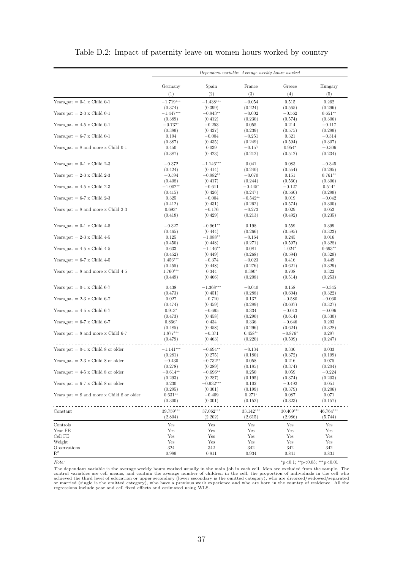|                                             | Dependent variable: Average weekly hours worked |             |            |             |           |  |  |
|---------------------------------------------|-------------------------------------------------|-------------|------------|-------------|-----------|--|--|
|                                             | Germany                                         | Spain       | France     | Greece      | Hungary   |  |  |
|                                             | (1)                                             | (2)         | (3)        | (4)         | (5)       |  |  |
| Years_pat = $0-1 \times$ Child $0-1$        | $-1.719***$                                     | $-1.438***$ | $-0.054$   | 0.515       | 0.262     |  |  |
|                                             | (0.374)                                         | (0.399)     | (0.224)    | (0.565)     | (0.296)   |  |  |
| Years_pat = $2-3 \times$ Child 0-1          | $-1.447***$                                     | $-0.943**$  | $-0.002$   | $-0.562$    | $0.651**$ |  |  |
|                                             | (0.389)                                         | (0.412)     | (0.230)    | (0.574)     | (0.306)   |  |  |
| Years_pat = $4-5 \times$ Child 0-1          | $-0.737*$                                       | $-0.253$    | 0.055      | 0.214       | $-0.117$  |  |  |
|                                             | (0.389)                                         | (0.427)     | (0.239)    | (0.575)     | (0.299)   |  |  |
| Years_pat = $6-7 \times$ Child 0-1          | 0.194                                           | $-0.004$    | $-0.251$   | 0.321       | $-0.314$  |  |  |
|                                             | (0.387)                                         | (0.435)     | (0.249)    | (0.594)     | (0.307)   |  |  |
| Years_pat $= 8$ and more x Child 0-1        | 0.450                                           | 0.039       | $-0.157$   | $0.954*$    | $-0.306$  |  |  |
|                                             | (0.387)                                         | (0.423)     | (0.212)    | (0.512)     | (0.234)   |  |  |
| Years_pat = $0-1 \times$ Child 2-3          | $-0.372$                                        | $-1.146***$ | 0.041      | 0.083       | $-0.345$  |  |  |
|                                             | (0.424)                                         | (0.414)     | (0.240)    | (0.554)     | (0.295)   |  |  |
| Years_pat = $2-3 \times$ Child 2-3          | $-0.594$                                        | $-0.982**$  | $-0.070$   | 0.151       | $0.761**$ |  |  |
|                                             | (0.408)                                         | (0.417)     | (0.244)    | (0.560)     | (0.306)   |  |  |
| Years_pat = $4-5 \times$ Child 2-3          | $-1.002**$                                      | $-0.611$    | $-0.445*$  | $-0.127$    | $0.514*$  |  |  |
|                                             | (0.415)                                         | (0.426)     | (0.247)    | (0.560)     | (0.299)   |  |  |
| Years_pat = $6-7 \times$ Child 2-3          | 0.325                                           | $-0.004$    | $-0.542**$ | 0.019       | $-0.042$  |  |  |
|                                             | (0.412)                                         | (0.431)     | (0.262)    | (0.574)     | (0.300)   |  |  |
| Years_pat $= 8$ and more x Child 2-3        | $0.693*$                                        | $-0.176$    | $-0.273$   | 0.029       | 0.053     |  |  |
|                                             | (0.418)                                         | (0.429)     | (0.213)    | (0.492)     | (0.235)   |  |  |
| Years_pat = $0-1 \times$ Child 4-5          | $-0.327$                                        | $-0.961**$  | 0.198      | 0.559       | 0.399     |  |  |
|                                             | (0.465)                                         | (0.444)     | (0.266)    | (0.595)     | (0.323)   |  |  |
| Years_pat = $2-3 \times$ Child 4-5          | 0.125                                           | $-1.088**$  | $-0.164$   | 0.245       | 0.016     |  |  |
|                                             | (0.450)                                         | (0.448)     | (0.271)    | (0.597)     | (0.328)   |  |  |
| Years_pat = $4-5 \times$ Child 4-5          | 0.633                                           | $-1.146**$  | 0.081      | $1.024*$    | $0.693**$ |  |  |
|                                             | (0.452)                                         | (0.449)     | (0.268)    | (0.594)     | (0.329)   |  |  |
| Years_pat = $6-7 \times$ Child 4-5          | $1.456***$                                      | $-0.374$    | $-0.023$   | 0.416       | 0.449     |  |  |
|                                             | (0.455)                                         | (0.448)     | (0.276)    | (0.621)     | (0.329)   |  |  |
| Years_pat $= 8$ and more x Child 4-5        | $1.760***$                                      | 0.344       | $0.380*$   | 0.708       | 0.322     |  |  |
|                                             | (0.449)                                         | (0.466)     | (0.208)    | (0.514)     | (0.253)   |  |  |
| Years_pat = $0-1 \times$ Child 6-7          | 0.438                                           | $-1.368***$ | $-0.040$   | 0.158       | $-0.345$  |  |  |
|                                             | (0.473)                                         | (0.451)     | (0.288)    | (0.604)     | (0.322)   |  |  |
| Years_pat = $2-3 \times$ Child 6-7          | 0.027                                           | $-0.710$    | 0.137      | $-0.580$    | $-0.060$  |  |  |
|                                             | (0.474)                                         | (0.459)     | (0.289)    | (0.607)     | (0.327)   |  |  |
| Years_pat = $4-5 \times$ Child 6-7          | $0.913*$                                        | $-0.695$    | 0.334      | $-0.013$    | $-0.096$  |  |  |
|                                             | (0.473)                                         | (0.458)     | (0.290)    | (0.614)     | (0.330)   |  |  |
| Years_pat = $6-7 \times$ Child 6-7          | $0.866*$                                        | 0.434       | 0.336      | $-0.646$    | 0.293     |  |  |
|                                             | (0.485)                                         | (0.458)     | (0.296)    | (0.624)     | (0.328)   |  |  |
| Years_pat $= 8$ and more x Child 6-7        | $1.877***$                                      | $-0.371$    | $0.458**$  | $-0.876*$   | 0.297     |  |  |
|                                             | (0.479)                                         | (0.463)     | (0.220)    | (0.509)     | (0.247)   |  |  |
| Years_pat = $0-1 \times$ Child 8 or older   | $-1.141***$                                     | $-0.694**$  | $-0.134$   | 0.330       | 0.033     |  |  |
| Years_pat $= 2-3$ x Child 8 or older        | (0.281)                                         | (0.275)     | (0.180)    | (0.372)     | (0.199)   |  |  |
|                                             | $-0.430$                                        | $-0.732**$  | 0.058      | 0.216       | 0.075     |  |  |
| Years_pat = $4-5 \times$ Child 8 or older   | (0.278)                                         | (0.289)     | (0.185)    | (0.374)     | (0.204)   |  |  |
|                                             | $-0.614**$                                      | $-0.696**$  | 0.250      | 0.059       | $-0.224$  |  |  |
| Years_pat = $6-7 \times$ Child 8 or older   | (0.293)                                         | (0.287)     | (0.195)    | (0.374)     | (0.203)   |  |  |
|                                             | 0.230                                           | $-0.932***$ | 0.102      | $-0.492$    | 0.051     |  |  |
| Years_pat $= 8$ and more x Child 8 or older | (0.295)                                         | (0.301)     | (0.199)    | (0.379)     | (0.206)   |  |  |
|                                             | $0.631**$                                       | $-0.409$    | $0.271*$   | 0.087       | 0.071     |  |  |
|                                             | (0.300)                                         | (0.301)     | (0.152)    | (0.323)     | (0.157)   |  |  |
| Constant                                    | 39.759***                                       | 37.062***   | 33.142***  | $30.409***$ | 46.764*** |  |  |
|                                             | (2.804)                                         | (2.202)     | (2.615)    | (2.986)     | (5.744)   |  |  |
| Controls                                    | Yes                                             | Yes         | Yes        | Yes         | Yes       |  |  |
| Year FE                                     | Yes                                             | Yes         | Yes        | Yes         | Yes       |  |  |
| Cell FE                                     | Yes                                             | Yes         | Yes        | Yes         | Yes       |  |  |
| Weight                                      | Yes                                             | Yes         | Yes        | Yes         | Yes       |  |  |
| Observations                                | 324                                             | 342         | 342        | 342         | 342       |  |  |
| $\mathbf{R}^2$                              | 0.989                                           | 0.911       | 0.934      | 0.841       | 0.831     |  |  |

#### Table D.2: Impact of paternity leave on women hours worked by country

Note: ∗\*p<0.05; \*\*\*p<0.05; \*\*\*p<0.05}

The dependant variable is the average weekly hours worked usually in the main job in each cell. Men are excluded from the sample. The control variables are cell means, and contain the average number of children in the cell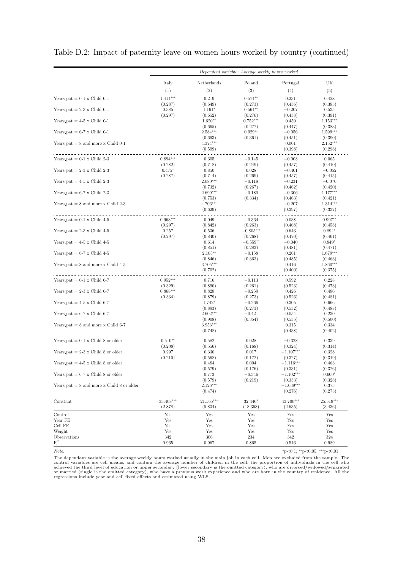|                                             | Dependent variable: Average weekly hours worked |                       |                       |                        |                       |  |  |
|---------------------------------------------|-------------------------------------------------|-----------------------|-----------------------|------------------------|-----------------------|--|--|
|                                             | Italy                                           | Netherlands           | Poland                | Portugal               | UK                    |  |  |
|                                             | (1)                                             | (2)                   | (3)                   | (4)                    | (5)                   |  |  |
| Years_pat = $0-1 \times$ Child 0-1          | $1.414***$                                      | 0.219                 | $0.574**$             | 0.231                  | 0.428                 |  |  |
|                                             | (0.287)                                         | (0.649)               | (0.273)               | (0.436)                | (0.383)               |  |  |
| Years_pat = $2-3 \times$ Child 0-1          | 0.385                                           | $1.161*$              | $0.564**$             | $-0.207$               | 0.535                 |  |  |
| Years_pat = $4-5 \times$ Child 0-1          | (0.297)                                         | (0.652)<br>$1.620**$  | (0.276)<br>$0.752***$ | (0.438)                | (0.391)<br>$1.153***$ |  |  |
|                                             |                                                 | (0.665)               | (0.277)               | 0.450<br>(0.447)       | (0.383)               |  |  |
| Years_pat = $6-7 \times$ Child 0-1          |                                                 | $2.584***$            | $0.929**$             | $-0.056$               | $1.599***$            |  |  |
|                                             |                                                 | (0.693)               | (0.361)               | (0.451)                | (0.390)               |  |  |
| Years_pat $= 8$ and more x Child 0-1        |                                                 | $4.374***$            |                       | 0.001                  | $2.152***$            |  |  |
|                                             |                                                 | (0.599)               |                       | (0.398)                | (0.298)               |  |  |
| Years_pat = $0-1 \times$ Child 2-3          | $0.894***$                                      | 0.605                 | $-0.145$              | $-0.008$               | 0.065                 |  |  |
|                                             | (0.282)                                         | (0.718)               | (0.249)               | (0.457)                | (0.410)               |  |  |
| Years_pat = $2-3 \times$ Child 2-3          | $0.475*$                                        | 0.850                 | 0.028                 | $-0.401$               | $-0.052$              |  |  |
|                                             | (0.287)                                         | (0.714)               | (0.269)               | (0.457)                | (0.415)               |  |  |
| Years_pat = $4-5 \times$ Child 2-3          |                                                 | $2.080***$            | $-0.118$              | $-0.231$               | $-0.070$              |  |  |
| Years_pat = $6-7 \times$ Child 2-3          |                                                 | (0.732)<br>$2.699***$ | (0.267)<br>$-0.180$   | (0.462)<br>$-0.306$    | (0.420)<br>$1.177***$ |  |  |
|                                             |                                                 | (0.753)               | (0.334)               | (0.463)                | (0.421)               |  |  |
| Years_pat $= 8$ and more x Child 2-3        |                                                 | 4.706***              |                       | $-0.207$               | $1.314***$            |  |  |
|                                             |                                                 | (0.629)               |                       | (0.397)                | (0.337)               |  |  |
| Years_pat = $0-1 \times$ Child 4-5          | $0.963***$                                      |                       | $-0.364$              |                        | $0.997**$             |  |  |
|                                             | (0.297)                                         | 0.049<br>(0.842)      | (0.263)               | 0.038<br>(0.468)       | (0.458)               |  |  |
| Years_pat = $2-3 \times$ Child 4-5          | 0.257                                           | 0.536                 | $-0.805***$           | 0.643                  | $0.894*$              |  |  |
|                                             | (0.297)                                         | (0.840)               | (0.268)               | (0.470)                | (0.461)               |  |  |
| Years_pat = $4-5 \times$ Child $4-5$        |                                                 | 0.614                 | $-0.559**$            | $-0.040$               | $0.849*$              |  |  |
|                                             |                                                 | (0.851)               | (0.283)               | (0.481)                | (0.471)               |  |  |
| Years_pat = $6-7 \times$ Child 4-5          |                                                 | $2.105**$             | $-0.158$              | 0.261                  | $1.679***$            |  |  |
| Years_pat = $8$ and more x Child 4-5        |                                                 | (0.846)<br>$3.705***$ | (0.363)               | (0.485)<br>0.416       | (0.463)<br>$1.860***$ |  |  |
|                                             |                                                 | (0.702)               |                       | (0.400)                | (0.375)               |  |  |
| Years_pat = $0-1 \times$ Child 6-7          | $0.952***$                                      | 0.716                 | $-0.113$              | 0.592                  | 0.228                 |  |  |
|                                             | (0.329)                                         | (0.890)               | (0.261)               | (0.523)                | (0.473)               |  |  |
| Years_pat = $2-3 \times$ Child 6-7          | $0.868***$                                      | 0.828                 | $-0.259$              | 0.426                  | 0.486                 |  |  |
|                                             | (0.334)                                         | (0.879)               | (0.273)               | (0.526)                | (0.481)               |  |  |
| Years_pat = $4-5 \times$ Child 6-7          |                                                 | 1.742*                | $-0.266$              | 0.305                  | 0.666                 |  |  |
|                                             |                                                 | (0.893)               | (0.273)               | (0.532)                | (0.488)               |  |  |
| Years_pat = $6-7 \times$ Child 6-7          |                                                 | $2.602***$<br>(0.908) | $-0.421$<br>(0.354)   | 0.054<br>(0.535)       | 0.230<br>(0.500)      |  |  |
| Years_pat $= 8$ and more x Child 6-7        |                                                 | $3.953***$            |                       | 0.315                  | 0.334                 |  |  |
|                                             |                                                 | (0.748)               |                       | (0.438)                | (0.402)               |  |  |
|                                             |                                                 |                       |                       |                        |                       |  |  |
| Years_pat = $0-1 \times$ Child 8 or older   | $0.510**$<br>(0.208)                            | 0.582<br>(0.556)      | 0.028<br>(0.168)      | $-0.328$<br>(0.324)    | 0.339<br>(0.314)      |  |  |
| Years_pat $= 2-3$ x Child 8 or older        | 0.297                                           | 0.330                 | 0.017                 | $-1.107***$            | 0.328                 |  |  |
|                                             | (0.210)                                         | (0.568)               | (0.172)               | (0.327)                | (0.319)               |  |  |
| Years_pat $=$ 4-5 x Child 8 or older        |                                                 | 0.484                 | 0.004                 | $-1.116***$            | 0.463                 |  |  |
|                                             |                                                 | (0.579)               | (0.176)               | (0.331)                | (0.326)               |  |  |
| Years_pat = $6-7 \times$ Child 8 or older   |                                                 | 0.773                 | $-0.346$              | $-1.102***$<br>(0.333) | $0.600*$              |  |  |
| Years_pat $= 8$ and more x Child 8 or older |                                                 | (0.579)<br>$2.126***$ | (0.219)               | $-1.039***$            | (0.328)<br>0.375      |  |  |
|                                             |                                                 | (0.474)               |                       | (0.276)                | (0.273)               |  |  |
|                                             |                                                 |                       |                       |                        |                       |  |  |
| Constant                                    | 33.408***                                       | $21.565***$           | 32.446*               | 43.700***              | $25.519***$           |  |  |
|                                             | (2.878)                                         | (5.834)               | (18.368)              | (2.635)                | (3.436)               |  |  |
| Controls<br>Year FE                         | Yes<br>Yes                                      | Yes<br>Yes            | Yes<br>Yes            | Yes<br>Yes             | Yes<br>Yes            |  |  |
| Cell FE                                     | Yes                                             | Yes                   | Yes                   | Yes                    | Yes                   |  |  |
| Weight                                      | Yes                                             | Yes                   | Yes                   | Yes                    | Yes                   |  |  |
| Observations                                | 342                                             | 306                   | 234                   | 342                    | 324                   |  |  |
| $\mathbf{R}^2$                              | 0.965                                           | 0.967                 | 0.865                 | 0.516                  | 0.989                 |  |  |

Table D.2: Impact of paternity leave on women hours worked by country (continued)

Note: <sup>∗</sup>p<0.1; ∗∗p<0.05; ∗∗∗p<0.01

The dependant variable is the average weekly hours worked usually in the main job in each cell. Men are excluded from the sample. The control variables are cell means, and contain the average number of children in the cell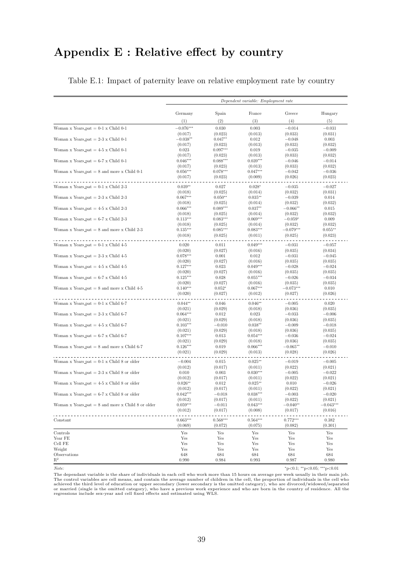# Appendix E : Relative effect by country

|                                                     | Dependent variable: Employment rate |                       |                       |                        |                     |  |
|-----------------------------------------------------|-------------------------------------|-----------------------|-----------------------|------------------------|---------------------|--|
|                                                     | Germany                             |                       | France                | Greece                 | Hungary             |  |
|                                                     | (1)                                 | Spain<br>(2)          | (3)                   | (4)                    | (5)                 |  |
| Woman x Years_pat $= 0-1$ x Child 0-1               | $-0.076***$                         | 0.030                 | 0.003                 | $-0.014$               | $-0.031$            |  |
| Woman x Years_pat = $2-3$ x Child 0-1               | (0.017)<br>$-0.038**$               | (0.023)<br>$0.047**$  | (0.013)<br>0.012      | (0.033)<br>$-0.048$    | (0.031)<br>0.003    |  |
|                                                     | (0.017)                             | (0.023)               | (0.013)               | (0.033)                | (0.032)             |  |
| Woman x Years_pat $= 4.5$ x Child 0-1               | 0.023<br>(0.017)                    | $0.097***$<br>(0.023) | 0.019<br>(0.013)      | $-0.035$<br>(0.033)    | $-0.009$<br>(0.032) |  |
| Woman x Years_pat = $6-7$ x Child 0-1               | $0.046***$                          | $0.088***$            | $0.039***$            | $-0.046$               | $-0.014$            |  |
| Woman x Years_pat $= 8$ and more x Child 0-1        | (0.017)<br>$0.056***$               | (0.023)<br>$0.078***$ | (0.013)<br>$0.047***$ | (0.033)<br>$-0.042$    | (0.032)<br>$-0.036$ |  |
|                                                     | (0.017)                             | (0.023)               | (0.009)               | (0.026)                | (0.023)             |  |
| Woman x Years_pat $= 0.1$ x Child 2-3               | $0.039**$                           | 0.027                 | $0.028*$              | $-0.035$               | $-0.027$            |  |
| Woman x Years_pat $= 2-3$ x Child 2-3               | (0.018)<br>$0.067***$               | (0.025)<br>$0.050**$  | (0.014)<br>$0.035**$  | (0.032)                | (0.031)<br>0.014    |  |
|                                                     | (0.018)                             | (0.025)               | (0.014)               | $-0.039$<br>(0.032)    | (0.032)             |  |
| Woman x Years_pat $= 4-5$ x Child 2-3               | $0.066***$                          | $0.089***$            | $0.037**$             | $-0.066**$             | 0.015               |  |
|                                                     | (0.018)                             | (0.025)               | (0.014)               | (0.032)                | (0.032)             |  |
| Woman x Years_pat = $6-7$ x Child 2-3               | $0.113***$                          | $0.083***$            | $0.069***$            | $-0.059*$              | 0.009               |  |
|                                                     | (0.018)                             | (0.025)               | (0.014)               | (0.032)                | (0.032)             |  |
| Woman x Years_pat $= 8$ and more x Child 2-3        | $0.135***$                          | $0.085***$            | $0.083***$            | $-0.079***$            | $0.055***$          |  |
|                                                     | (0.018)                             | (0.025)               | (0.011)               | (0.025)                | (0.023)             |  |
| Woman x Years_pat = $0-1$ x Child 4-5               | 0.020                               | 0.011                 | $0.049***$            | $-0.031$               | $-0.057$            |  |
|                                                     | (0.020)                             | (0.027)               | (0.016)               | (0.035)                | (0.034)             |  |
| Woman x Years_pat $= 2-3$ x Child 4-5               | $0.078***$<br>(0.020)               | 0.001<br>(0.027)      | 0.012<br>(0.016)      | $-0.031$<br>(0.035)    | $-0.045$<br>(0.035) |  |
| Woman x Years_pat $=$ 4-5 x Child 4-5               | $0.127***$                          | 0.023                 | $0.049***$            | $-0.028$               | $-0.024$            |  |
|                                                     | (0.020)                             | (0.027)               | (0.016)               | (0.035)                | (0.035)             |  |
| Woman x Years_pat = $6-7$ x Child 4-5               | $0.125***$                          | 0.028                 | $0.055***$            | $-0.026$               | $-0.034$            |  |
|                                                     | (0.020)                             | (0.027)               | (0.016)               | (0.035)                | (0.035)             |  |
| Woman x Years_pat $= 8$ and more x Child 4-5        | $0.140***$<br>(0.020)               | $0.052*$<br>(0.027)   | $0.067***$<br>(0.012) | $-0.073***$<br>(0.027) | 0.010<br>(0.026)    |  |
|                                                     |                                     |                       |                       |                        |                     |  |
| Woman x Years_pat $= 0-1$ x Child 6-7               | $0.044**$                           | 0.046                 | $0.046**$             | $-0.005$               | 0.020               |  |
|                                                     | (0.021)                             | (0.029)               | (0.018)               | (0.036)                | (0.035)             |  |
| Woman x Years_pat $= 2-3$ x Child 6-7               | $0.064***$                          | 0.012                 | 0.023                 | $-0.033$               | $-0.006$            |  |
| Woman x Years_pat $= 4-5$ x Child 6-7               | (0.021)<br>$0.103***$               | (0.029)<br>$-0.010$   | (0.018)<br>$0.038**$  | (0.036)<br>$-0.009$    | (0.035)<br>$-0.018$ |  |
|                                                     | (0.021)                             | (0.029)               | (0.018)               | (0.036)                | (0.035)             |  |
| Woman x Years_pat = $6-7$ x Child 6-7               | $0.107***$                          | 0.013                 | $0.054***$            | $-0.036$               | $-0.024$            |  |
|                                                     | (0.021)                             | (0.029)               | (0.018)               | (0.036)                | (0.035)             |  |
| Woman x Years_pat $= 8$ and more x Child 6-7        | $0.126***$                          | 0.019                 | $0.066***$            | $-0.065**$             | $-0.010$            |  |
|                                                     | (0.021)                             | (0.029)               | (0.013)               | (0.028)                | (0.026)             |  |
| Woman x Years_pat = $0-1$ x Child 8 or older        | $-0.004$                            | 0.015                 | $0.025**$             | $-0.019$               | $-0.005$            |  |
|                                                     | (0.012)                             | (0.017)               | (0.011)               | (0.022)                | (0.021)             |  |
| Woman x Years_pat $= 2-3$ x Child 8 or older        | 0.010                               | 0.003                 | $0.030***$            | $-0.005$               | $-0.022$            |  |
|                                                     | (0.012)                             | (0.017)               | (0.011)               | (0.022)                | (0.021)             |  |
| Woman x Years_pat = $4-5$ x Child 8 or older        | $0.026**$                           | 0.012                 | $0.025**$             | 0.010                  | $-0.026$            |  |
| Woman x Years_pat = $6-7$ x Child 8 or older        | (0.012)<br>$0.042***$               | (0.017)<br>$-0.018$   | (0.011)<br>$0.038***$ | (0.022)<br>$-0.003$    | (0.021)<br>$-0.020$ |  |
|                                                     | (0.012)                             | (0.017)               | (0.011)               | (0.022)                | (0.021)             |  |
| Woman x Years_pat $= 8$ and more x Child 8 or older | $0.059***$                          | $-0.011$              | $0.043***$            | $-0.040**$             | $-0.043***$         |  |
|                                                     | (0.012)                             | (0.017)               | (0.008)               | (0.017)                | (0.016)             |  |
| Constant                                            | $0.663***$                          | $0.568***$            | $0.564***$            | $0.772***$             | 0.382               |  |
|                                                     | (0.069)                             | (0.072)               | (0.075)               | (0.082)                | (0.301)             |  |
| Controls                                            | Yes                                 | Yes                   | Yes                   | Yes                    | Yes                 |  |
| Year FE                                             | Yes                                 | Yes                   | Yes                   | Yes                    | Yes                 |  |
| Cell FE                                             | Yes                                 | Yes                   | Yes                   | Yes                    | Yes                 |  |
| Weight                                              | Yes                                 | Yes                   | Yes                   | Yes                    | Yes                 |  |
| Observations                                        | 648                                 | 684                   | 684                   | 684                    | 684                 |  |
| $\mathbf{R}^2$                                      | 0.990                               | 0.984                 | 0.993                 | 0.987                  | 0.980               |  |

Table E.1: Impact of paternity leave on relative employment rate by country

Note: <sup>∗</sup>p<0.1; ∗∗p<0.05; ∗∗∗p<0.01

The dependant variable is the share of individuals in each cell who work more than 15 hours on average per week usually in their main job.<br>The control variables are cell means, and contain the average number of children in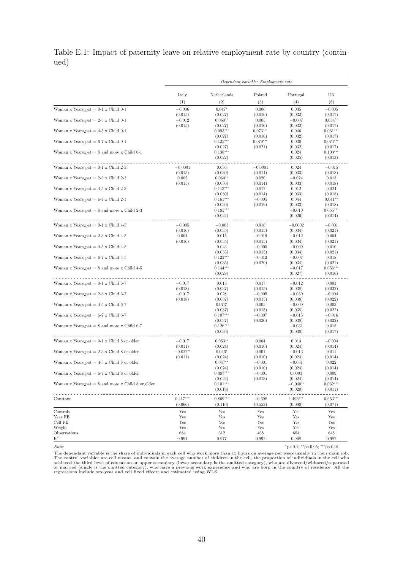Table E.1: Impact of paternity leave on relative employment rate by country (continued)

|                                                     | Dependent variable: Employment rate |                       |                       |                       |                       |
|-----------------------------------------------------|-------------------------------------|-----------------------|-----------------------|-----------------------|-----------------------|
|                                                     | Italy                               | Netherlands           | Poland                | Portugal              | UK                    |
|                                                     | (1)                                 | (2)                   | (3)                   | (4)                   | (5)                   |
| Woman x Years_pat $= 0-1$ x Child 0-1               | $-0.006$                            | $0.047*$              | 0.006                 | 0.035                 | $-0.005$              |
|                                                     | (0.015)                             | (0.027)               | (0.016)               | (0.032)               | (0.017)               |
| Woman x Years_pat $= 2-3$ x Child 0-1               | $-0.012$                            | $0.060**$             | 0.005                 | $-0.007$              | $0.034**$             |
|                                                     | (0.015)                             | (0.027)               | (0.016)               | (0.032)               | (0.017)               |
| Woman x Years_pat $= 4-5$ x Child 0-1               |                                     | $0.093***$            | $0.073***$            | 0.046                 | $0.061***$            |
| Woman x Years_pat = $6-7$ x Child 0-1               |                                     | (0.027)<br>$0.125***$ | (0.016)<br>$0.079***$ | (0.032)<br>0.030      | (0.017)<br>$0.074***$ |
|                                                     |                                     | (0.027)               | (0.021)               | (0.032)               | (0.017)               |
| Woman x Years_pat $= 8$ and more x Child 0-1        |                                     | $0.138***$            |                       | 0.024                 | $0.103***$            |
|                                                     |                                     | (0.022)               |                       | (0.025)               | (0.013)               |
| Woman x Years_pat $= 0.1$ x Child 2-3               | $-0.0001$                           | 0.036                 | $-0.0001$             | 0.024                 | $-0.015$              |
|                                                     | (0.015)                             | (0.030)               | (0.014)               | (0.033)               | (0.018)               |
| Woman x Years_pat $= 2-3$ x Child 2-3               | 0.002                               | $0.064**$             | 0.020                 | $-0.024$              | 0.013                 |
|                                                     | (0.015)                             | (0.030)               | (0.014)               | (0.033)               | (0.018)               |
| Woman x Years_pat $= 4-5$ x Child 2-3               |                                     | $0.113***$            | 0.017                 | 0.012                 | 0.024                 |
| Woman x Years_pat $= 6-7$ x Child 2-3               |                                     | (0.030)<br>$0.161***$ | (0.014)               | (0.033)<br>0.044      | (0.018)               |
|                                                     |                                     | (0.030)               | $-0.005$<br>(0.019)   | (0.033)               | $0.041**$<br>(0.018)  |
| Woman x Years_pat $= 8$ and more x Child 2-3        |                                     | $0.185***$            |                       | $-0.010$              | $0.055***$            |
|                                                     |                                     | (0.024)               |                       | (0.026)               | (0.014)               |
| Woman x Years_pat = $0-1$ x Child 4-5               | $-0.005$                            | $-0.003$              | 0.016                 |                       | $-0.001$              |
|                                                     | (0.016)                             | (0.035)               | (0.015)               | $-0.0002$<br>(0.034)  | (0.021)               |
| Woman x Years_pat = $2-3$ x Child 4-5               | 0.004                               | 0.015                 | $-0.019$              | $-0.012$              | 0.004                 |
|                                                     | (0.016)                             | (0.035)               | (0.015)               | (0.034)               | (0.021)               |
| Woman x Years_pat $= 4-5$ x Child 4-5               |                                     | 0.043                 | $-0.005$              | $-0.009$              | 0.010                 |
|                                                     |                                     | (0.035)               | (0.015)               | (0.034)               | (0.021)               |
| Woman x Years_pat = $6-7$ x Child 4-5               |                                     | $0.123***$            | $-0.012$<br>(0.020)   | $-0.007$<br>(0.034)   | 0.018<br>(0.021)      |
| Woman x Years_pat $= 8$ and more x Child 4-5        |                                     | (0.035)<br>$0.144***$ |                       | $-0.017$              | $0.056***$            |
|                                                     |                                     | (0.028)               |                       | (0.027)               | (0.016)               |
|                                                     |                                     |                       |                       |                       |                       |
| Woman x Years_pat = $0-1$ x Child 6-7               | $-0.017$<br>(0.018)                 | 0.013<br>(0.037)      | 0.017<br>(0.015)      | $-0.012$<br>(0.038)   | 0.003<br>(0.022)      |
| Woman x Years_pat $= 2-3$ x Child 6-7               | $-0.017$                            | 0.028                 | $-0.005$              | $-0.030$              | $-0.004$              |
|                                                     | (0.018)                             | (0.037)               | (0.015)               | (0.038)               | (0.022)               |
| Woman x Years_pat $= 4-5$ x Child 6-7               |                                     | $0.073*$              | 0.005                 | $-0.009$              | 0.003                 |
|                                                     |                                     | (0.037)               | (0.015)               | (0.038)               | (0.022)               |
| Woman x Years_pat $= 6-7$ x Child 6-7               |                                     | $0.107***$            | $-0.007$              | $-0.015$              | $-0.016$              |
| Woman x Years_pat $= 8$ and more x Child 6-7        |                                     | (0.037)<br>$0.126***$ | (0.020)               | (0.038)<br>$-0.031$   | (0.022)<br>0.015      |
|                                                     |                                     | (0.030)               |                       | (0.030)               | (0.017)               |
|                                                     |                                     |                       |                       |                       |                       |
| Woman x Years_pat $= 0-1$ x Child 8 or older        | $-0.017$                            | $0.053**$             | 0.004                 | 0.013                 | $-0.004$              |
| Woman x Years_pat $= 2-3$ x Child 8 or older        | (0.011)<br>$-0.022**$               | (0.024)<br>$0.046*$   | (0.010)<br>0.001      | (0.024)<br>$-0.013$   | (0.014)<br>0.011      |
|                                                     | (0.011)                             | (0.024)               | (0.010)               | (0.024)               | (0.014)               |
| Woman x Years_pat $= 4.5$ x Child 8 or older        |                                     | $0.047**$             | $-0.001$              | $-0.031$              | 0.022                 |
|                                                     |                                     | (0.024)               | (0.010)               | (0.024)               | (0.014)               |
| Woman x Years_pat $= 6-7$ x Child 8 or older        |                                     | $0.087***$            | $-0.001$              | 0.0003                | 0.009                 |
|                                                     |                                     | (0.024)<br>$0.101***$ | (0.013)               | (0.024)               | (0.014)               |
| Woman x Years_pat $= 8$ and more x Child 8 or older |                                     | (0.019)               |                       | $-0.040**$<br>(0.020) | $0.032***$<br>(0.011) |
|                                                     |                                     |                       |                       |                       |                       |
| Constant                                            | $0.417***$                          | $0.869***$            | $-0.698$              | $1.496***$            | $0.653***$            |
|                                                     | (0.066)                             | (0.110)               | (0.553)               | (0.090)               | (0.071)               |
| Controls                                            | Yes                                 | Yes                   | Yes                   | Yes                   | Yes                   |
| Year FE<br>Cell FE                                  | Yes                                 | Yes                   | Yes                   | Yes                   | Yes                   |
| Weight                                              | Yes<br>Yes                          | Yes<br>Yes            | Yes<br>Yes            | Yes<br>Yes            | Yes<br>Yes            |
| Observations                                        | 684                                 | 612                   | 468                   | 684                   | 648                   |
| $\mathbb{R}^2$                                      | 0.994                               | 0.977                 | 0.992                 | 0.968                 | 0.987                 |

Note: ∗ p < 0.05; \* \* p < 0.05; \* \* p < 0.05; \* \* p < 0.05; \* \* p < 0.05; \* \* p < 0.05; \* \* p < 0.05; \* \* p < 0.05; \* \* p < 0.05; \* \* p < 0.05; \* \* p < 0.05; \* \* p < 0.01

The dependant variable is the share of individuals in each cell who work more than 15 hours on average per week usually in their main job.<br>The control variables are cell means, and contain the average number of children in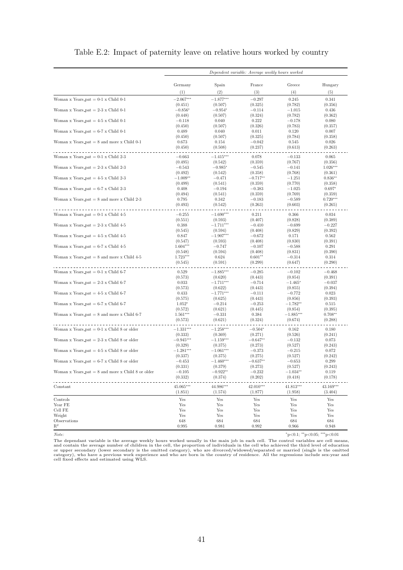|                                                       | Dependent variable: Average weekly hours worked |                         |                        |                     |                       |
|-------------------------------------------------------|-------------------------------------------------|-------------------------|------------------------|---------------------|-----------------------|
|                                                       | Germany                                         | Spain                   | France                 | Greece              | Hungary               |
|                                                       | (1)                                             | (2)                     | (3)                    | (4)                 | (5)                   |
| Woman x Years_pat $= 0-1$ x Child 0-1                 | $-2.067***$                                     | $-1.877***$             | $-0.297$               | 0.245               | 0.341                 |
|                                                       | (0.451)                                         | (0.507)                 | (0.325)                | (0.782)             | (0.356)               |
| Woman x Years_pat = $2-3$ x Child 0-1                 | $-0.856*$                                       | $-0.954*$               | $-0.114$               | $-1.015$            | 0.436                 |
|                                                       | (0.448)                                         | (0.507)                 | (0.324)                | (0.782)             | (0.362)               |
| Woman x Years_pat $= 4-5$ x Child 0-1                 | $-0.118$                                        | 0.040                   | 0.222                  | $-0.178$            | 0.080                 |
| Woman x Years_pat = $6-7$ x Child 0-1                 | (0.450)<br>0.489                                | (0.507)<br>0.040        | (0.326)<br>0.011       | (0.783)<br>0.120    | (0.357)<br>0.007      |
|                                                       | (0.450)                                         | (0.507)                 | (0.325)                | (0.784)             | (0.358)               |
| Woman x Years_pat $= 8$ and more x Child 0-1          | 0.673                                           | 0.154                   | $-0.042$               | 0.545               | 0.026                 |
|                                                       | (0.450)                                         | (0.508)                 | (0.237)                | (0.613)             | (0.263)               |
| Woman x Years_pat $= 0.1$ x Child 2-3                 | $-0.663$                                        | $-1.415***$             | 0.078                  | $-0.133$            | 0.065                 |
|                                                       | (0.495)                                         | (0.542)                 | (0.359)                | (0.767)             | (0.356)               |
| Woman x Years_pat $= 2-3$ x Child 2-3                 | $-0.543$                                        | $-0.985*$               | $-0.545$               | $-0.141$            | $1.026***$            |
|                                                       | (0.492)                                         | (0.542)                 | (0.358)                | (0.768)             | (0.361)               |
| Woman x Years_pat $= 4.5$ x Child 2-3                 | $-1.009**$                                      | $-0.471$                | $-0.717**$             | $-1.251$            | $0.836**$             |
|                                                       | (0.499)                                         | (0.541)                 | (0.359)                | (0.770)             | (0.358)               |
| Woman x Years_pat $= 6-7$ x Child 2-3                 | 0.408                                           | $-0.194$                | $-0.383$               | $-1.025$            | $0.697*$              |
| Woman x Years_pat $= 8$ and more x Child 2-3          | (0.494)<br>0.795                                | (0.541)<br>0.342        | (0.359)<br>$-0.183$    | (0.769)<br>$-0.589$ | (0.359)<br>$0.720***$ |
|                                                       | (0.493)                                         | (0.542)                 | (0.263)                | (0.603)             | (0.265)               |
|                                                       |                                                 |                         |                        |                     |                       |
| Woman x Years_pat = $0-1$ x Child 4-5                 | $-0.255$                                        | $-1.690^{\ast\ast\ast}$ | 0.211                  | 0.366               | 0.034                 |
| Woman x Years_pat $= 2-3$ x Child 4-5                 | (0.551)                                         | (0.593)                 | (0.407)                | (0.828)             | (0.389)               |
|                                                       | 0.388<br>(0.545)                                | $-1.711***$<br>(0.594)  | $-0.410$<br>(0.408)    | $-0.699$<br>(0.829) | $-0.227$<br>(0.392)   |
| Woman x Years_pat $= 4-5$ x Child 4-5                 | 0.847                                           | $-1.907***$             | $-0.672$               | 0.171               | 0.562                 |
|                                                       | (0.547)                                         | (0.593)                 | (0.408)                | (0.830)             | (0.391)               |
| Woman x Years_pat = $6-7$ x Child 4-5                 | $1.604***$                                      | $-0.747$                | $-0.107$               | $-0.588$            | 0.291                 |
|                                                       | (0.548)                                         | (0.594)                 | (0.408)                | (0.831)             | (0.390)               |
| Woman x Years_pat $= 8$ and more x Child 4-5          | 1.723***                                        | 0.624                   | $0.601**$              | $-0.314$            | 0.314                 |
|                                                       | (0.545)                                         | (0.591)                 | (0.299)                | (0.647)             | (0.290)               |
| Woman x Years_pat $= 0.1$ x Child 6-7                 | 0.529                                           | $-1.885***$             | $-0.285$               | $-0.102$            | $-0.468$              |
|                                                       | (0.573)                                         | (0.620)                 | (0.443)                | (0.854)             | (0.391)               |
| Woman x Years_pat = $2-3$ x Child 6-7                 | 0.033                                           | $-1.711***$             | $-0.714$               | $-1.465*$           | $-0.037$              |
|                                                       | (0.573)                                         | (0.622)                 | (0.443)                | (0.855)             | (0.394)               |
| Woman x Years_pat $= 4-5$ x Child 6-7                 | 0.433<br>(0.575)                                | $-1.771***$<br>(0.625)  | $-0.111$<br>(0.443)    | $-0.772$<br>(0.856) | 0.023<br>(0.393)      |
| Woman x Years_pat = $6-7$ x Child $6-7$               | $1.052*$                                        | $-0.214$                | $-0.253$               | $-1.782**$          | 0.515                 |
|                                                       | (0.572)                                         | (0.621)                 | (0.445)                | (0.854)             | (0.395)               |
| Woman x Years_pat $= 8$ and more x Child 6-7          | $1.561***$                                      | $-0.331$                | 0.384                  | $-1.885***$         | $0.708**$             |
|                                                       | (0.573)                                         | (0.621)                 | (0.324)                | (0.674)             | (0.288)               |
| Woman x Years_pat $= 0.1$ x Child 8 or older          | $-1.331***$                                     | $-1.258***$             | $-0.504*$              | 0.162               | 0.180                 |
|                                                       | (0.333)                                         | (0.369)                 | (0.271)                | (0.526)             | (0.241)               |
| Woman x Years_pat $= 2-3$ x Child 8 or older          | $-0.945***$                                     | $-1.159***$             | $-0.647**$             | $-0.132$            | 0.073                 |
|                                                       | (0.329)                                         | (0.375)                 | (0.273)                | (0.527)             | (0.243)               |
| Woman x Years_pat $= 4.5$ x Child 8 or older          | $-1.281***$                                     | $-1.061***$             | $-0.373$               | $-0.215$            | 0.072                 |
| Woman x Years_pat $= 6-7$ x Child 8 or older          | (0.337)<br>$-0.453$                             | (0.375)<br>$-1.460***$  | (0.275)<br>$-0.637**$  | (0.527)<br>$-0.653$ | (0.242)<br>0.299      |
|                                                       | (0.331)                                         | (0.379)                 | (0.273)                | (0.527)             | (0.243)               |
| Woman x Years_pat $= 8$ and more x Child $8$ or older | $-0.105$                                        | $-0.922**$              | $-0.232$               | $-1.034**$          | 0.119                 |
|                                                       | (0.332)                                         | (0.374)                 | (0.202)                | (0.418)             | (0.178)               |
|                                                       |                                                 |                         |                        | 41.813***           |                       |
| Constant                                              | $45.065***$<br>(1.851)                          | 44.986***<br>(1.574)    | $42.010***$<br>(1.877) | (1.958)             | 43.169***<br>(3.404)  |
|                                                       |                                                 |                         |                        |                     |                       |
| Controls<br>Year FE                                   | Yes<br>Yes                                      | Yes<br>Yes              | Yes<br>Yes             | Yes<br>Yes          | Yes<br>Yes            |
| Cell FE                                               | Yes                                             | Yes                     | Yes                    | Yes                 | Yes                   |
| Weight                                                | Yes                                             | Yes                     | Yes                    | Yes                 | Yes                   |
| Observations                                          | 648                                             | 684                     | 684                    | 684                 | 684                   |
| $\mathbf{R}^2$                                        | 0.995                                           | 0.981                   | 0.992                  | 0.966               | 0.948                 |

#### Table E.2: Impact of paternity leave on relative hours worked by country

Note: ∗\*p<0.05; \*\*\*p<0.05; \*\*\*p<0.05}

The dependant variable is the average weekly hours worked usually in the main job in each cell. The control variables are cell means,<br>and contain the average number of children in the cell, the proportion of individuals in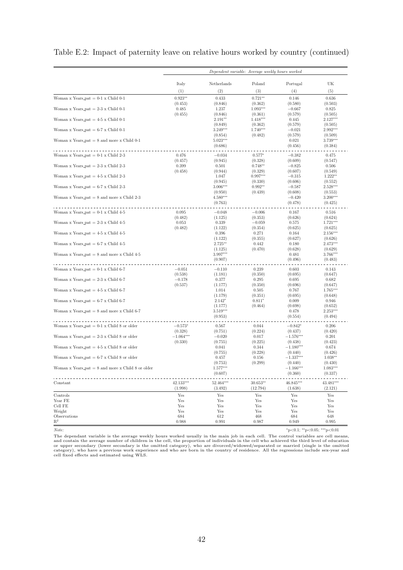|                                                       | Dependent variable: Average weekly hours worked |                       |                       |                        |                       |
|-------------------------------------------------------|-------------------------------------------------|-----------------------|-----------------------|------------------------|-----------------------|
|                                                       | Italy                                           | Netherlands           | Poland                | Portugal               | UK                    |
|                                                       | (1)                                             | (2)                   | (3)                   | (4)                    | (5)                   |
| Woman x Years_pat = $0-1$ x Child $0-1$               | $0.923**$                                       | 0.433                 | $0.721**$             | 0.146                  | 0.636                 |
|                                                       | (0.453)                                         | (0.846)               | (0.362)               | (0.580)                | (0.503)               |
| Woman x Years_pat $= 2-3$ x Child 0-1                 | 0.485                                           | 1.237                 | $1.093***$            | $-0.667$               | 0.825                 |
| Woman x Years_pat $=$ 4-5 x Child 0-1                 | (0.455)                                         | (0.846)<br>$2.191**$  | (0.361)<br>$1.418***$ | (0.579)<br>0.445       | (0.505)<br>$2.127***$ |
|                                                       |                                                 | (0.849)               | (0.362)               | (0.579)                | (0.505)               |
| Woman x Years_pat = $6-7$ x Child 0-1                 |                                                 | $3.249***$            | $1.740***$            | $-0.021$               | $2.992***$            |
|                                                       |                                                 | (0.854)               | (0.482)               | (0.579)                | (0.509)               |
| Woman x Years_pat $= 8$ and more x Child 0-1          |                                                 | $5.023***$            |                       | 0.021                  | 3.739***              |
|                                                       |                                                 | (0.686)               |                       | (0.456)                | (0.384)               |
| Woman x Years_pat $= 0-1$ x Child 2-3                 | 0.476                                           | $-0.034$              | $0.577*$              | $-0.382$               | 0.475                 |
|                                                       | (0.457)                                         | (0.945)               | (0.328)               | (0.609)                | (0.547)               |
| Woman x Years_pat $= 2-3$ x Child 2-3                 | 0.399                                           | 0.501                 | $0.748**$             | $-0.825$               | 0.506                 |
|                                                       | (0.458)                                         | (0.944)               | (0.329)               | (0.607)                | (0.549)               |
| Woman x Years_pat $= 4-5$ x Child 2-3                 |                                                 | 1.047<br>(0.945)      | $0.997***$<br>(0.330) | $-0.315$<br>(0.606)    | $1.222**$<br>(0.552)  |
| Woman x Years_pat $= 6-7$ x Child 2-3                 |                                                 | $3.006***$            | $0.992**$             | $-0.587$               | $2.528***$            |
|                                                       |                                                 | (0.950)               | (0.439)               | (0.608)                | (0.553)               |
| Woman x Years_pat $= 8$ and more x Child 2-3          |                                                 | $4.580***$            |                       | $-0.420$               | $3.200***$            |
|                                                       |                                                 | (0.763)               |                       | (0.478)                | (0.425)               |
| Woman x Years_pat = $0-1$ x Child 4-5                 | 0.095                                           | $-0.048$              | $-0.006$              | 0.167                  | 0.516                 |
|                                                       | (0.482)                                         | (1.125)               | (0.353)               | (0.626)                | (0.624)               |
| Woman x Years_pat $= 2-3$ x Child 4-5                 | 0.053                                           | 0.339                 | $-0.059$              | 0.575                  | $1.721***$            |
|                                                       | (0.482)                                         | (1.122)               | (0.354)               | (0.625)                | (0.625)               |
| Woman x Years pat $=$ 4-5 x Child 4-5                 |                                                 | 0.396                 | 0.271                 | 0.164                  | $2.156***$            |
| Woman x Years_pat = $6-7$ x Child 4-5                 |                                                 | (1.122)<br>$2.725**$  | (0.355)<br>0.442      | (0.627)<br>0.180       | (0.626)<br>$2.473***$ |
|                                                       |                                                 | (1.125)               | (0.470)               | (0.628)                | (0.629)               |
| Woman x Years_pat $= 8$ and more x Child 4-5          |                                                 | $3.997***$            |                       | 0.481                  | 3.766***              |
|                                                       |                                                 | (0.907)               |                       | (0.496)                | (0.483)               |
| Woman x Years_pat $= 0-1$ x Child 6-7                 | $-0.051$                                        |                       |                       |                        |                       |
|                                                       | (0.538)                                         | $-0.110$<br>(1.181)   | 0.239<br>(0.350)      | 0.603<br>(0.695)       | 0.143<br>(0.647)      |
| Woman x Years_pat $= 2-3$ x Child 6-7                 | $-0.178$                                        | 0.377                 | 0.295                 | 0.695                  | 0.682                 |
|                                                       | (0.537)                                         | (1.177)               | (0.350)               | (0.696)                | (0.647)               |
| Woman x Years_pat $=$ 4-5 x Child 6-7                 |                                                 | 1.014                 | 0.505                 | 0.767                  | $1.765***$            |
|                                                       |                                                 | (1.179)               | (0.351)               | (0.695)                | (0.648)               |
| Woman x Years_pat $= 6-7$ x Child 6-7                 |                                                 | $2.142*$              | $0.811*$              | 0.009                  | 0.946                 |
| Woman x Years_pat $= 8$ and more x Child 6-7          |                                                 | (1.177)<br>$3.519***$ | (0.464)               | (0.698)<br>0.478       | (0.652)<br>$2.253***$ |
|                                                       |                                                 | (0.953)               |                       | (0.554)                | (0.494)               |
|                                                       |                                                 |                       |                       |                        |                       |
| Woman x Years_pat = $0-1$ x Child 8 or older          | $-0.573*$                                       | 0.567                 | 0.044                 | $-0.842*$              | 0.206                 |
| Woman x Years_pat $= 2-3$ x Child 8 or older          | (0.328)<br>$-1.064***$                          | (0.751)<br>$-0.020$   | (0.224)<br>0.017      | (0.437)<br>$-1.576***$ | (0.420)<br>0.201      |
|                                                       | (0.330)                                         | (0.755)               | (0.225)               | (0.438)                | (0.423)               |
| Woman x Years_pat $= 4-5$ x Child 8 or older          |                                                 | 0.041                 | 0.344                 | $-1.180***$            | 0.674                 |
|                                                       |                                                 | (0.755)               | (0.228)               | (0.440)                | (0.426)               |
| Woman x Years_pat $= 6-7$ x Child 8 or older          |                                                 | 0.457                 | 0.156                 | $-1.337***$            | $1.038**$             |
| Woman x Years_pat $= 8$ and more x Child $8$ or older |                                                 | (0.753)<br>$1.577***$ | (0.299)               | (0.440)<br>$-1.166***$ | (0.430)<br>$1.083***$ |
|                                                       |                                                 | (0.607)               |                       | (0.360)                | (0.337)               |
|                                                       |                                                 |                       |                       |                        |                       |
| Constant                                              | $42.133***$                                     | 52.464***             | $30.653**$            | $46.845***$            | $43.481***$           |
|                                                       | (1.998)                                         | (3.492)               | (12.794)              | (1.638)                | (2.121)               |
| Controls                                              | Yes                                             | Yes                   | Yes                   | Yes                    | Yes                   |
| Year FE<br>Cell FE                                    | Yes                                             | Yes                   | Yes                   | Yes                    | Yes                   |
| Weight                                                | Yes<br>Yes                                      | Yes<br>Yes            | Yes<br>Yes            | Yes<br>Yes             | Yes<br>Yes            |
| Observations                                          | 684                                             | 612                   | 468                   | 684                    | 648                   |
| $\mathbf{R}^2$                                        | 0.988                                           | 0.991                 | 0.987                 | 0.949                  | 0.995                 |

#### Table E.2: Impact of paternity leave on relative hours worked by country (continued)

Note: <sup>∗</sup>p<0.1; ∗∗p<0.05; ∗∗∗p<0.01

The dependant variable is the average weekly hours worked usually in the main job in each cell. The control variables are cell means,<br>and contain the average number of children in the cell, the proportion of individuals in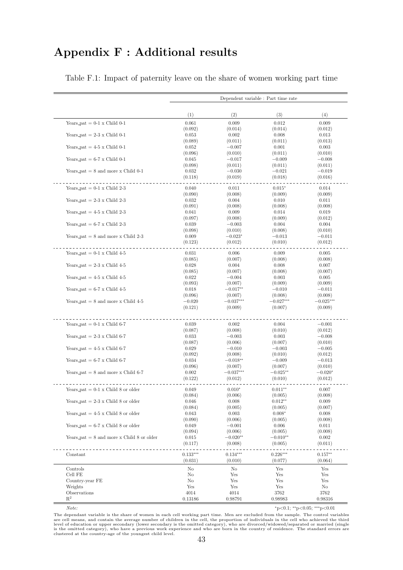# Appendix F : Additional results

| Table F.1: Impact of paternity leave on the share of women working part time |  |  |
|------------------------------------------------------------------------------|--|--|
|                                                                              |  |  |
|                                                                              |  |  |

|                                             | Dependent variable : Part time rate |                       |                      |                     |  |
|---------------------------------------------|-------------------------------------|-----------------------|----------------------|---------------------|--|
|                                             | (1)                                 | (2)                   | (3)                  | (4)                 |  |
| Years_pat = $0-1 \times$ Child $0-1$        | 0.061                               | 0.009                 | 0.012                | 0.009               |  |
|                                             | (0.092)                             | (0.014)               | (0.014)              | (0.012)             |  |
| Years_pat $= 2-3$ x Child 0-1               | 0.053                               | 0.002                 | 0.008                | 0.013               |  |
|                                             | (0.089)                             | (0.011)               | (0.011)              | (0.013)             |  |
| Years_pat = $4-5 \times$ Child 0-1          | 0.052<br>(0.096)                    | $-0.007$<br>(0.010)   | 0.001<br>(0.011)     | 0.003<br>(0.010)    |  |
| Years_pat = $6-7 \times$ Child 0-1          | 0.045                               | $-0.017$              | $-0.009$             | $-0.008$            |  |
|                                             | (0.098)                             | (0.011)               | (0.011)              | (0.011)             |  |
| Years_pat = $8$ and more x Child 0-1        | 0.032                               | $-0.030$              | $-0.021$             | $-0.019$            |  |
|                                             | (0.118)                             | (0.019)               | (0.018)              | (0.016)             |  |
| Years_pat = $0-1 \times$ Child 2-3          | 0.040                               | 0.011                 | $0.015*$             | 0.014               |  |
|                                             | (0.090)                             | (0.008)               | (0.009)              | (0.009)             |  |
| Years_pat $= 2-3$ x Child 2-3               | 0.032                               | 0.004                 | 0.010                | 0.011               |  |
| Years_pat = $4-5 \times$ Child 2-3          | (0.091)<br>0.041                    | (0.008)<br>0.009      | (0.008)<br>0.014     | (0.008)<br>0.019    |  |
|                                             | (0.097)                             | (0.008)               | (0.009)              | (0.012)             |  |
| Years_pat = $6-7 \times$ Child 2-3          | 0.039                               | $-0.003$              | 0.004                | 0.004               |  |
|                                             | (0.098)                             | (0.010)               | (0.008)              | (0.010)             |  |
| Years_pat = $8$ and more x Child 2-3        | 0.009                               | $-0.023*$             | $-0.013$             | $-0.011$            |  |
|                                             | (0.123)                             | (0.012)               | (0.010)              | (0.012)             |  |
| Years_pat = $0-1 \times$ Child 4-5          | 0.031                               | 0.006                 | 0.009                | 0.005               |  |
|                                             | (0.085)                             | (0.007)               | (0.008)              | (0.008)             |  |
| Years_pat = $2-3 \times$ Child 4-5          | 0.028                               | 0.004                 | 0.008                | 0.007               |  |
|                                             | (0.085)                             | (0.007)               | (0.008)              | (0.007)             |  |
| Years_pat = $4-5 \times$ Child $4-5$        | 0.022<br>(0.093)                    | $-0.004$<br>(0.007)   | 0.003<br>(0.009)     | 0.005<br>(0.009)    |  |
| Years_pat = $6-7 \times$ Child 4-5          | 0.018                               | $-0.017**$            | $-0.010$             | $-0.011$            |  |
|                                             | (0.096)                             | (0.007)               | (0.008)              | (0.008)             |  |
| Years_pat $= 8$ and more x Child 4-5        | $-0.020$                            | $-0.037***$           | $-0.027***$          | $-0.025***$         |  |
|                                             | (0.121)                             | (0.009)               | (0.007)              | (0.009)             |  |
|                                             |                                     |                       |                      |                     |  |
| Years_pat = $0-1 \times$ Child 6-7          | 0.039<br>(0.087)                    | 0.002<br>(0.008)      | 0.004<br>(0.010)     | $-0.001$<br>(0.012) |  |
| Years_pat $= 2-3$ x Child 6-7               | 0.033                               | $-0.003$              | 0.003                | $-0.008$            |  |
|                                             | (0.087)                             | (0.006)               | (0.007)              | (0.010)             |  |
| Years_pat = $4-5 \times$ Child 6-7          | 0.029                               | $-0.010$              | $-0.003$             | $-0.005$            |  |
|                                             | (0.092)                             | (0.008)               | (0.010)              | (0.012)             |  |
| Years_pat = $6-7 \times$ Child 6-7          | 0.034<br>(0.096)                    | $-0.018**$<br>(0.007) | $-0.009$<br>(0.007)  | $-0.013$<br>(0.010) |  |
| Years_pat $= 8$ and more x Child 6-7        | 0.002                               | $-0.037***$           | $-0.025**$           | $-0.020*$           |  |
|                                             | (0.122)                             | (0.012)               | (0.010)              | (0.012)             |  |
|                                             |                                     |                       |                      |                     |  |
| Years_pat = $0-1 \times$ Child 8 or older   | 0.049<br>(0.084)                    | $0.010*$<br>(0.006)   | $0.011**$<br>(0.005) | 0.007<br>(0.008)    |  |
| Years_pat $= 2-3$ x Child 8 or older        | 0.046                               | 0.008                 | $0.012**$            | 0.009               |  |
|                                             | (0.084)                             | (0.005)               | (0.005)              | (0.007)             |  |
| Years_pat = $4-5 \times$ Child 8 or older   | 0.043                               | 0.003                 | $0.008*$             | 0.008               |  |
|                                             | (0.090)                             | (0.006)               | (0.005)              | (0.008)             |  |
| Years_pat = $6-7 \times$ Child 8 or older   | 0.049<br>(0.094)                    | $-0.001$<br>(0.006)   | 0.006<br>(0.005)     | 0.011<br>(0.008)    |  |
| Years_pat $= 8$ and more x Child 8 or older | 0.015                               | $-0.020**$            | $-0.010**$           | 0.002               |  |
|                                             | (0.117)                             | (0.008)               | (0.005)              | (0.011)             |  |
| Constant                                    | $0.133***$                          | $0.134***$            | $0.226***$           | $0.157**$           |  |
|                                             | (0.031)                             | (0.010)               | (0.077)              | (0.064)             |  |
| Controls                                    | No                                  | No                    | Yes                  | Yes                 |  |
| Cell FE                                     | No                                  | Yes                   | Yes                  | Yes                 |  |
| Country-year FE<br>Weights                  | No<br>Yes                           | Yes<br>Yes            | Yes<br>Yes           | Yes<br>No           |  |
| Observations                                | 4014                                | 4014                  | 3762                 | 3762                |  |
| $\mathbb{R}^2$                              | 0.13186                             | 0.98791               | 0.98983              | 0.98316             |  |

Note: \*p<0.05; \*\*p<0.05; \*\*\*p<0.05}

The dependant variable is the share of women in each cell working part time. Men are excluded from the sample. The control variables<br>are cell means, and contain the average number of children in the cell, the proportion of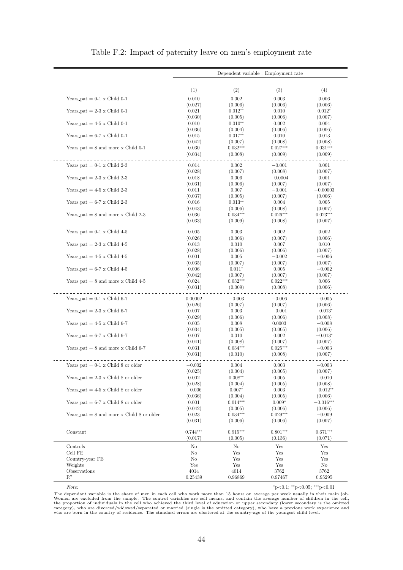|                                             | Dependent variable : Employment rate |                       |                       |                       |  |
|---------------------------------------------|--------------------------------------|-----------------------|-----------------------|-----------------------|--|
|                                             | (1)                                  | (2)                   | (3)                   | (4)                   |  |
| Years_pat = $0-1 \times$ Child $0-1$        | 0.010                                | 0.002                 | 0.003                 | 0.006                 |  |
|                                             | (0.027)                              | (0.006)               | (0.006)               | (0.006)               |  |
| Years_pat = $2-3 \times$ Child 0-1          | 0.021                                | $0.012**$             | 0.010                 | $0.012*$              |  |
|                                             | (0.030)                              | (0.005)               | (0.006)               | (0.007)               |  |
| Years_pat = $4-5 \times$ Child 0-1          | 0.010                                | $0.010**$             | 0.002                 | 0.004                 |  |
|                                             | (0.036)                              | (0.004)               | (0.006)               | (0.006)               |  |
| Years_pat = $6-7 \times$ Child 0-1          | 0.015                                | $0.017**$             | 0.010                 | 0.013                 |  |
|                                             | (0.042)                              | (0.007)               | (0.008)               | (0.008)               |  |
| Years_pat $= 8$ and more x Child 0-1        | 0.030                                | $0.032***$            | $0.027***$            | $0.031***$            |  |
|                                             | (0.034)                              | (0.008)               | (0.009)               | (0.009)               |  |
| Years_pat = $0-1 \times$ Child 2-3          | 0.014                                | 0.002                 | $-0.001$              | 0.001                 |  |
|                                             | (0.028)                              | (0.007)               | (0.008)               | (0.007)               |  |
|                                             |                                      |                       |                       |                       |  |
| Years_pat = $2-3 \times$ Child 2-3          | 0.018                                | 0.006                 | $-0.0004$             | 0.001                 |  |
|                                             | (0.031)                              | (0.006)               | (0.007)               | (0.007)               |  |
| Years_pat = $4-5 \times$ Child 2-3          | 0.011                                | 0.007                 | $-0.001$              | $-0.00003$            |  |
|                                             | (0.037)                              | (0.005)               | (0.007)               | (0.006)               |  |
| Years_pat = $6-7 \times$ Child 2-3          | 0.016                                | $0.013**$             | 0.004                 | 0.005                 |  |
|                                             | (0.043)                              | (0.006)               | (0.008)               | (0.007)               |  |
| Years_pat $= 8$ and more x Child 2-3        | 0.036                                | $0.034***$            | $0.026***$            | $0.023***$            |  |
|                                             | (0.033)                              | (0.009)               | (0.008)               | (0.007)               |  |
| Years_pat = $0-1 \times$ Child 4-5          | 0.005                                | 0.003                 | 0.002                 | 0.002                 |  |
|                                             | (0.026)                              | (0.006)               | (0.007)               | (0.006)               |  |
| Years_pat = $2-3 \times$ Child 4-5          | 0.013                                | 0.010                 | 0.007                 | 0.010                 |  |
|                                             | (0.028)                              | (0.006)               | (0.006)               | (0.007)               |  |
| Years_pat = $4-5 \times$ Child 4-5          | 0.001                                | 0.005                 | $-0.002$              | $-0.006$              |  |
|                                             | (0.035)                              | (0.007)               | (0.007)               | (0.007)               |  |
| Years_pat = $6-7 \times$ Child 4-5          | 0.006                                | $0.011*$              | 0.005                 | $-0.002$              |  |
|                                             | (0.042)                              | (0.007)               | (0.007)               | (0.007)               |  |
| Years_pat $= 8$ and more x Child 4-5        | 0.024                                | $0.032***$            | $0.022***$            | 0.006                 |  |
|                                             | (0.031)                              | (0.009)               | (0.008)               | (0.006)               |  |
| Years_pat = $0-1 \times$ Child 6-7          | 0.00002                              | $-0.003$              | $-0.006$              | $-0.005$              |  |
|                                             | (0.026)                              | (0.007)               | (0.007)               | (0.006)               |  |
| Years_pat = $2-3 \times$ Child 6-7          | 0.007                                | 0.003                 | $-0.001$              | $-0.013*$             |  |
|                                             | (0.029)                              | (0.006)               | (0.006)               | (0.008)               |  |
| Years_pat = $4-5 \times$ Child 6-7          | 0.005                                | 0.008                 | 0.0003                | $-0.008$              |  |
|                                             | (0.034)                              | (0.005)               | (0.005)               | (0.006)               |  |
| Years_pat = $6-7 \times$ Child $6-7$        | 0.007                                | 0.010                 | 0.002                 | $-0.013*$             |  |
|                                             | (0.041)                              | (0.008)               | (0.007)               | (0.007)               |  |
| Years_pat = $8$ and more x Child 6-7        | 0.031                                | $0.034***$            | $0.025***$            | $-0.003$              |  |
|                                             | (0.031)                              | (0.010)               | (0.008)               | (0.007)               |  |
|                                             |                                      |                       |                       |                       |  |
| Years_pat = $0-1 \times$ Child 8 or older   | $-0.002$                             | 0.004                 | 0.003                 | $-0.003$              |  |
|                                             | (0.025)                              | (0.004)               | (0.005)               | (0.007)               |  |
| Years_pat = $2-3 \times$ Child 8 or older   | 0.002                                | $0.008**$             | 0.005                 | $-0.010$              |  |
|                                             | (0.028)                              | (0.004)               | (0.005)               | (0.008)               |  |
| Years_pat = $4-5 \times$ Child 8 or older   | $-0.006$                             | $0.007*$              | 0.003                 | $-0.012**$            |  |
|                                             | (0.036)                              | (0.004)               | (0.005)               | (0.006)               |  |
| Years_pat = $6-7 \times$ Child 8 or older   | 0.001                                | $0.014***$            | $0.009*$              | $-0.016***$           |  |
|                                             | (0.042)                              | (0.005)               | (0.006)               | (0.006)               |  |
| Years_pat $= 8$ and more x Child 8 or older | 0.023                                | $0.034***$            | $0.029***$            | $-0.009$              |  |
|                                             | (0.031)                              | (0.006)               | (0.006)               | (0.007)               |  |
| Constant                                    | $0.744***$<br>(0.017)                | $0.915***$<br>(0.005) | $0.801***$<br>(0.136) | $0.671***$<br>(0.071) |  |
| Controls                                    | No                                   | No                    | Yes                   | Yes                   |  |
| Cell FE                                     | No                                   | Yes                   | Yes                   | Yes                   |  |
| Country-year FE                             | No                                   | Yes                   | Yes                   | Yes                   |  |
| Weights                                     | Yes                                  | Yes                   | Yes                   | No                    |  |
| Observations                                | 4014                                 | 4014                  | 3762                  | 3762                  |  |
| $\mathbf{R}^2$                              | 0.25439                              | 0.96869               | 0.97467               | 0.95295               |  |

Table F.2: Impact of paternity leave on men's employment rate

Note: \*p<0.05; \*\*p<0.05; \*\*p<0.05}

The dependant variable is the share of men in each cell who work more than 15 hours on average per week usually in their main job.<br>Women are excluded from the sample. The control variables are cell means, and contain the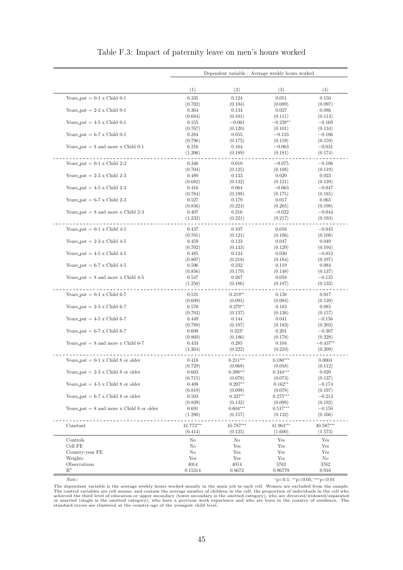|                                             |                      | Dependent variable : Average weekly hours worked |                        |                       |
|---------------------------------------------|----------------------|--------------------------------------------------|------------------------|-----------------------|
|                                             |                      |                                                  |                        |                       |
|                                             | (1)                  | (2)                                              | (3)                    | (4)                   |
| Years_pat $= 0.1$ x Child 0-1               | 0.335                | 0.124                                            | 0.051                  | 0.150                 |
|                                             | (0.702)              | (0.104)                                          | (0.089)                | (0.097)               |
| Years_pat $= 2-3 \times$ Child 0-1          | 0.364<br>(0.684)     | 0.134<br>(0.101)                                 | 0.027<br>(0.111)       | 0.086<br>(0.113)      |
| Years_pat $=$ 4-5 x Child 0-1               | 0.155                | $-0.061$                                         | $-0.228**$             | $-0.169$              |
|                                             | (0.767)              | (0.120)                                          | (0.101)                | (0.134)               |
| Years_pat = $6-7 \times$ Child 0-1          | 0.284                | 0.055                                            | $-0.123$               | $-0.106$              |
|                                             | (0.796)              | (0.175)                                          | (0.159)<br>$-0.063$    | (0.159)               |
| Years_pat $= 8$ and more x Child 0-1        | 0.216<br>(1.206)     | 0.164<br>(0.189)                                 | (0.181)                | $-0.031$<br>(0.174)   |
| Years_pat = $0-1 \times$ Child 2-3          | 0.346                | 0.010                                            | $-0.075$               | $-0.106$              |
|                                             | (0.704)              | (0.125)                                          | (0.108)                | (0.119)               |
| Years_pat = $2-3 \times$ Child 2-3          | 0.480                | 0.133                                            | 0.020                  | 0.023                 |
|                                             | (0.682)              | (0.132)                                          | (0.121)                | (0.139)               |
| Years_pat $=$ 4-5 x Child 2-3               | 0.416<br>(0.784)     | 0.064<br>(0.198)                                 | $-0.063$<br>(0.175)    | $-0.047$<br>(0.185)   |
| Years_pat = $6-7 \times$ Child 2-3          | 0.527                | 0.179                                            | 0.017                  | 0.065                 |
|                                             | (0.856)              | (0.224)                                          | (0.205)                | (0.198)               |
| Years_pat $= 8$ and more x Child 2-3        | 0.407                | 0.216                                            | $-0.022$               | $-0.044$              |
|                                             | (1.232)              | (0.221)                                          | (0.217)                | (0.193)               |
| Years_pat = $0-1 \times$ Child 4-5          | 0.437                | 0.107                                            | 0.058                  | $-0.045$              |
|                                             | (0.701)              | (0.121)                                          | (0.106)                | (0.108)               |
| Years_pat = $2-3 \times$ Child 4-5          | 0.459                | 0.123                                            | 0.047                  | 0.049                 |
| Years_pat = $4-5 \times$ Child $4-5$        | (0.702)<br>0.485     | (0.133)<br>0.124                                 | (0.129)<br>0.030       | (0.104)<br>$-0.013$   |
|                                             | (0.807)              | (0.218)                                          | (0.184)                | (0.197)               |
| Years_pat = $6-7 \times$ Child 4-5          | 0.596                | 0.232                                            | 0.119                  | 0.084                 |
|                                             | (0.856)              | (0.179)                                          | (0.148)                | (0.137)               |
| Years_pat $= 8$ and more x Child 4-5        | 0.547<br>(1.250)     | 0.267<br>(0.186)                                 | 0.058<br>(0.187)       | $-0.135$<br>(0.132)   |
|                                             |                      |                                                  |                        |                       |
| Years_pat $= 0.1$ x Child 6-7               | 0.521                | $0.219**$                                        | 0.138                  | 0.017                 |
| Years_pat $= 2-3$ x Child 6-7               | (0.699)<br>0.576     | (0.091)<br>$0.279**$                             | (0.084)<br>0.183       | (0.139)<br>0.085      |
|                                             | (0.703)              | (0.137)                                          | (0.136)                | (0.157)               |
| Years_pat $=$ 4-5 x Child 6-7               | 0.449                | 0.144                                            | 0.041                  | $-0.156$              |
|                                             | (0.789)              | (0.187)                                          | (0.183)                | (0.203)               |
| Years_pat = $6-7 \times$ Child 6-7          | 0.608                | $0.323*$                                         | 0.201                  | $-0.307$              |
| Years_pat $= 8$ and more x Child 6-7        | (0.860)<br>0.433     | (0.186)<br>0.285                                 | (0.178)<br>0.104       | (0.228)<br>$-0.437**$ |
|                                             | (1.264)              | (0.222)                                          | (0.210)                | (0.209)               |
| Years_pat = $0-1 \times$ Child 8 or older   | 0.418                | $0.211***$                                       | $0.180***$             | 0.0004                |
|                                             | (0.729)              | (0.068)                                          | (0.058)                | (0.112)               |
| Years_pat = $2-3 \times$ Child 8 or older   | 0.603                | $0.398***$                                       | $0.344***$             | 0.020                 |
| Years_pat = $4-5 \times$ Child 8 or older   | (0.715)<br>0.408     | (0.078)<br>$0.207**$                             | (0.073)<br>$0.162**$   | (0.137)<br>$-0.174$   |
|                                             | (0.819)              | (0.098)                                          | (0.078)                | (0.197)               |
| Years_pat = $6-7 \times$ Child 8 or older   | 0.503                | $0.327**$                                        | $0.275***$             | $-0.213$              |
|                                             | (0.839)              | (0.132)                                          | (0.099)                | (0.192)               |
| Years_pat $= 8$ and more x Child 8 or older | 0.691<br>(1.280)     | $0.604***$<br>(0.157)                            | $0.517***$<br>(0.132)  | $-0.150$<br>(0.166)   |
|                                             |                      |                                                  |                        |                       |
| Constant                                    | 41.773***<br>(0.414) | 45.787***<br>(0.125)                             | $41.964***$<br>(1.600) | 40.587***<br>(1.573)  |
| Controls                                    | No                   | No                                               | Yes                    | Yes                   |
| Cell FE                                     | No                   | Yes                                              | Yes                    | Yes                   |
| Country-year FE                             | No                   | Yes                                              | Yes                    | Yes                   |
| Weights<br>Observations                     | Yes<br>4014          | Yes<br>4014                                      | Yes<br>3762            | No<br>3762            |
| $\mathbf{R}^2$                              | 0.15314              | 0.9672                                           | 0.96779                | 0.916                 |
|                                             |                      |                                                  |                        |                       |

#### Table F.3: Impact of paternity leave on men's hours worked

Note: \*p<0.05; \*\*p<0.05; \*\*\*p<0.05}

The dependant variable is the average weekly hours worked usually in the main job in each cell. Women are excluded from the sample.<br>The control variables are cell means, and contain the average number of children in the ce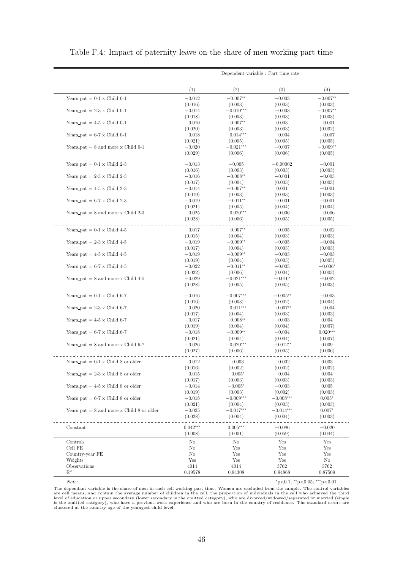|                                             | (1)                 | (2)                    | (3)                    | (4)                 |
|---------------------------------------------|---------------------|------------------------|------------------------|---------------------|
| Years_pat = $0-1 \times$ Child 0-1          | $-0.012$            | $-0.007**$             | $-0.003$               | $-0.007**$          |
|                                             | (0.016)             | (0.003)                | (0.003)                | (0.003)             |
| Years_pat = $2-3 \times$ Child 0-1          | $-0.014$            | $-0.010***$            | $-0.003$               | $-0.007**$          |
|                                             | (0.018)             | (0.003)                | (0.003)                | (0.003)             |
| Years_pat = $4-5 \times$ Child 0-1          | $-0.010$            | $-0.007**$             | 0.003                  | $-0.001$            |
|                                             |                     | (0.003)                | (0.003)                |                     |
| Years_pat = $6-7 \times$ Child 0-1          | (0.020)             |                        |                        | (0.002)             |
|                                             | $-0.018$            | $-0.014***$            | $-0.004$               | $-0.007$            |
|                                             | (0.021)             | (0.005)                | (0.005)                | (0.005)             |
| Years_pat $= 8$ and more x Child 0-1        | $-0.020$            | $-0.021***$            | $-0.007$               | $-0.009**$          |
|                                             | (0.029)             | (0.006)                | (0.006)                | (0.005)             |
| Years_pat = $0-1 \times$ Child 2-3          | $-0.013$            | $-0.005$               | $-0.00002$             | $-0.001$            |
|                                             | (0.016)             | (0.003)                | (0.003)                | (0.003)             |
| Years_pat = $2-3 \times$ Child 2-3          | $-0.016$            | $-0.008**$             | $-0.001$               | $-0.003$            |
|                                             | (0.017)             | (0.004)                | (0.003)                | (0.003)             |
| Years_pat = $4-5 \times$ Child 2-3          | $-0.014$            | $-0.007**$             | 0.001                  | $-0.001$            |
|                                             | (0.019)             | (0.003)                | (0.003)                | (0.003)             |
| Years_pat = $6-7 \times$ Child 2-3          | $-0.019$            | $-0.011**$             | $-0.001$               | $-0.001$            |
|                                             | (0.021)             | (0.005)                | (0.004)                | (0.004)             |
| Years_pat $= 8$ and more x Child 2-3        | $-0.025$            | $-0.020***$            | $-0.006$               | $-0.006$            |
|                                             | (0.028)             | (0.006)                | (0.005)                | (0.005)             |
|                                             |                     |                        |                        |                     |
| Years_pat = $0-1 \times$ Child 4-5          | $-0.017$            | $-0.007**$             | $-0.005$               | $-0.002$            |
|                                             | (0.015)             | (0.004)                | (0.003)                | (0.003)             |
| Years_pat = $2-3 \times$ Child 4-5          | $-0.019$            | $-0.009**$             | $-0.005$               | $-0.004$            |
|                                             | (0.017)             | (0.004)                | (0.003)                | (0.003)             |
| Years_pat = $4-5 \times$ Child $4-5$        | $-0.019$            | $-0.009**$             | $-0.003$               | $-0.003$            |
|                                             | (0.019)             | (0.004)                | (0.003)                | (0.005)             |
| Years_pat = $6-7 \times$ Child 4-5          | $-0.022$            | $-0.011**$             | $-0.005$               | $-0.006*$           |
|                                             | (0.022)             | (0.006)                | (0.004)                | (0.003)             |
| Years_pat $= 8$ and more x Child 4-5        | $-0.029$            | $-0.021***$            | $-0.010*$              | $-0.002$            |
|                                             | (0.028)             | (0.005)                | (0.005)                | (0.003)             |
| Years_pat = $0-1 \times$ Child 6-7          | $-0.016$            | $-0.007***$            | $-0.005**$             | $-0.003$            |
|                                             | (0.016)             | (0.003)                | (0.002)                | (0.004)             |
| Years_pat = $2-3 \times$ Child 6-7          | $-0.020$            | $-0.011***$            | $-0.007**$             | $-0.004$            |
|                                             |                     |                        |                        |                     |
|                                             | (0.017)             | (0.004)                | (0.003)                | (0.003)             |
| Years_pat = $4-5 \times$ Child 6-7          | $-0.017$            | $-0.008**$             | $-0.003$               | 0.004               |
|                                             | (0.019)             | (0.004)                | (0.004)                | (0.007)             |
| Years_pat = $6-7 \times$ Child 6-7          | $-0.018$            | $-0.009**$             | $-0.004$               | $0.020***$          |
|                                             | (0.021)             | (0.004)                | (0.004)                | (0.007)             |
| Years_pat $= 8$ and more x Child 6-7        | $-0.026$            | $-0.020***$            | $-0.012**$             | 0.009               |
|                                             | (0.027)             | (0.006)                | (0.005)                | (0.006)             |
| Years_pat = $0-1 \times$ Child 8 or older   | $-0.012$            | $-0.003$               | $-0.002$               | 0.003               |
|                                             | (0.016)             | (0.002)                | (0.002)                | (0.002)             |
| Years_pat = $2-3 \times$ Child 8 or older   | $-0.015$            | $-0.005*$              | $-0.004$               | 0.004               |
|                                             | (0.017)             | (0.003)                | (0.003)                | (0.003)             |
| Years_pat $= 4-5$ x Child 8 or older        | $-0.014$            | $-0.005*$              | $-0.003$               | 0.005               |
|                                             | (0.019)             | (0.003)                | (0.002)                | (0.003)             |
| Years_pat = $6-7 \times$ Child 8 or older   |                     | $-0.009***$            | $-0.008***$            | $0.005*$            |
|                                             | $-0.018$            |                        |                        |                     |
|                                             | (0.021)             | (0.004)                | (0.003)                | (0.003)             |
| Years_pat $= 8$ and more x Child 8 or older | $-0.025$<br>(0.028) | $-0.017***$<br>(0.004) | $-0.014***$<br>(0.004) | $0.007*$<br>(0.003) |
|                                             |                     |                        |                        |                     |
| Constant                                    | $0.042***$          | $0.005***$             | $-0.086$               | $-0.020$            |
|                                             | (0.008)             | (0.001)                | (0.059)                | (0.044)             |
| Controls                                    | No                  | No                     | Yes                    | Yes                 |
| Cell FE                                     | No                  | Yes                    | Yes                    | Yes                 |
| Country-year FE                             | No                  | Yes                    | Yes                    | Yes                 |
|                                             | Yes                 | Yes                    | Yes                    | No                  |
| Weights                                     |                     |                        |                        |                     |
| Observations                                | 4014                | 4014                   | 3762                   | 3762                |

Table F.4: Impact of paternity leave on the share of men working part time

The dependant variable is the share of men in each cell working part time. Women are excluded from the sample. The control variables<br>are cell means, and contain the average number of children in the cell, the proportion of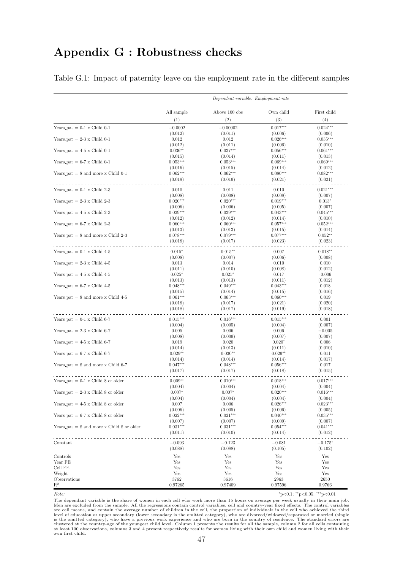## Appendix G : Robustness checks

Table G.1: Impact of paternity leave on the employment rate in the different samples

|                                             | Dependent variable: Employment rate |                       |                       |                       |  |
|---------------------------------------------|-------------------------------------|-----------------------|-----------------------|-----------------------|--|
|                                             | All sample                          | Above 100 obs         | Own child             | First child           |  |
|                                             | (1)                                 | (2)                   | (3)                   | (4)                   |  |
| Years_pat = $0-1 \times$ Child $0-1$        | $-0.0002$                           | $-0.00002$            | $0.017***$            | $0.024***$            |  |
|                                             | (0.012)                             | (0.011)               | (0.006)               | (0.006)               |  |
| Years_pat = $2-3 \times$ Child 0-1          | 0.012                               | 0.012                 | $0.026***$            | $0.035***$            |  |
|                                             | (0.012)                             | (0.011)               | (0.006)               | (0.010)               |  |
| Years_pat = $4-5 \times$ Child 0-1          | $0.036**$                           | $0.037***$            | $0.056***$            | $0.061***$            |  |
| Years_pat = $6-7 \times$ Child 0-1          | (0.015)<br>$0.053***$               | (0.014)<br>$0.053***$ | (0.011)<br>$0.069***$ | (0.013)<br>$0.069***$ |  |
|                                             | (0.016)                             | (0.015)               | (0.014)               | (0.012)               |  |
| Years_pat $= 8$ and more x Child 0-1        | $0.062***$                          | $0.062***$            | $0.080***$            | $0.082***$            |  |
|                                             | (0.019)                             | (0.019)               | (0.021)               | (0.021)               |  |
|                                             |                                     |                       |                       |                       |  |
| Years_pat = $0-1 \times$ Child 2-3          | 0.010<br>(0.008)                    | 0.011<br>(0.008)      | 0.010<br>(0.008)      | $0.021***$<br>(0.007) |  |
| Years_pat = $2-3 \times$ Child 2-3          | $0.020***$                          | $0.020***$            | $0.019***$            | $0.013*$              |  |
|                                             | (0.006)                             | (0.006)               | (0.005)               | (0.007)               |  |
| Years_pat = $4-5 \times$ Child 2-3          | $0.039***$                          | $0.039***$            | $0.043***$            | $0.045***$            |  |
|                                             | (0.012)                             | (0.012)               | (0.014)               | (0.010)               |  |
| Years_pat = $6-7 \times$ Child 2-3          | $0.060***$                          | $0.060***$            | $0.057***$            | $0.052***$            |  |
|                                             | (0.013)                             | (0.013)               | (0.015)               | (0.014)               |  |
| Years_pat = $8$ and more x Child 2-3        | $0.078***$                          | $0.079***$            | $0.077***$            | $0.052**$             |  |
|                                             | (0.018)                             | (0.017)               | (0.023)               | (0.023)               |  |
| Years_pat = $0-1 \times$ Child 4-5          | $0.015*$                            | $0.015**$             | 0.007                 | $0.018**$             |  |
|                                             | (0.008)                             | (0.007)               | (0.006)               | (0.008)               |  |
| Years_pat = $2-3 \times$ Child 4-5          | 0.013                               | 0.014                 | 0.010                 | 0.010                 |  |
|                                             | (0.011)                             | (0.010)               | (0.008)               | (0.012)               |  |
| Years_pat = $4-5 \times$ Child 4-5          | $0.025*$                            | $0.025*$              | 0.017                 | $-0.006$              |  |
| Years_pat = $6-7 \times$ Child 4-5          | (0.013)<br>$0.048***$               | (0.013)<br>$0.049***$ | (0.011)<br>$0.043***$ | (0.012)<br>0.018      |  |
|                                             | (0.015)                             | (0.014)               | (0.015)               | (0.016)               |  |
| Years_pat = $8$ and more x Child 4-5        | $0.061***$                          | $0.063***$            | $0.060***$            | 0.019                 |  |
|                                             | (0.018)                             | (0.017)               | (0.021)               | (0.020)               |  |
|                                             | (0.018)                             | (0.017)               | (0.019)               | (0.018)               |  |
| Years_pat = $0-1 \times$ Child 6-7          | $0.015***$                          | $0.016***$            | $0.015***$            | 0.001                 |  |
|                                             | (0.004)                             | (0.005)               | (0.004)               | (0.007)               |  |
| Years_pat = $2-3 \times$ Child 6-7          | 0.005                               | 0.006                 | 0.006                 | $-0.005$              |  |
|                                             | (0.008)                             | (0.009)               | (0.007)               | (0.007)               |  |
| Years_pat = $4-5 \times$ Child 6-7          | 0.019                               | 0.020                 | $0.020*$              | 0.006                 |  |
|                                             | (0.014)                             | (0.013)               | (0.011)               | (0.010)               |  |
| Years_pat = $6-7 \times$ Child 6-7          | $0.029**$                           | $0.030**$             | $0.029**$             | 0.011                 |  |
| Years_pat = $8$ and more x Child 6-7        | (0.014)<br>$0.047***$               | (0.014)<br>$0.048***$ | (0.014)<br>$0.056***$ | (0.017)<br>0.017      |  |
|                                             | (0.017)                             | (0.017)               | (0.018)               | (0.015)               |  |
|                                             |                                     |                       |                       |                       |  |
| Years_pat = $0-1 \times$ Child 8 or older   | $0.009**$                           | $0.010***$            | $0.018***$            | $0.017***$            |  |
|                                             | (0.004)                             | (0.004)               | (0.004)               | (0.004)               |  |
| Years_pat = $2-3 \times$ Child 8 or older   | $0.007*$<br>(0.004)                 | $0.007*$<br>(0.004)   | $0.020***$<br>(0.004) | $0.016***$<br>(0.004) |  |
| Years_pat = $4-5 \times$ Child 8 or older   | 0.007                               | 0.006                 | $0.026***$            | $0.023***$            |  |
|                                             | (0.006)                             | (0.005)               | (0.006)               | (0.005)               |  |
| Years_pat = $6-7 \times$ Child 8 or older   | $0.022***$                          | $0.021***$            | $0.040***$            | $0.035***$            |  |
|                                             | (0.007)                             | (0.007)               | (0.009)               | (0.007)               |  |
| Years_pat $= 8$ and more x Child 8 or older | $0.031***$                          | $0.031***$            | $0.054***$            | $0.041***$            |  |
|                                             | (0.011)                             | (0.010)               | (0.014)               | (0.012)               |  |
| Constant                                    | $-0.093$                            | $-0.123$              | $-0.081$              | $-0.175*$             |  |
|                                             | (0.088)                             | (0.088)               | (0.105)               | (0.102)               |  |
| Controls                                    | Yes                                 | Yes                   | Yes                   | Yes                   |  |
| Year FE                                     | Yes                                 | Yes                   | Yes                   | Yes                   |  |
| Cell FE                                     | Yes                                 | Yes                   | Yes                   | Yes                   |  |
| Weight                                      | Yes                                 | Yes                   | Yes                   | Yes                   |  |
| Observations                                | 3762                                | 3616                  | 2963                  | 2650                  |  |
| $\mathbb{R}^2$                              | 0.97265                             | 0.97409               | 0.97596               | 0.9766                |  |

The dependant variable is the share of women in each cell who work more than 15 hours on average per week usually in their main job.<br>Men are excluded from the sample. All the regressions contain control variables, cell and

 $Note:$   $*_{p<0.1; **_{p<0.05;} **_{p<0.01}}$